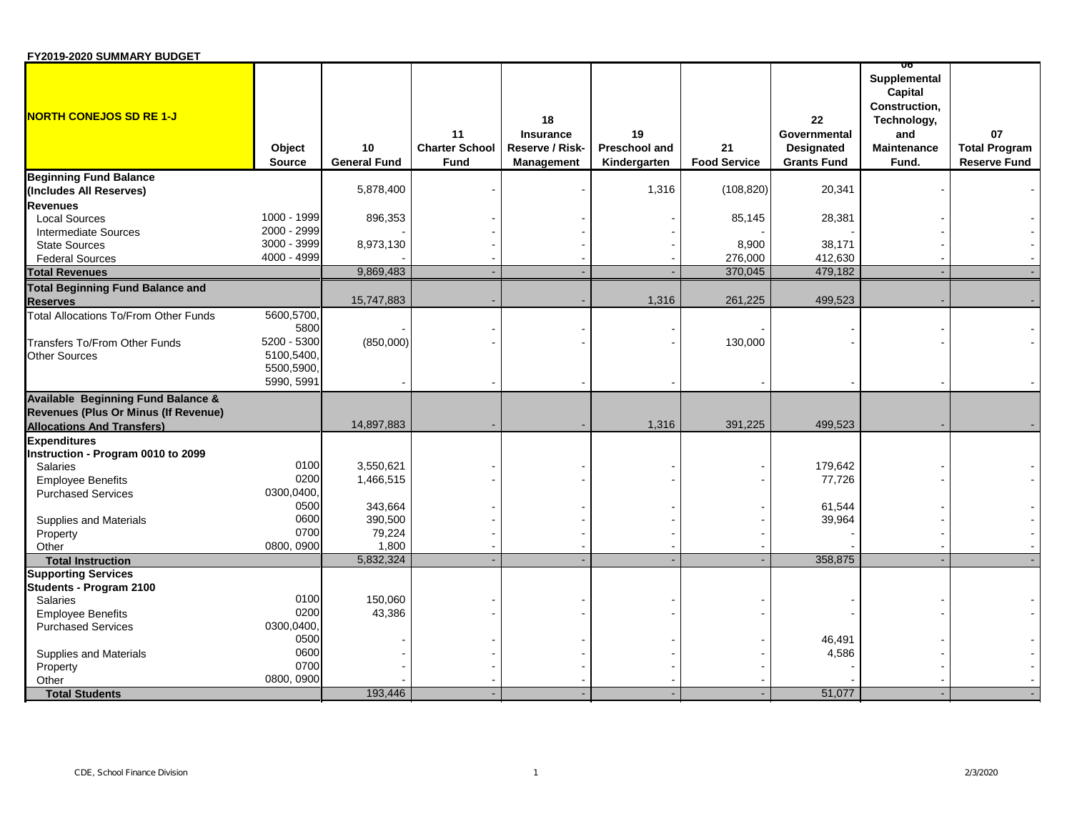| FY2019-2020 SUMMARY BUDGET |  |
|----------------------------|--|
|----------------------------|--|

| 5,878,400<br>1,316<br>(108, 820)<br>20,341<br>(Includes All Reserves)<br><b>Revenues</b><br>1000 - 1999<br>896,353<br>85,145<br>28,381<br><b>Local Sources</b><br>2000 - 2999<br><b>Intermediate Sources</b><br>3000 - 3999<br><b>State Sources</b><br>8,973,130<br>8,900<br>38,171<br>4000 - 4999<br>276,000<br>412,630<br><b>Federal Sources</b><br>9,869,483<br>370,045<br>479,182<br><b>Total Revenues</b><br><b>Total Beginning Fund Balance and</b><br>15,747,883<br>1,316<br>261,225<br>499,523<br><b>Reserves</b><br>5600,5700<br>Total Allocations To/From Other Funds<br>5800<br>5200 - 5300<br>Transfers To/From Other Funds<br>(850,000)<br>130,000<br>5100,5400,<br><b>Other Sources</b><br>5500,5900,<br>5990, 5991<br><b>Available Beginning Fund Balance &amp;</b><br>Revenues (Plus Or Minus (If Revenue)<br>14,897,883<br>1,316<br>391,225<br>499,523<br><b>Allocations And Transfers)</b><br><b>Expenditures</b><br>Instruction - Program 0010 to 2099<br>0100<br>3,550,621<br>179,642<br><b>Salaries</b><br>0200<br>1,466,515<br>77,726<br><b>Employee Benefits</b><br>0300,0400,<br><b>Purchased Services</b><br>0500<br>343,664<br>61,544<br>0600<br>390,500<br>39,964<br>Supplies and Materials<br>0700<br>79,224<br>Property<br>0800, 0900<br>1,800<br>Other<br>5,832,324<br>358,875<br><b>Total Instruction</b><br><b>Supporting Services</b><br>Students - Program 2100<br>0100<br>150,060<br><b>Salaries</b><br>0200<br>43,386<br><b>Employee Benefits</b><br>0300,0400,<br><b>Purchased Services</b><br>0500<br>46,491<br>0600<br>4,586<br>Supplies and Materials<br>0700<br>Property<br>0800, 0900<br>Other<br>193,446<br>51,077<br><b>Total Students</b> | <b>NORTH CONEJOS SD RE 1-J</b> | Object<br><b>Source</b> | 10<br><b>General Fund</b> | 11<br><b>Charter School</b><br><b>Fund</b> | 18<br><b>Insurance</b><br>Reserve / Risk-<br><b>Management</b> | 19<br>Preschool and<br>Kindergarten | 21<br><b>Food Service</b> | 22<br>Governmental<br><b>Designated</b><br><b>Grants Fund</b> | 00<br>Supplemental<br>Capital<br>Construction,<br>Technology,<br>and<br><b>Maintenance</b><br>Fund. | 07<br><b>Total Program</b><br><b>Reserve Fund</b> |
|----------------------------------------------------------------------------------------------------------------------------------------------------------------------------------------------------------------------------------------------------------------------------------------------------------------------------------------------------------------------------------------------------------------------------------------------------------------------------------------------------------------------------------------------------------------------------------------------------------------------------------------------------------------------------------------------------------------------------------------------------------------------------------------------------------------------------------------------------------------------------------------------------------------------------------------------------------------------------------------------------------------------------------------------------------------------------------------------------------------------------------------------------------------------------------------------------------------------------------------------------------------------------------------------------------------------------------------------------------------------------------------------------------------------------------------------------------------------------------------------------------------------------------------------------------------------------------------------------------------------------------------------------------------------------------------|--------------------------------|-------------------------|---------------------------|--------------------------------------------|----------------------------------------------------------------|-------------------------------------|---------------------------|---------------------------------------------------------------|-----------------------------------------------------------------------------------------------------|---------------------------------------------------|
|                                                                                                                                                                                                                                                                                                                                                                                                                                                                                                                                                                                                                                                                                                                                                                                                                                                                                                                                                                                                                                                                                                                                                                                                                                                                                                                                                                                                                                                                                                                                                                                                                                                                                        | <b>Beginning Fund Balance</b>  |                         |                           |                                            |                                                                |                                     |                           |                                                               |                                                                                                     |                                                   |
|                                                                                                                                                                                                                                                                                                                                                                                                                                                                                                                                                                                                                                                                                                                                                                                                                                                                                                                                                                                                                                                                                                                                                                                                                                                                                                                                                                                                                                                                                                                                                                                                                                                                                        |                                |                         |                           |                                            |                                                                |                                     |                           |                                                               |                                                                                                     |                                                   |
|                                                                                                                                                                                                                                                                                                                                                                                                                                                                                                                                                                                                                                                                                                                                                                                                                                                                                                                                                                                                                                                                                                                                                                                                                                                                                                                                                                                                                                                                                                                                                                                                                                                                                        |                                |                         |                           |                                            |                                                                |                                     |                           |                                                               |                                                                                                     |                                                   |
|                                                                                                                                                                                                                                                                                                                                                                                                                                                                                                                                                                                                                                                                                                                                                                                                                                                                                                                                                                                                                                                                                                                                                                                                                                                                                                                                                                                                                                                                                                                                                                                                                                                                                        |                                |                         |                           |                                            |                                                                |                                     |                           |                                                               |                                                                                                     |                                                   |
|                                                                                                                                                                                                                                                                                                                                                                                                                                                                                                                                                                                                                                                                                                                                                                                                                                                                                                                                                                                                                                                                                                                                                                                                                                                                                                                                                                                                                                                                                                                                                                                                                                                                                        |                                |                         |                           |                                            |                                                                |                                     |                           |                                                               |                                                                                                     |                                                   |
|                                                                                                                                                                                                                                                                                                                                                                                                                                                                                                                                                                                                                                                                                                                                                                                                                                                                                                                                                                                                                                                                                                                                                                                                                                                                                                                                                                                                                                                                                                                                                                                                                                                                                        |                                |                         |                           |                                            |                                                                |                                     |                           |                                                               |                                                                                                     |                                                   |
|                                                                                                                                                                                                                                                                                                                                                                                                                                                                                                                                                                                                                                                                                                                                                                                                                                                                                                                                                                                                                                                                                                                                                                                                                                                                                                                                                                                                                                                                                                                                                                                                                                                                                        |                                |                         |                           |                                            |                                                                |                                     |                           |                                                               |                                                                                                     |                                                   |
|                                                                                                                                                                                                                                                                                                                                                                                                                                                                                                                                                                                                                                                                                                                                                                                                                                                                                                                                                                                                                                                                                                                                                                                                                                                                                                                                                                                                                                                                                                                                                                                                                                                                                        |                                |                         |                           |                                            |                                                                |                                     |                           |                                                               |                                                                                                     |                                                   |
|                                                                                                                                                                                                                                                                                                                                                                                                                                                                                                                                                                                                                                                                                                                                                                                                                                                                                                                                                                                                                                                                                                                                                                                                                                                                                                                                                                                                                                                                                                                                                                                                                                                                                        |                                |                         |                           |                                            |                                                                |                                     |                           |                                                               |                                                                                                     |                                                   |
|                                                                                                                                                                                                                                                                                                                                                                                                                                                                                                                                                                                                                                                                                                                                                                                                                                                                                                                                                                                                                                                                                                                                                                                                                                                                                                                                                                                                                                                                                                                                                                                                                                                                                        |                                |                         |                           |                                            |                                                                |                                     |                           |                                                               |                                                                                                     |                                                   |
|                                                                                                                                                                                                                                                                                                                                                                                                                                                                                                                                                                                                                                                                                                                                                                                                                                                                                                                                                                                                                                                                                                                                                                                                                                                                                                                                                                                                                                                                                                                                                                                                                                                                                        |                                |                         |                           |                                            |                                                                |                                     |                           |                                                               |                                                                                                     |                                                   |
|                                                                                                                                                                                                                                                                                                                                                                                                                                                                                                                                                                                                                                                                                                                                                                                                                                                                                                                                                                                                                                                                                                                                                                                                                                                                                                                                                                                                                                                                                                                                                                                                                                                                                        |                                |                         |                           |                                            |                                                                |                                     |                           |                                                               |                                                                                                     |                                                   |
|                                                                                                                                                                                                                                                                                                                                                                                                                                                                                                                                                                                                                                                                                                                                                                                                                                                                                                                                                                                                                                                                                                                                                                                                                                                                                                                                                                                                                                                                                                                                                                                                                                                                                        |                                |                         |                           |                                            |                                                                |                                     |                           |                                                               |                                                                                                     |                                                   |
|                                                                                                                                                                                                                                                                                                                                                                                                                                                                                                                                                                                                                                                                                                                                                                                                                                                                                                                                                                                                                                                                                                                                                                                                                                                                                                                                                                                                                                                                                                                                                                                                                                                                                        |                                |                         |                           |                                            |                                                                |                                     |                           |                                                               |                                                                                                     |                                                   |
|                                                                                                                                                                                                                                                                                                                                                                                                                                                                                                                                                                                                                                                                                                                                                                                                                                                                                                                                                                                                                                                                                                                                                                                                                                                                                                                                                                                                                                                                                                                                                                                                                                                                                        |                                |                         |                           |                                            |                                                                |                                     |                           |                                                               |                                                                                                     |                                                   |
|                                                                                                                                                                                                                                                                                                                                                                                                                                                                                                                                                                                                                                                                                                                                                                                                                                                                                                                                                                                                                                                                                                                                                                                                                                                                                                                                                                                                                                                                                                                                                                                                                                                                                        |                                |                         |                           |                                            |                                                                |                                     |                           |                                                               |                                                                                                     |                                                   |
|                                                                                                                                                                                                                                                                                                                                                                                                                                                                                                                                                                                                                                                                                                                                                                                                                                                                                                                                                                                                                                                                                                                                                                                                                                                                                                                                                                                                                                                                                                                                                                                                                                                                                        |                                |                         |                           |                                            |                                                                |                                     |                           |                                                               |                                                                                                     |                                                   |
|                                                                                                                                                                                                                                                                                                                                                                                                                                                                                                                                                                                                                                                                                                                                                                                                                                                                                                                                                                                                                                                                                                                                                                                                                                                                                                                                                                                                                                                                                                                                                                                                                                                                                        |                                |                         |                           |                                            |                                                                |                                     |                           |                                                               |                                                                                                     |                                                   |
|                                                                                                                                                                                                                                                                                                                                                                                                                                                                                                                                                                                                                                                                                                                                                                                                                                                                                                                                                                                                                                                                                                                                                                                                                                                                                                                                                                                                                                                                                                                                                                                                                                                                                        |                                |                         |                           |                                            |                                                                |                                     |                           |                                                               |                                                                                                     |                                                   |
|                                                                                                                                                                                                                                                                                                                                                                                                                                                                                                                                                                                                                                                                                                                                                                                                                                                                                                                                                                                                                                                                                                                                                                                                                                                                                                                                                                                                                                                                                                                                                                                                                                                                                        |                                |                         |                           |                                            |                                                                |                                     |                           |                                                               |                                                                                                     |                                                   |
|                                                                                                                                                                                                                                                                                                                                                                                                                                                                                                                                                                                                                                                                                                                                                                                                                                                                                                                                                                                                                                                                                                                                                                                                                                                                                                                                                                                                                                                                                                                                                                                                                                                                                        |                                |                         |                           |                                            |                                                                |                                     |                           |                                                               |                                                                                                     |                                                   |
|                                                                                                                                                                                                                                                                                                                                                                                                                                                                                                                                                                                                                                                                                                                                                                                                                                                                                                                                                                                                                                                                                                                                                                                                                                                                                                                                                                                                                                                                                                                                                                                                                                                                                        |                                |                         |                           |                                            |                                                                |                                     |                           |                                                               |                                                                                                     |                                                   |
|                                                                                                                                                                                                                                                                                                                                                                                                                                                                                                                                                                                                                                                                                                                                                                                                                                                                                                                                                                                                                                                                                                                                                                                                                                                                                                                                                                                                                                                                                                                                                                                                                                                                                        |                                |                         |                           |                                            |                                                                |                                     |                           |                                                               |                                                                                                     |                                                   |
|                                                                                                                                                                                                                                                                                                                                                                                                                                                                                                                                                                                                                                                                                                                                                                                                                                                                                                                                                                                                                                                                                                                                                                                                                                                                                                                                                                                                                                                                                                                                                                                                                                                                                        |                                |                         |                           |                                            |                                                                |                                     |                           |                                                               |                                                                                                     |                                                   |
|                                                                                                                                                                                                                                                                                                                                                                                                                                                                                                                                                                                                                                                                                                                                                                                                                                                                                                                                                                                                                                                                                                                                                                                                                                                                                                                                                                                                                                                                                                                                                                                                                                                                                        |                                |                         |                           |                                            |                                                                |                                     |                           |                                                               |                                                                                                     |                                                   |
|                                                                                                                                                                                                                                                                                                                                                                                                                                                                                                                                                                                                                                                                                                                                                                                                                                                                                                                                                                                                                                                                                                                                                                                                                                                                                                                                                                                                                                                                                                                                                                                                                                                                                        |                                |                         |                           |                                            |                                                                |                                     |                           |                                                               |                                                                                                     |                                                   |
|                                                                                                                                                                                                                                                                                                                                                                                                                                                                                                                                                                                                                                                                                                                                                                                                                                                                                                                                                                                                                                                                                                                                                                                                                                                                                                                                                                                                                                                                                                                                                                                                                                                                                        |                                |                         |                           |                                            |                                                                |                                     |                           |                                                               |                                                                                                     |                                                   |
|                                                                                                                                                                                                                                                                                                                                                                                                                                                                                                                                                                                                                                                                                                                                                                                                                                                                                                                                                                                                                                                                                                                                                                                                                                                                                                                                                                                                                                                                                                                                                                                                                                                                                        |                                |                         |                           |                                            |                                                                |                                     |                           |                                                               |                                                                                                     |                                                   |
|                                                                                                                                                                                                                                                                                                                                                                                                                                                                                                                                                                                                                                                                                                                                                                                                                                                                                                                                                                                                                                                                                                                                                                                                                                                                                                                                                                                                                                                                                                                                                                                                                                                                                        |                                |                         |                           |                                            |                                                                |                                     |                           |                                                               |                                                                                                     |                                                   |
|                                                                                                                                                                                                                                                                                                                                                                                                                                                                                                                                                                                                                                                                                                                                                                                                                                                                                                                                                                                                                                                                                                                                                                                                                                                                                                                                                                                                                                                                                                                                                                                                                                                                                        |                                |                         |                           |                                            |                                                                |                                     |                           |                                                               |                                                                                                     |                                                   |
|                                                                                                                                                                                                                                                                                                                                                                                                                                                                                                                                                                                                                                                                                                                                                                                                                                                                                                                                                                                                                                                                                                                                                                                                                                                                                                                                                                                                                                                                                                                                                                                                                                                                                        |                                |                         |                           |                                            |                                                                |                                     |                           |                                                               |                                                                                                     |                                                   |
|                                                                                                                                                                                                                                                                                                                                                                                                                                                                                                                                                                                                                                                                                                                                                                                                                                                                                                                                                                                                                                                                                                                                                                                                                                                                                                                                                                                                                                                                                                                                                                                                                                                                                        |                                |                         |                           |                                            |                                                                |                                     |                           |                                                               |                                                                                                     |                                                   |
|                                                                                                                                                                                                                                                                                                                                                                                                                                                                                                                                                                                                                                                                                                                                                                                                                                                                                                                                                                                                                                                                                                                                                                                                                                                                                                                                                                                                                                                                                                                                                                                                                                                                                        |                                |                         |                           |                                            |                                                                |                                     |                           |                                                               |                                                                                                     |                                                   |
|                                                                                                                                                                                                                                                                                                                                                                                                                                                                                                                                                                                                                                                                                                                                                                                                                                                                                                                                                                                                                                                                                                                                                                                                                                                                                                                                                                                                                                                                                                                                                                                                                                                                                        |                                |                         |                           |                                            |                                                                |                                     |                           |                                                               |                                                                                                     |                                                   |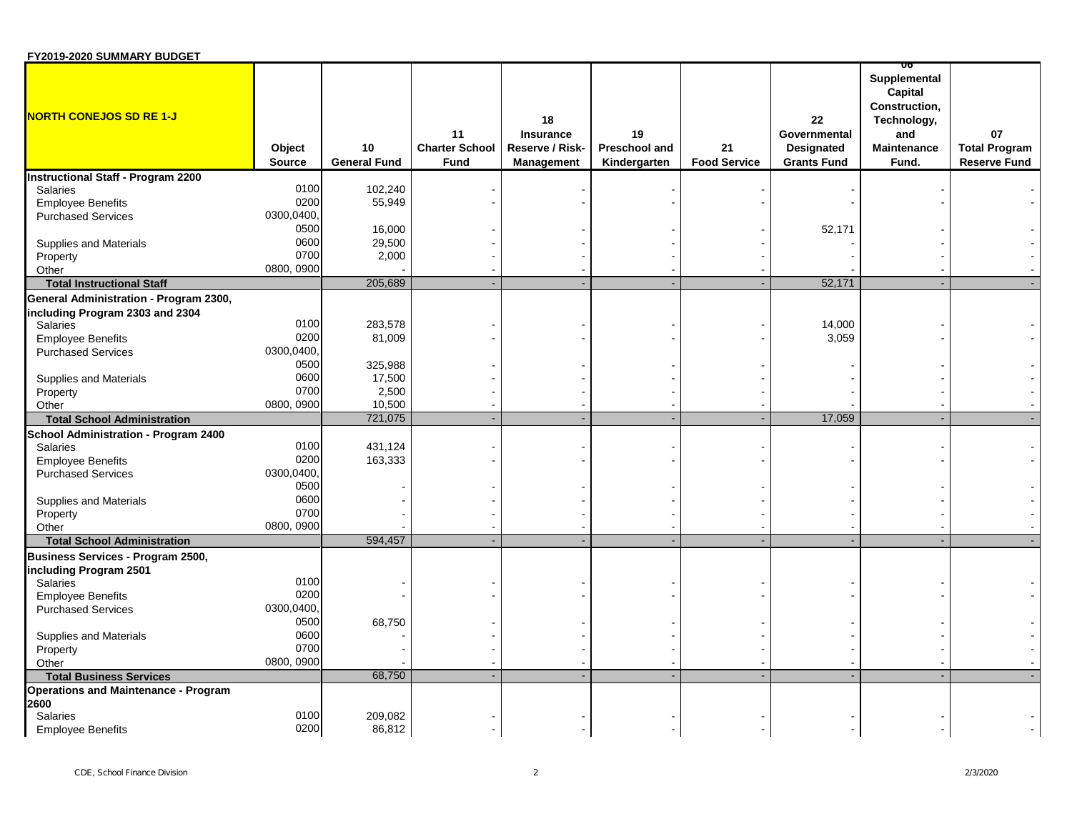| FY2019-2020 SUMMARY BUDGET                  |                         |                           |                                            |                                                                |                                     |                           |                                                        |                                                                                               |                                                   |
|---------------------------------------------|-------------------------|---------------------------|--------------------------------------------|----------------------------------------------------------------|-------------------------------------|---------------------------|--------------------------------------------------------|-----------------------------------------------------------------------------------------------|---------------------------------------------------|
| <b>NORTH CONEJOS SD RE 1-J</b>              | Object<br><b>Source</b> | 10<br><b>General Fund</b> | 11<br><b>Charter School</b><br><b>Fund</b> | 18<br><b>Insurance</b><br>Reserve / Risk-<br><b>Management</b> | 19<br>Preschool and<br>Kindergarten | 21<br><b>Food Service</b> | 22<br>Governmental<br>Designated<br><b>Grants Fund</b> | Supplemental<br>Capital<br>Construction,<br>Technology,<br>and<br><b>Maintenance</b><br>Fund. | 07<br><b>Total Program</b><br><b>Reserve Fund</b> |
| <b>Instructional Staff - Program 2200</b>   |                         |                           |                                            |                                                                |                                     |                           |                                                        |                                                                                               |                                                   |
| <b>Salaries</b>                             | 0100                    | 102,240                   |                                            |                                                                |                                     |                           |                                                        |                                                                                               |                                                   |
| <b>Employee Benefits</b>                    | 0200                    | 55,949                    |                                            |                                                                |                                     |                           |                                                        |                                                                                               |                                                   |
| <b>Purchased Services</b>                   | 0300,0400,              |                           |                                            |                                                                |                                     |                           |                                                        |                                                                                               |                                                   |
|                                             | 0500                    | 16,000                    |                                            |                                                                |                                     |                           | 52,171                                                 |                                                                                               |                                                   |
| Supplies and Materials                      | 0600                    | 29,500                    |                                            |                                                                |                                     |                           |                                                        |                                                                                               |                                                   |
| Property                                    | 0700                    | 2,000                     |                                            |                                                                |                                     |                           |                                                        |                                                                                               |                                                   |
| Other                                       | 0800, 0900              |                           |                                            |                                                                |                                     |                           |                                                        |                                                                                               |                                                   |
| <b>Total Instructional Staff</b>            |                         | 205,689                   |                                            |                                                                |                                     |                           | 52,171                                                 |                                                                                               |                                                   |
| General Administration - Program 2300,      |                         |                           |                                            |                                                                |                                     |                           |                                                        |                                                                                               |                                                   |
| including Program 2303 and 2304             |                         |                           |                                            |                                                                |                                     |                           |                                                        |                                                                                               |                                                   |
| <b>Salaries</b>                             | 0100                    | 283,578                   |                                            |                                                                |                                     |                           | 14,000                                                 |                                                                                               |                                                   |
| <b>Employee Benefits</b>                    | 0200                    | 81,009                    |                                            |                                                                |                                     |                           | 3,059                                                  |                                                                                               |                                                   |
| <b>Purchased Services</b>                   | 0300,0400,              |                           |                                            |                                                                |                                     |                           |                                                        |                                                                                               |                                                   |
|                                             | 0500                    | 325,988                   |                                            |                                                                |                                     |                           |                                                        |                                                                                               |                                                   |
| <b>Supplies and Materials</b>               | 0600                    | 17,500                    |                                            |                                                                |                                     |                           |                                                        |                                                                                               |                                                   |
| Property                                    | 0700                    | 2,500                     |                                            |                                                                |                                     |                           |                                                        |                                                                                               |                                                   |
| Other                                       | 0800, 0900              | 10,500                    |                                            |                                                                |                                     |                           |                                                        |                                                                                               |                                                   |
| <b>Total School Administration</b>          |                         | 721,075                   |                                            |                                                                |                                     |                           | 17,059                                                 | ÷.                                                                                            |                                                   |
| School Administration - Program 2400        |                         |                           |                                            |                                                                |                                     |                           |                                                        |                                                                                               |                                                   |
| <b>Salaries</b>                             | 0100                    | 431,124                   |                                            |                                                                |                                     |                           |                                                        |                                                                                               |                                                   |
| <b>Employee Benefits</b>                    | 0200                    | 163,333                   |                                            |                                                                |                                     |                           |                                                        |                                                                                               |                                                   |
| <b>Purchased Services</b>                   | 0300,0400,              |                           |                                            |                                                                |                                     |                           |                                                        |                                                                                               |                                                   |
|                                             | 0500                    |                           |                                            |                                                                |                                     |                           |                                                        |                                                                                               |                                                   |
| Supplies and Materials                      | 0600                    |                           |                                            |                                                                |                                     |                           |                                                        |                                                                                               |                                                   |
|                                             | 0700                    |                           |                                            |                                                                |                                     |                           |                                                        |                                                                                               |                                                   |
| Property<br>Other                           | 0800, 0900              |                           |                                            |                                                                |                                     |                           |                                                        |                                                                                               |                                                   |
| <b>Total School Administration</b>          |                         | 594,457                   |                                            |                                                                |                                     |                           |                                                        |                                                                                               |                                                   |
|                                             |                         |                           |                                            |                                                                |                                     |                           |                                                        |                                                                                               |                                                   |
| Business Services - Program 2500,           |                         |                           |                                            |                                                                |                                     |                           |                                                        |                                                                                               |                                                   |
| including Program 2501<br>Salaries          | 0100                    |                           |                                            |                                                                |                                     |                           |                                                        |                                                                                               |                                                   |
|                                             | 0200                    |                           |                                            |                                                                |                                     |                           |                                                        |                                                                                               |                                                   |
| <b>Employee Benefits</b>                    | 0300,0400,              |                           |                                            |                                                                |                                     |                           |                                                        |                                                                                               |                                                   |
| <b>Purchased Services</b>                   |                         |                           |                                            |                                                                |                                     |                           |                                                        |                                                                                               |                                                   |
|                                             | 0500                    | 68,750                    |                                            |                                                                |                                     |                           |                                                        |                                                                                               |                                                   |
| Supplies and Materials                      | 0600<br>0700            |                           |                                            |                                                                |                                     |                           |                                                        |                                                                                               |                                                   |
| Property                                    |                         |                           |                                            |                                                                |                                     |                           |                                                        |                                                                                               |                                                   |
| Other                                       | 0800, 0900              |                           |                                            |                                                                |                                     |                           |                                                        |                                                                                               |                                                   |
| <b>Total Business Services</b>              |                         | 68,750                    |                                            |                                                                |                                     |                           |                                                        |                                                                                               |                                                   |
| <b>Operations and Maintenance - Program</b> |                         |                           |                                            |                                                                |                                     |                           |                                                        |                                                                                               |                                                   |
| 2600                                        |                         |                           |                                            |                                                                |                                     |                           |                                                        |                                                                                               |                                                   |
| <b>Salaries</b>                             | 0100                    | 209,082                   |                                            |                                                                |                                     |                           |                                                        |                                                                                               |                                                   |
| <b>Employee Benefits</b>                    | 0200                    | 86,812                    |                                            |                                                                |                                     |                           |                                                        |                                                                                               |                                                   |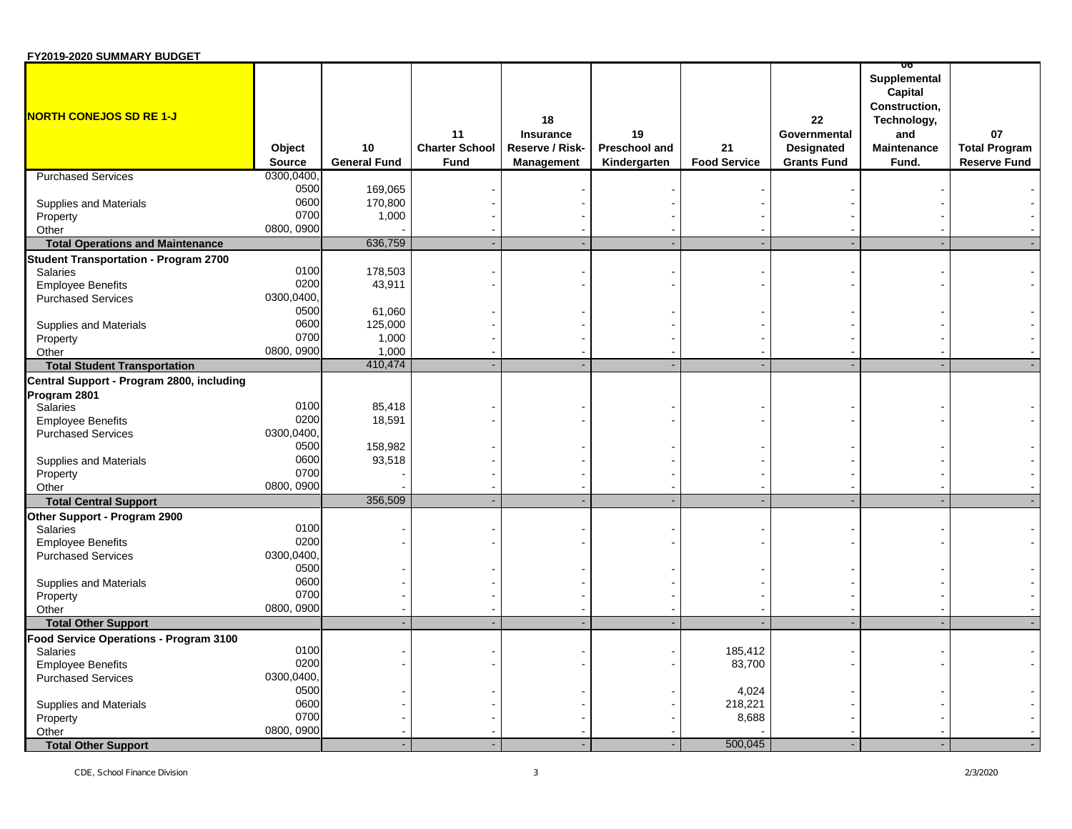| <b>FIZUIS-ZUZU SUIWIWANT BUDGET</b>          |                         |                           |                                            |                                                         |                                     |                           |                                                               | ᡂ                                                                                             |                                                   |
|----------------------------------------------|-------------------------|---------------------------|--------------------------------------------|---------------------------------------------------------|-------------------------------------|---------------------------|---------------------------------------------------------------|-----------------------------------------------------------------------------------------------|---------------------------------------------------|
| <b>NORTH CONEJOS SD RE 1-J</b>               | Object<br><b>Source</b> | 10<br><b>General Fund</b> | 11<br><b>Charter School</b><br><b>Fund</b> | 18<br>Insurance<br>Reserve / Risk-<br><b>Management</b> | 19<br>Preschool and<br>Kindergarten | 21<br><b>Food Service</b> | 22<br>Governmental<br><b>Designated</b><br><b>Grants Fund</b> | Supplemental<br>Capital<br>Construction,<br>Technology,<br>and<br><b>Maintenance</b><br>Fund. | 07<br><b>Total Program</b><br><b>Reserve Fund</b> |
| <b>Purchased Services</b>                    | 0300,0400               |                           |                                            |                                                         |                                     |                           |                                                               |                                                                                               |                                                   |
|                                              | 0500                    | 169,065                   |                                            |                                                         |                                     |                           |                                                               |                                                                                               |                                                   |
| Supplies and Materials                       | 0600                    | 170,800                   |                                            |                                                         |                                     |                           |                                                               |                                                                                               |                                                   |
| Property                                     | 0700                    | 1,000                     |                                            |                                                         |                                     |                           |                                                               |                                                                                               |                                                   |
| Other                                        | 0800, 0900              |                           |                                            |                                                         |                                     |                           |                                                               |                                                                                               |                                                   |
| <b>Total Operations and Maintenance</b>      |                         | 636,759                   |                                            |                                                         |                                     |                           |                                                               |                                                                                               |                                                   |
| <b>Student Transportation - Program 2700</b> |                         |                           |                                            |                                                         |                                     |                           |                                                               |                                                                                               |                                                   |
| <b>Salaries</b>                              | 0100                    | 178,503                   |                                            |                                                         |                                     |                           |                                                               |                                                                                               |                                                   |
| <b>Employee Benefits</b>                     | 0200                    | 43,911                    |                                            |                                                         |                                     |                           |                                                               |                                                                                               |                                                   |
| <b>Purchased Services</b>                    | 0300,0400,              |                           |                                            |                                                         |                                     |                           |                                                               |                                                                                               |                                                   |
|                                              | 0500                    | 61,060                    |                                            |                                                         |                                     |                           |                                                               |                                                                                               |                                                   |
| Supplies and Materials                       | 0600                    | 125,000                   |                                            |                                                         |                                     |                           |                                                               |                                                                                               |                                                   |
| Property                                     | 0700                    | 1,000                     |                                            |                                                         |                                     |                           |                                                               |                                                                                               |                                                   |
| Other                                        | 0800, 0900              | 1,000                     |                                            |                                                         |                                     |                           |                                                               |                                                                                               |                                                   |
| <b>Total Student Transportation</b>          |                         | 410,474                   |                                            |                                                         |                                     |                           |                                                               |                                                                                               |                                                   |
| Central Support - Program 2800, including    |                         |                           |                                            |                                                         |                                     |                           |                                                               |                                                                                               |                                                   |
| Program 2801                                 |                         |                           |                                            |                                                         |                                     |                           |                                                               |                                                                                               |                                                   |
| Salaries                                     | 0100                    | 85,418                    |                                            |                                                         |                                     |                           |                                                               |                                                                                               |                                                   |
| <b>Employee Benefits</b>                     | 0200                    | 18,591                    |                                            |                                                         |                                     |                           |                                                               |                                                                                               |                                                   |
| <b>Purchased Services</b>                    | 0300,0400,              |                           |                                            |                                                         |                                     |                           |                                                               |                                                                                               |                                                   |
|                                              | 0500                    | 158,982                   |                                            |                                                         |                                     |                           |                                                               |                                                                                               |                                                   |
| Supplies and Materials                       | 0600                    | 93,518                    |                                            |                                                         |                                     |                           |                                                               |                                                                                               |                                                   |
|                                              | 0700                    |                           |                                            |                                                         |                                     |                           |                                                               |                                                                                               |                                                   |
| Property<br>Other                            | 0800, 0900              |                           |                                            |                                                         |                                     |                           |                                                               |                                                                                               |                                                   |
| <b>Total Central Support</b>                 |                         | 356,509                   |                                            |                                                         |                                     |                           |                                                               |                                                                                               |                                                   |
|                                              |                         |                           |                                            |                                                         |                                     |                           |                                                               |                                                                                               |                                                   |
| Other Support - Program 2900                 | 0100                    |                           |                                            |                                                         |                                     |                           |                                                               |                                                                                               |                                                   |
| Salaries                                     | 0200                    |                           |                                            |                                                         |                                     |                           |                                                               |                                                                                               |                                                   |
| <b>Employee Benefits</b>                     |                         |                           |                                            |                                                         |                                     |                           |                                                               |                                                                                               |                                                   |
| <b>Purchased Services</b>                    | 0300,0400,<br>0500      |                           |                                            |                                                         |                                     |                           |                                                               |                                                                                               |                                                   |
|                                              | 0600                    |                           |                                            |                                                         |                                     |                           |                                                               |                                                                                               |                                                   |
| Supplies and Materials                       | 0700                    |                           |                                            |                                                         |                                     |                           |                                                               |                                                                                               |                                                   |
| Property                                     | 0800, 0900              |                           |                                            |                                                         |                                     |                           |                                                               |                                                                                               |                                                   |
| Other                                        |                         |                           |                                            |                                                         |                                     |                           |                                                               |                                                                                               |                                                   |
| <b>Total Other Support</b>                   |                         |                           |                                            |                                                         |                                     |                           |                                                               |                                                                                               |                                                   |
| Food Service Operations - Program 3100       |                         |                           |                                            |                                                         |                                     |                           |                                                               |                                                                                               |                                                   |
| <b>Salaries</b>                              | 0100<br>0200            |                           |                                            |                                                         |                                     | 185,412                   |                                                               |                                                                                               |                                                   |
| <b>Employee Benefits</b>                     |                         |                           |                                            |                                                         |                                     | 83,700                    |                                                               |                                                                                               |                                                   |
| <b>Purchased Services</b>                    | 0300,0400,              |                           |                                            |                                                         |                                     |                           |                                                               |                                                                                               |                                                   |
|                                              | 0500                    |                           |                                            |                                                         |                                     | 4,024                     |                                                               |                                                                                               |                                                   |
| Supplies and Materials                       | 0600                    |                           |                                            |                                                         |                                     | 218,221                   |                                                               |                                                                                               |                                                   |
| Property                                     | 0700                    |                           |                                            |                                                         |                                     | 8,688                     |                                                               |                                                                                               |                                                   |
| Other                                        | 0800, 0900              |                           |                                            |                                                         |                                     |                           |                                                               |                                                                                               |                                                   |
| <b>Total Other Support</b>                   |                         |                           |                                            |                                                         |                                     | 500,045                   |                                                               |                                                                                               |                                                   |

**FY2019-2020 SUMMARY BUDGET**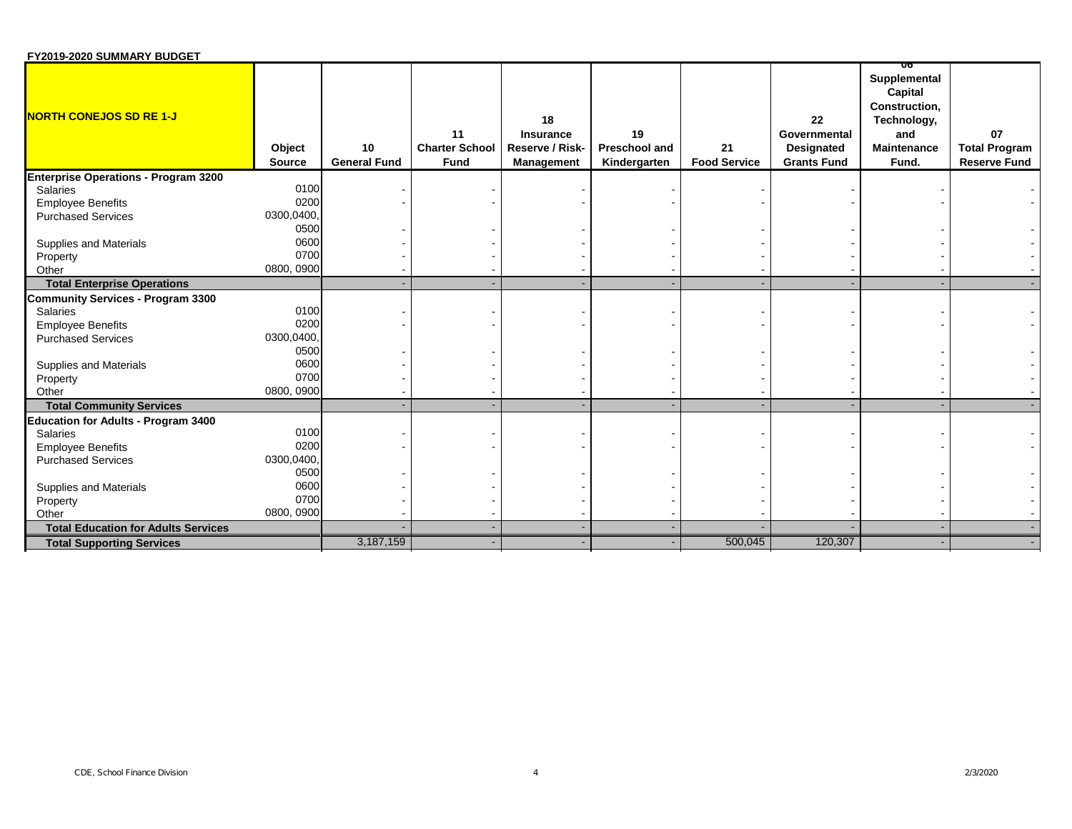| FY2019-2020 SUMMARY BUDGET                  |                         |                           |                                            |                                                                |                                     |                           |                                                        |                                                                                               |                                                   |
|---------------------------------------------|-------------------------|---------------------------|--------------------------------------------|----------------------------------------------------------------|-------------------------------------|---------------------------|--------------------------------------------------------|-----------------------------------------------------------------------------------------------|---------------------------------------------------|
| <b>NORTH CONEJOS SD RE 1-J</b>              | Object<br><b>Source</b> | 10<br><b>General Fund</b> | 11<br><b>Charter School</b><br><b>Fund</b> | 18<br><b>Insurance</b><br>Reserve / Risk-<br><b>Management</b> | 19<br>Preschool and<br>Kindergarten | 21<br><b>Food Service</b> | 22<br>Governmental<br>Designated<br><b>Grants Fund</b> | Supplemental<br>Capital<br>Construction,<br>Technology,<br>and<br><b>Maintenance</b><br>Fund. | 07<br><b>Total Program</b><br><b>Reserve Fund</b> |
| <b>Enterprise Operations - Program 3200</b> |                         |                           |                                            |                                                                |                                     |                           |                                                        |                                                                                               |                                                   |
| <b>Salaries</b>                             | 0100                    |                           |                                            |                                                                |                                     |                           |                                                        |                                                                                               |                                                   |
| <b>Employee Benefits</b>                    | 0200                    |                           |                                            |                                                                |                                     |                           |                                                        |                                                                                               |                                                   |
| <b>Purchased Services</b>                   | 0300,0400,              |                           |                                            |                                                                |                                     |                           |                                                        |                                                                                               |                                                   |
|                                             | 0500                    |                           |                                            |                                                                |                                     |                           |                                                        |                                                                                               |                                                   |
| Supplies and Materials                      | 0600                    |                           |                                            |                                                                |                                     |                           |                                                        |                                                                                               |                                                   |
| Property                                    | 0700                    |                           |                                            |                                                                |                                     |                           |                                                        |                                                                                               |                                                   |
| Other                                       | 0800, 0900              |                           |                                            |                                                                |                                     |                           |                                                        |                                                                                               |                                                   |
| <b>Total Enterprise Operations</b>          |                         |                           |                                            |                                                                |                                     |                           |                                                        |                                                                                               |                                                   |
| <b>Community Services - Program 3300</b>    |                         |                           |                                            |                                                                |                                     |                           |                                                        |                                                                                               |                                                   |
| Salaries                                    | 0100                    |                           |                                            |                                                                |                                     |                           |                                                        |                                                                                               |                                                   |
| <b>Employee Benefits</b>                    | 0200                    |                           |                                            |                                                                |                                     |                           |                                                        |                                                                                               |                                                   |
| <b>Purchased Services</b>                   | 0300,0400,              |                           |                                            |                                                                |                                     |                           |                                                        |                                                                                               |                                                   |
|                                             | 0500                    |                           |                                            |                                                                |                                     |                           |                                                        |                                                                                               |                                                   |
| Supplies and Materials                      | 0600                    |                           |                                            |                                                                |                                     |                           |                                                        |                                                                                               |                                                   |
| Property                                    | 0700                    |                           |                                            |                                                                |                                     |                           |                                                        |                                                                                               |                                                   |
| Other                                       | 0800, 0900              |                           |                                            |                                                                |                                     |                           |                                                        |                                                                                               |                                                   |
| <b>Total Community Services</b>             |                         |                           |                                            |                                                                |                                     |                           |                                                        |                                                                                               |                                                   |
| <b>Education for Adults - Program 3400</b>  |                         |                           |                                            |                                                                |                                     |                           |                                                        |                                                                                               |                                                   |
| <b>Salaries</b>                             | 0100                    |                           |                                            |                                                                |                                     |                           |                                                        |                                                                                               |                                                   |
| <b>Employee Benefits</b>                    | 0200                    |                           |                                            |                                                                |                                     |                           |                                                        |                                                                                               |                                                   |
| <b>Purchased Services</b>                   | 0300,0400,              |                           |                                            |                                                                |                                     |                           |                                                        |                                                                                               |                                                   |
|                                             | 0500                    |                           |                                            |                                                                |                                     |                           |                                                        |                                                                                               |                                                   |
| Supplies and Materials                      | 0600                    |                           |                                            |                                                                |                                     |                           |                                                        |                                                                                               |                                                   |
| Property                                    | 0700                    |                           |                                            |                                                                |                                     |                           |                                                        |                                                                                               |                                                   |
| Other                                       | 0800, 0900              |                           |                                            |                                                                |                                     |                           |                                                        |                                                                                               |                                                   |
| <b>Total Education for Adults Services</b>  |                         |                           |                                            |                                                                |                                     |                           |                                                        |                                                                                               |                                                   |
| <b>Total Supporting Services</b>            |                         | 3,187,159                 |                                            |                                                                |                                     | 500,045                   | 120,307                                                |                                                                                               |                                                   |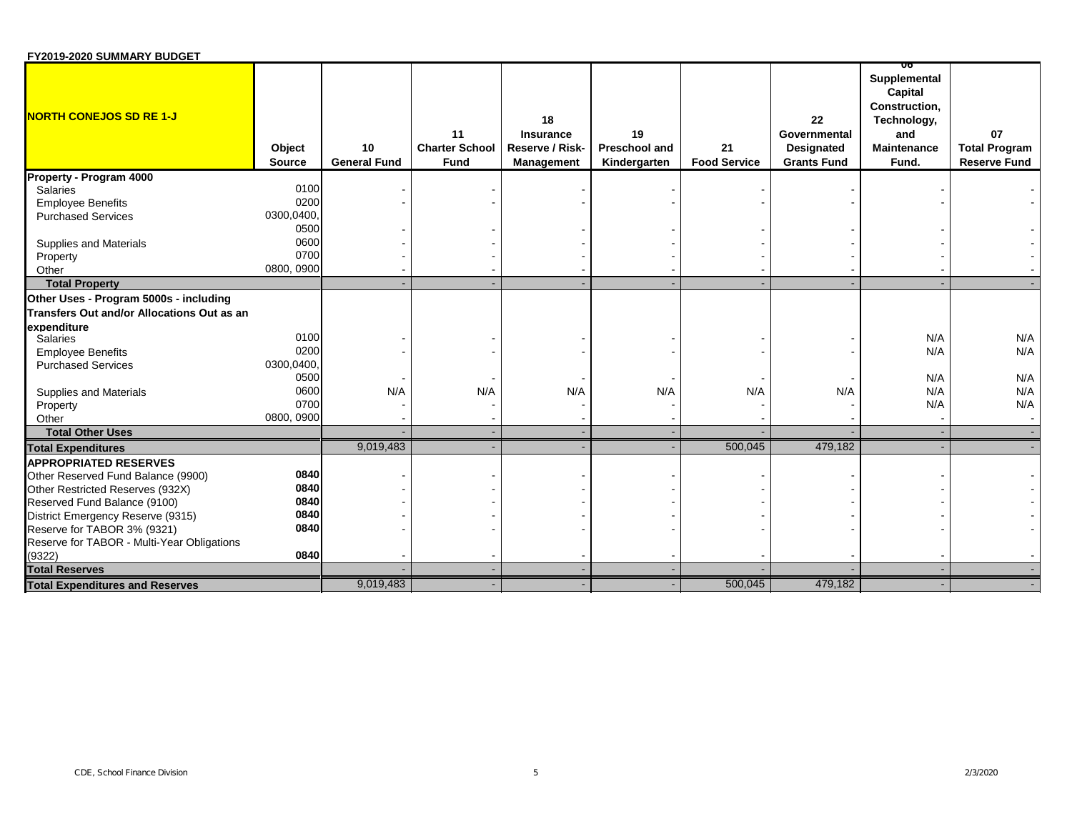| FY2019-2020 SUMMARY BUDGET                 |                         |                           |                                            |                                                                |                                            |                           |                                                        |                                                                                               |                                                   |
|--------------------------------------------|-------------------------|---------------------------|--------------------------------------------|----------------------------------------------------------------|--------------------------------------------|---------------------------|--------------------------------------------------------|-----------------------------------------------------------------------------------------------|---------------------------------------------------|
| <b>NORTH CONEJOS SD RE 1-J</b>             | Object<br><b>Source</b> | 10<br><b>General Fund</b> | 11<br><b>Charter School</b><br><b>Fund</b> | 18<br><b>Insurance</b><br>Reserve / Risk-<br><b>Management</b> | 19<br><b>Preschool and</b><br>Kindergarten | 21<br><b>Food Service</b> | 22<br>Governmental<br>Designated<br><b>Grants Fund</b> | Supplemental<br>Capital<br>Construction,<br>Technology,<br>and<br><b>Maintenance</b><br>Fund. | 07<br><b>Total Program</b><br><b>Reserve Fund</b> |
| Property - Program 4000                    |                         |                           |                                            |                                                                |                                            |                           |                                                        |                                                                                               |                                                   |
| Salaries                                   | 0100                    |                           |                                            |                                                                |                                            |                           |                                                        |                                                                                               |                                                   |
| <b>Employee Benefits</b>                   | 0200                    |                           |                                            |                                                                |                                            |                           |                                                        |                                                                                               |                                                   |
| <b>Purchased Services</b>                  | 0300,0400,              |                           |                                            |                                                                |                                            |                           |                                                        |                                                                                               |                                                   |
|                                            | 0500                    |                           |                                            |                                                                |                                            |                           |                                                        |                                                                                               |                                                   |
| Supplies and Materials                     | 0600                    |                           |                                            |                                                                |                                            |                           |                                                        |                                                                                               |                                                   |
| Property                                   | 0700                    |                           |                                            |                                                                |                                            |                           |                                                        |                                                                                               |                                                   |
| Other                                      | 0800, 0900              |                           |                                            |                                                                |                                            |                           |                                                        |                                                                                               |                                                   |
| <b>Total Property</b>                      |                         |                           |                                            |                                                                |                                            |                           |                                                        |                                                                                               |                                                   |
| Other Uses - Program 5000s - including     |                         |                           |                                            |                                                                |                                            |                           |                                                        |                                                                                               |                                                   |
| Transfers Out and/or Allocations Out as an |                         |                           |                                            |                                                                |                                            |                           |                                                        |                                                                                               |                                                   |
| expenditure                                |                         |                           |                                            |                                                                |                                            |                           |                                                        |                                                                                               |                                                   |
| Salaries                                   | 0100                    |                           |                                            |                                                                |                                            |                           |                                                        | N/A                                                                                           | N/A                                               |
| <b>Employee Benefits</b>                   | 0200                    |                           |                                            |                                                                |                                            |                           |                                                        | N/A                                                                                           | N/A                                               |
| <b>Purchased Services</b>                  | 0300,0400,              |                           |                                            |                                                                |                                            |                           |                                                        |                                                                                               |                                                   |
|                                            | 0500                    |                           |                                            |                                                                |                                            |                           |                                                        | N/A                                                                                           | N/A                                               |
| Supplies and Materials                     | 0600                    | N/A                       | N/A                                        | N/A                                                            | N/A                                        | N/A                       | N/A                                                    | N/A                                                                                           | N/A                                               |
| Property                                   | 0700                    |                           |                                            |                                                                |                                            |                           |                                                        | N/A                                                                                           | N/A                                               |
| Other                                      | 0800, 0900              |                           |                                            |                                                                |                                            |                           |                                                        |                                                                                               |                                                   |
| <b>Total Other Uses</b>                    |                         |                           |                                            |                                                                |                                            |                           |                                                        |                                                                                               |                                                   |
| <b>Total Expenditures</b>                  |                         | 9,019,483                 |                                            |                                                                |                                            | 500,045                   | 479,182                                                |                                                                                               |                                                   |
| <b>APPROPRIATED RESERVES</b>               |                         |                           |                                            |                                                                |                                            |                           |                                                        |                                                                                               |                                                   |
| Other Reserved Fund Balance (9900)         | 0840                    |                           |                                            |                                                                |                                            |                           |                                                        |                                                                                               |                                                   |
| Other Restricted Reserves (932X)           | 0840                    |                           |                                            |                                                                |                                            |                           |                                                        |                                                                                               |                                                   |
| Reserved Fund Balance (9100)               | 0840                    |                           |                                            |                                                                |                                            |                           |                                                        |                                                                                               |                                                   |
| District Emergency Reserve (9315)          | 0840                    |                           |                                            |                                                                |                                            |                           |                                                        |                                                                                               |                                                   |
| Reserve for TABOR 3% (9321)                | 0840                    |                           |                                            |                                                                |                                            |                           |                                                        |                                                                                               |                                                   |
| Reserve for TABOR - Multi-Year Obligations |                         |                           |                                            |                                                                |                                            |                           |                                                        |                                                                                               |                                                   |
| (9322)                                     | 0840                    |                           |                                            |                                                                |                                            |                           |                                                        |                                                                                               |                                                   |
| <b>Total Reserves</b>                      |                         |                           |                                            |                                                                |                                            |                           |                                                        |                                                                                               |                                                   |
| <b>Total Expenditures and Reserves</b>     |                         | 9,019,483                 |                                            |                                                                |                                            | 500,045                   | 479,182                                                |                                                                                               |                                                   |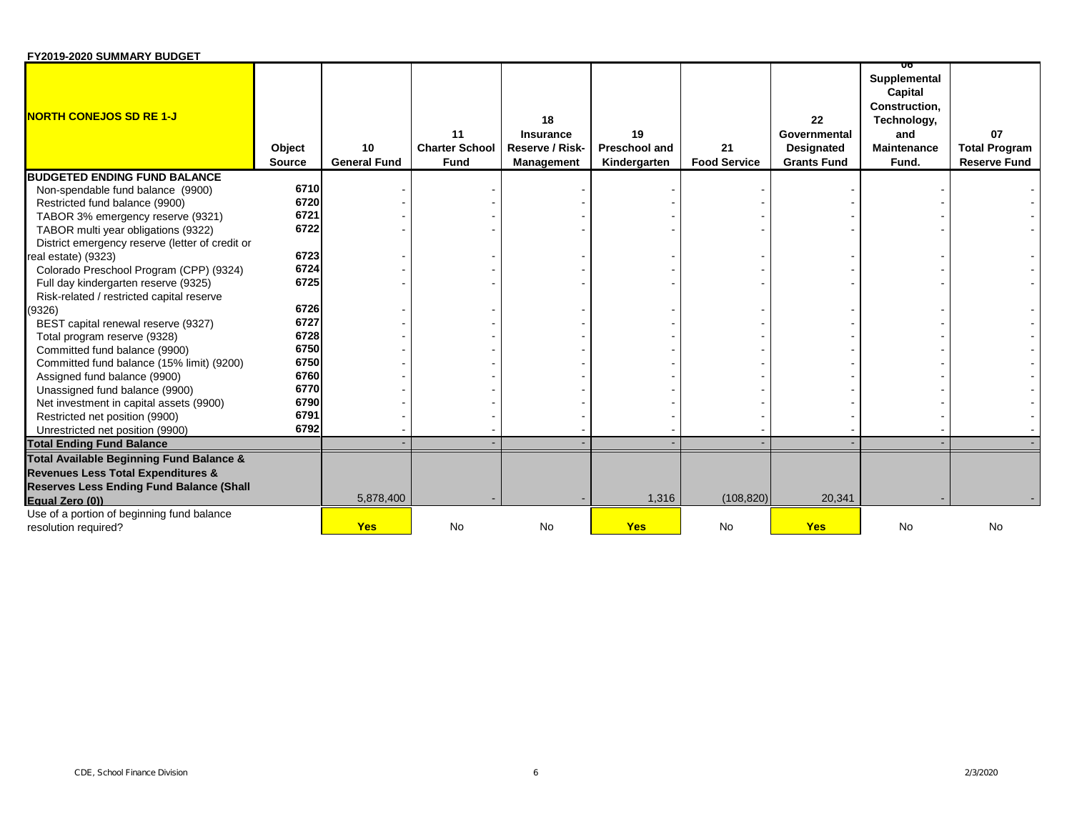| FY2019-2020 SUMMARY BUDGET                                         |                         |                           |                                            |                                                         |                                     |                           |                                                        |                                                                                                     |                                                   |
|--------------------------------------------------------------------|-------------------------|---------------------------|--------------------------------------------|---------------------------------------------------------|-------------------------------------|---------------------------|--------------------------------------------------------|-----------------------------------------------------------------------------------------------------|---------------------------------------------------|
| <b>NORTH CONEJOS SD RE 1-J</b>                                     | Object<br><b>Source</b> | 10<br><b>General Fund</b> | 11<br><b>Charter School</b><br><b>Fund</b> | 18<br>Insurance<br>Reserve / Risk-<br><b>Management</b> | 19<br>Preschool and<br>Kindergarten | 21<br><b>Food Service</b> | 22<br>Governmental<br>Designated<br><b>Grants Fund</b> | UΟ<br>Supplemental<br>Capital<br>Construction,<br>Technology,<br>and<br><b>Maintenance</b><br>Fund. | 07<br><b>Total Program</b><br><b>Reserve Fund</b> |
| <b>BUDGETED ENDING FUND BALANCE</b>                                |                         |                           |                                            |                                                         |                                     |                           |                                                        |                                                                                                     |                                                   |
| Non-spendable fund balance (9900)                                  | 6710                    |                           |                                            |                                                         |                                     |                           |                                                        |                                                                                                     |                                                   |
| Restricted fund balance (9900)                                     | 6720                    |                           |                                            |                                                         |                                     |                           |                                                        |                                                                                                     |                                                   |
| TABOR 3% emergency reserve (9321)                                  | 6721                    |                           |                                            |                                                         |                                     |                           |                                                        |                                                                                                     |                                                   |
| TABOR multi year obligations (9322)                                | 6722                    |                           |                                            |                                                         |                                     |                           |                                                        |                                                                                                     |                                                   |
| District emergency reserve (letter of credit or                    |                         |                           |                                            |                                                         |                                     |                           |                                                        |                                                                                                     |                                                   |
| real estate) (9323)                                                | 6723                    |                           |                                            |                                                         |                                     |                           |                                                        |                                                                                                     |                                                   |
| Colorado Preschool Program (CPP) (9324)                            | 6724                    |                           |                                            |                                                         |                                     |                           |                                                        |                                                                                                     |                                                   |
| Full day kindergarten reserve (9325)                               | 6725                    |                           |                                            |                                                         |                                     |                           |                                                        |                                                                                                     |                                                   |
| Risk-related / restricted capital reserve                          |                         |                           |                                            |                                                         |                                     |                           |                                                        |                                                                                                     |                                                   |
| (9326)                                                             | 6726                    |                           |                                            |                                                         |                                     |                           |                                                        |                                                                                                     |                                                   |
| BEST capital renewal reserve (9327)                                | 6727                    |                           |                                            |                                                         |                                     |                           |                                                        |                                                                                                     |                                                   |
| Total program reserve (9328)                                       | 6728                    |                           |                                            |                                                         |                                     |                           |                                                        |                                                                                                     |                                                   |
| Committed fund balance (9900)                                      | 6750                    |                           |                                            |                                                         |                                     |                           |                                                        |                                                                                                     |                                                   |
| Committed fund balance (15% limit) (9200)                          | 6750                    |                           |                                            |                                                         |                                     |                           |                                                        |                                                                                                     |                                                   |
| Assigned fund balance (9900)                                       | 6760                    |                           |                                            |                                                         |                                     |                           |                                                        |                                                                                                     |                                                   |
| Unassigned fund balance (9900)                                     | 6770                    |                           |                                            |                                                         |                                     |                           |                                                        |                                                                                                     |                                                   |
| Net investment in capital assets (9900)                            | 6790                    |                           |                                            |                                                         |                                     |                           |                                                        |                                                                                                     |                                                   |
| Restricted net position (9900)                                     | 6791                    |                           |                                            |                                                         |                                     |                           |                                                        |                                                                                                     |                                                   |
| Unrestricted net position (9900)                                   | 6792                    |                           |                                            |                                                         |                                     |                           |                                                        |                                                                                                     |                                                   |
| <b>Total Ending Fund Balance</b>                                   |                         |                           |                                            |                                                         |                                     |                           |                                                        |                                                                                                     |                                                   |
| Total Available Beginning Fund Balance &                           |                         |                           |                                            |                                                         |                                     |                           |                                                        |                                                                                                     |                                                   |
| <b>Revenues Less Total Expenditures &amp;</b>                      |                         |                           |                                            |                                                         |                                     |                           |                                                        |                                                                                                     |                                                   |
| <b>Reserves Less Ending Fund Balance (Shall</b>                    |                         |                           |                                            |                                                         |                                     |                           |                                                        |                                                                                                     |                                                   |
| Equal Zero (0))                                                    |                         | 5,878,400                 |                                            |                                                         | 1,316                               | (108, 820)                | 20,341                                                 |                                                                                                     |                                                   |
| Use of a portion of beginning fund balance<br>resolution required? |                         | <b>Yes</b>                | No                                         | <b>No</b>                                               | <b>Yes</b>                          | <b>No</b>                 | <b>Yes</b>                                             | No                                                                                                  | <b>No</b>                                         |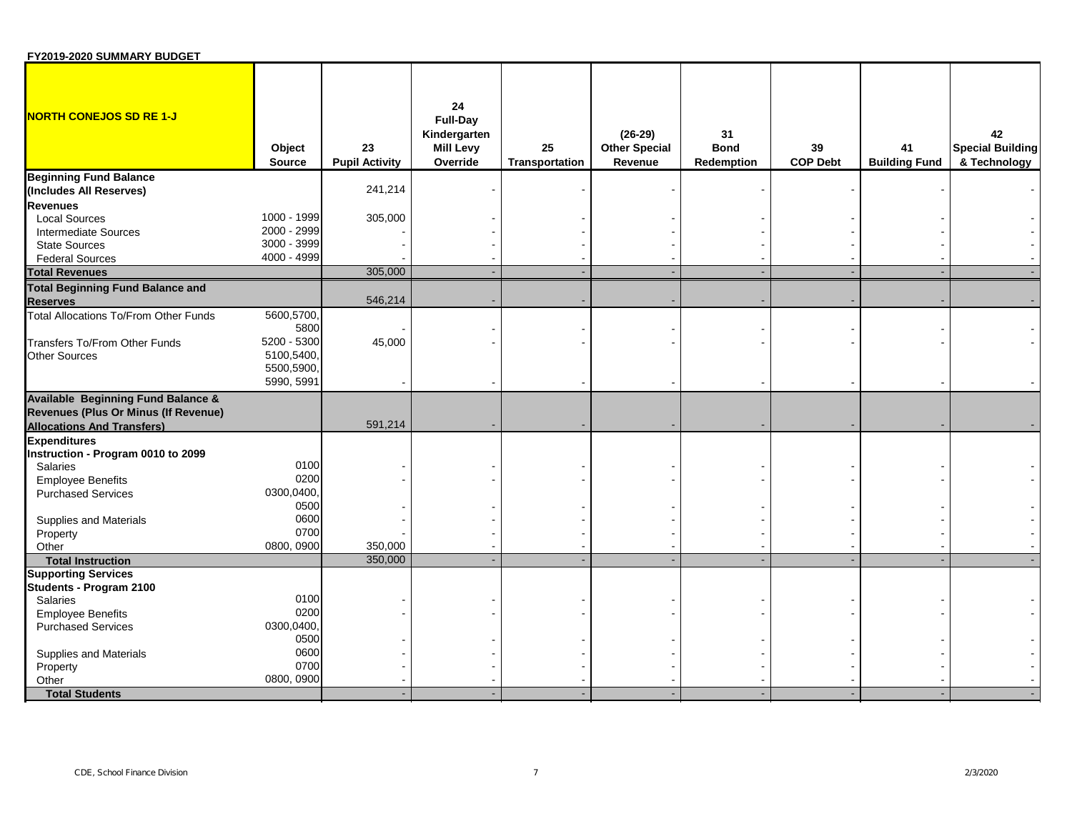| FY2019-2020 SUMMARY BUDGET |  |
|----------------------------|--|
|----------------------------|--|

| <b>NORTH CONEJOS SD RE 1-J</b>                           | Object                                 | 23                    | 24<br><b>Full-Day</b><br>Kindergarten<br><b>Mill Levy</b> | 25                    | $(26-29)$<br><b>Other Special</b> | 31<br><b>Bond</b> | 39              | 41                   | 42<br><b>Special Building</b> |
|----------------------------------------------------------|----------------------------------------|-----------------------|-----------------------------------------------------------|-----------------------|-----------------------------------|-------------------|-----------------|----------------------|-------------------------------|
|                                                          | Source                                 | <b>Pupil Activity</b> | Override                                                  | <b>Transportation</b> | Revenue                           | Redemption        | <b>COP Debt</b> | <b>Building Fund</b> | & Technology                  |
| <b>Beginning Fund Balance</b><br>(Includes All Reserves) |                                        | 241,214               |                                                           |                       |                                   |                   |                 |                      |                               |
| <b>Revenues</b>                                          |                                        |                       |                                                           |                       |                                   |                   |                 |                      |                               |
| <b>Local Sources</b>                                     | 1000 - 1999                            | 305,000               |                                                           |                       |                                   |                   |                 |                      |                               |
| <b>Intermediate Sources</b>                              | 2000 - 2999                            |                       |                                                           |                       |                                   |                   |                 |                      |                               |
| <b>State Sources</b>                                     | 3000 - 3999                            |                       |                                                           |                       |                                   |                   |                 |                      |                               |
| <b>Federal Sources</b>                                   | 4000 - 4999                            |                       |                                                           |                       |                                   |                   |                 |                      |                               |
| <b>Total Revenues</b>                                    |                                        | 305,000               |                                                           |                       |                                   |                   |                 |                      |                               |
| <b>Total Beginning Fund Balance and</b>                  |                                        |                       |                                                           |                       |                                   |                   |                 |                      |                               |
| <b>Reserves</b>                                          |                                        | 546,214               |                                                           |                       |                                   |                   |                 |                      |                               |
| Total Allocations To/From Other Funds                    | 5600,5700,<br>5800                     |                       |                                                           |                       |                                   |                   |                 |                      |                               |
| Transfers To/From Other Funds                            | 5200 - 5300                            | 45,000                |                                                           |                       |                                   |                   |                 |                      |                               |
| <b>Other Sources</b>                                     | 5100,5400,<br>5500,5900,<br>5990, 5991 |                       |                                                           |                       |                                   |                   |                 |                      |                               |
| <b>Available Beginning Fund Balance &amp;</b>            |                                        |                       |                                                           |                       |                                   |                   |                 |                      |                               |
| Revenues (Plus Or Minus (If Revenue)                     |                                        |                       |                                                           |                       |                                   |                   |                 |                      |                               |
| <b>Allocations And Transfers)</b>                        |                                        | 591,214               |                                                           |                       |                                   |                   |                 |                      |                               |
| <b>Expenditures</b>                                      |                                        |                       |                                                           |                       |                                   |                   |                 |                      |                               |
| Instruction - Program 0010 to 2099                       |                                        |                       |                                                           |                       |                                   |                   |                 |                      |                               |
| <b>Salaries</b>                                          | 0100                                   |                       |                                                           |                       |                                   |                   |                 |                      |                               |
| <b>Employee Benefits</b>                                 | 0200                                   |                       |                                                           |                       |                                   |                   |                 |                      |                               |
| <b>Purchased Services</b>                                | 0300,0400                              |                       |                                                           |                       |                                   |                   |                 |                      |                               |
|                                                          | 0500                                   |                       |                                                           |                       |                                   |                   |                 |                      |                               |
| Supplies and Materials                                   | 0600                                   |                       |                                                           |                       |                                   |                   |                 |                      |                               |
| Property                                                 | 0700                                   |                       |                                                           |                       |                                   |                   |                 |                      |                               |
| Other                                                    | 0800, 0900                             | 350,000               |                                                           |                       |                                   |                   |                 |                      |                               |
| <b>Total Instruction</b>                                 |                                        | 350,000               |                                                           |                       |                                   |                   |                 |                      |                               |
| <b>Supporting Services</b>                               |                                        |                       |                                                           |                       |                                   |                   |                 |                      |                               |
| Students - Program 2100                                  |                                        |                       |                                                           |                       |                                   |                   |                 |                      |                               |
| Salaries                                                 | 0100                                   |                       |                                                           |                       |                                   |                   |                 |                      |                               |
| <b>Employee Benefits</b>                                 | 0200                                   |                       |                                                           |                       |                                   |                   |                 |                      |                               |
| <b>Purchased Services</b>                                | 0300,0400,                             |                       |                                                           |                       |                                   |                   |                 |                      |                               |
|                                                          | 0500                                   |                       |                                                           |                       |                                   |                   |                 |                      |                               |
| Supplies and Materials                                   | 0600                                   |                       |                                                           |                       |                                   |                   |                 |                      |                               |
| Property                                                 | 0700                                   |                       |                                                           |                       |                                   |                   |                 |                      |                               |
| Other                                                    | 0800, 0900                             |                       |                                                           |                       |                                   |                   |                 |                      |                               |
| <b>Total Students</b>                                    |                                        |                       |                                                           |                       |                                   |                   |                 |                      |                               |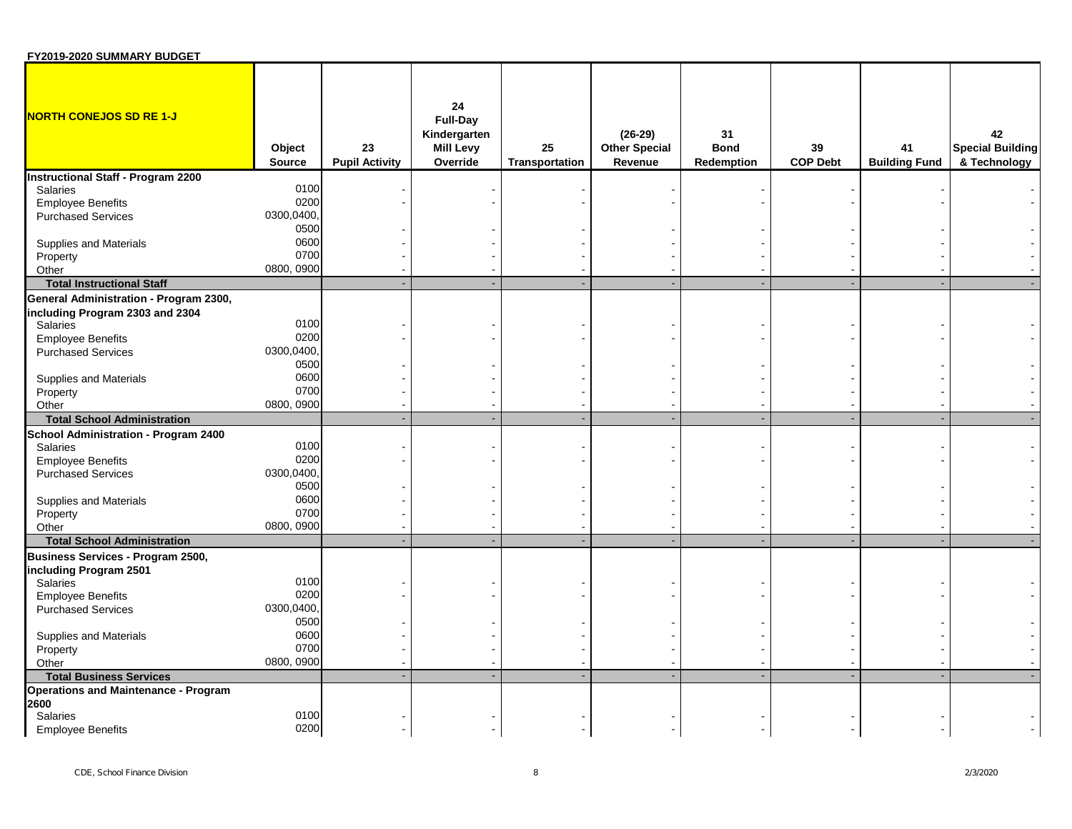| FY2019-2020 SUMMARY BUDGET                  |                         |                             |                                                                       |                      |                                              |                                        |                       |                            |                                               |
|---------------------------------------------|-------------------------|-----------------------------|-----------------------------------------------------------------------|----------------------|----------------------------------------------|----------------------------------------|-----------------------|----------------------------|-----------------------------------------------|
| <b>NORTH CONEJOS SD RE 1-J</b>              | Object<br><b>Source</b> | 23<br><b>Pupil Activity</b> | 24<br><b>Full-Day</b><br>Kindergarten<br><b>Mill Levy</b><br>Override | 25<br>Transportation | $(26-29)$<br><b>Other Special</b><br>Revenue | 31<br><b>Bond</b><br><b>Redemption</b> | 39<br><b>COP Debt</b> | 41<br><b>Building Fund</b> | 42<br><b>Special Building</b><br>& Technology |
| <b>Instructional Staff - Program 2200</b>   |                         |                             |                                                                       |                      |                                              |                                        |                       |                            |                                               |
| Salaries                                    | 0100                    |                             |                                                                       |                      |                                              |                                        |                       |                            |                                               |
| <b>Employee Benefits</b>                    | 0200                    |                             |                                                                       |                      |                                              |                                        |                       |                            |                                               |
| <b>Purchased Services</b>                   | 0300,0400,              |                             |                                                                       |                      |                                              |                                        |                       |                            |                                               |
|                                             | 0500                    |                             |                                                                       |                      |                                              |                                        |                       |                            |                                               |
| Supplies and Materials                      | 0600                    |                             |                                                                       |                      |                                              |                                        |                       |                            |                                               |
| Property                                    | 0700                    |                             |                                                                       |                      |                                              |                                        |                       |                            |                                               |
| Other                                       | 0800, 0900              |                             |                                                                       |                      |                                              |                                        |                       |                            |                                               |
| <b>Total Instructional Staff</b>            |                         |                             |                                                                       |                      |                                              |                                        |                       |                            |                                               |
| General Administration - Program 2300,      |                         |                             |                                                                       |                      |                                              |                                        |                       |                            |                                               |
| including Program 2303 and 2304             |                         |                             |                                                                       |                      |                                              |                                        |                       |                            |                                               |
| Salaries                                    | 0100                    |                             |                                                                       |                      |                                              |                                        |                       |                            |                                               |
| <b>Employee Benefits</b>                    | 0200                    |                             |                                                                       |                      |                                              |                                        |                       |                            |                                               |
| <b>Purchased Services</b>                   | 0300,0400,              |                             |                                                                       |                      |                                              |                                        |                       |                            |                                               |
|                                             | 0500                    |                             |                                                                       |                      |                                              |                                        |                       |                            |                                               |
| Supplies and Materials                      | 0600<br>0700            |                             |                                                                       |                      |                                              |                                        |                       |                            |                                               |
| Property                                    | 0800, 0900              |                             |                                                                       |                      |                                              |                                        |                       |                            |                                               |
| Other<br><b>Total School Administration</b> |                         |                             |                                                                       |                      |                                              |                                        |                       |                            |                                               |
|                                             |                         |                             |                                                                       |                      |                                              |                                        |                       |                            |                                               |
| School Administration - Program 2400        | 0100                    |                             |                                                                       |                      |                                              |                                        |                       |                            |                                               |
| Salaries<br><b>Employee Benefits</b>        | 0200                    |                             |                                                                       |                      |                                              |                                        |                       |                            |                                               |
| <b>Purchased Services</b>                   | 0300,0400,              |                             |                                                                       |                      |                                              |                                        |                       |                            |                                               |
|                                             | 0500                    |                             |                                                                       |                      |                                              |                                        |                       |                            |                                               |
| Supplies and Materials                      | 0600                    |                             |                                                                       |                      |                                              |                                        |                       |                            |                                               |
| Property                                    | 0700                    |                             |                                                                       |                      |                                              |                                        |                       |                            |                                               |
| Other                                       | 0800, 0900              |                             |                                                                       |                      |                                              |                                        |                       |                            |                                               |
| <b>Total School Administration</b>          |                         |                             |                                                                       |                      | ÷.                                           |                                        |                       |                            |                                               |
| Business Services - Program 2500,           |                         |                             |                                                                       |                      |                                              |                                        |                       |                            |                                               |
| including Program 2501                      |                         |                             |                                                                       |                      |                                              |                                        |                       |                            |                                               |
| <b>Salaries</b>                             | 0100                    |                             |                                                                       |                      |                                              |                                        |                       |                            |                                               |
| <b>Employee Benefits</b>                    | 0200                    |                             |                                                                       |                      |                                              |                                        |                       |                            |                                               |
| <b>Purchased Services</b>                   | 0300,0400,              |                             |                                                                       |                      |                                              |                                        |                       |                            |                                               |
|                                             | 0500                    |                             |                                                                       |                      |                                              |                                        |                       |                            |                                               |
| Supplies and Materials                      | 0600                    |                             |                                                                       |                      |                                              |                                        |                       |                            |                                               |
| Property                                    | 0700                    |                             |                                                                       |                      |                                              |                                        |                       |                            |                                               |
| Other                                       | 0800, 0900              |                             |                                                                       |                      |                                              |                                        |                       |                            |                                               |
| <b>Total Business Services</b>              |                         |                             |                                                                       |                      |                                              | ×.                                     |                       |                            |                                               |
| <b>Operations and Maintenance - Program</b> |                         |                             |                                                                       |                      |                                              |                                        |                       |                            |                                               |
| 2600                                        |                         |                             |                                                                       |                      |                                              |                                        |                       |                            |                                               |
| Salaries                                    | 0100                    |                             |                                                                       |                      |                                              |                                        |                       |                            |                                               |
| <b>Employee Benefits</b>                    | 0200                    |                             |                                                                       |                      |                                              |                                        |                       |                            |                                               |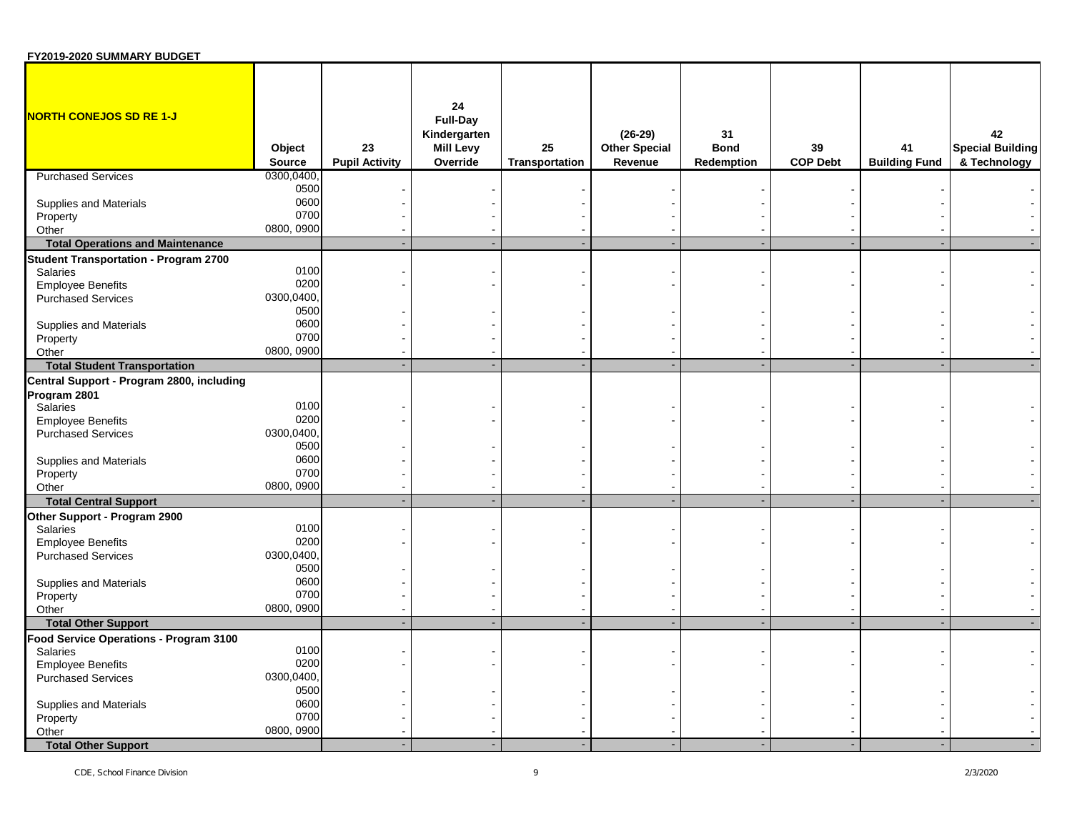| FY2019-2020 SUMMARY BUDGET                   |                         |                             |                                                                |                      |                                              |                                 |                       |                            |                                               |
|----------------------------------------------|-------------------------|-----------------------------|----------------------------------------------------------------|----------------------|----------------------------------------------|---------------------------------|-----------------------|----------------------------|-----------------------------------------------|
| NORTH CONEJOS SD RE 1-J                      | Object<br><b>Source</b> | 23<br><b>Pupil Activity</b> | 24<br>Full-Day<br>Kindergarten<br><b>Mill Levy</b><br>Override | 25<br>Transportation | $(26-29)$<br><b>Other Special</b><br>Revenue | 31<br><b>Bond</b><br>Redemption | 39<br><b>COP Debt</b> | 41<br><b>Building Fund</b> | 42<br><b>Special Building</b><br>& Technology |
| <b>Purchased Services</b>                    | 0300,0400,              |                             |                                                                |                      |                                              |                                 |                       |                            |                                               |
|                                              | 0500                    |                             |                                                                |                      |                                              |                                 |                       |                            |                                               |
| Supplies and Materials                       | 0600                    |                             |                                                                |                      |                                              |                                 |                       |                            |                                               |
| Property                                     | 0700                    |                             |                                                                |                      |                                              |                                 |                       |                            |                                               |
| Other                                        | 0800, 0900              |                             |                                                                |                      |                                              |                                 |                       |                            |                                               |
| <b>Total Operations and Maintenance</b>      |                         |                             |                                                                |                      |                                              |                                 |                       |                            |                                               |
| <b>Student Transportation - Program 2700</b> |                         |                             |                                                                |                      |                                              |                                 |                       |                            |                                               |
| Salaries                                     | 0100                    |                             |                                                                |                      |                                              |                                 |                       |                            |                                               |
| <b>Employee Benefits</b>                     | 0200                    |                             |                                                                |                      |                                              |                                 |                       |                            |                                               |
| <b>Purchased Services</b>                    | 0300,0400,              |                             |                                                                |                      |                                              |                                 |                       |                            |                                               |
|                                              | 0500                    |                             |                                                                |                      |                                              |                                 |                       |                            |                                               |
| <b>Supplies and Materials</b>                | 0600                    |                             |                                                                |                      |                                              |                                 |                       |                            |                                               |
| Property                                     | 0700                    |                             |                                                                |                      |                                              |                                 |                       |                            |                                               |
| Other                                        | 0800, 0900              |                             |                                                                |                      |                                              |                                 |                       |                            |                                               |
| <b>Total Student Transportation</b>          |                         |                             |                                                                |                      |                                              |                                 |                       |                            |                                               |
|                                              |                         |                             |                                                                |                      |                                              |                                 |                       |                            |                                               |
| Central Support - Program 2800, including    |                         |                             |                                                                |                      |                                              |                                 |                       |                            |                                               |
| Program 2801<br>Salaries                     | 0100                    |                             |                                                                |                      |                                              |                                 |                       |                            |                                               |
|                                              | 0200                    |                             |                                                                |                      |                                              |                                 |                       |                            |                                               |
| <b>Employee Benefits</b>                     | 0300,0400,              |                             |                                                                |                      |                                              |                                 |                       |                            |                                               |
| <b>Purchased Services</b>                    |                         |                             |                                                                |                      |                                              |                                 |                       |                            |                                               |
|                                              | 0500<br>0600            |                             |                                                                |                      |                                              |                                 |                       |                            |                                               |
| <b>Supplies and Materials</b>                | 0700                    |                             |                                                                |                      |                                              |                                 |                       |                            |                                               |
| Property                                     |                         |                             |                                                                |                      |                                              |                                 |                       |                            |                                               |
| Other                                        | 0800, 0900              |                             |                                                                |                      |                                              |                                 |                       |                            |                                               |
| <b>Total Central Support</b>                 |                         |                             |                                                                |                      |                                              |                                 |                       |                            |                                               |
| Other Support - Program 2900                 |                         |                             |                                                                |                      |                                              |                                 |                       |                            |                                               |
| Salaries                                     | 0100                    |                             |                                                                |                      |                                              |                                 |                       |                            |                                               |
| <b>Employee Benefits</b>                     | 0200                    |                             |                                                                |                      |                                              |                                 |                       |                            |                                               |
| <b>Purchased Services</b>                    | 0300,0400,              |                             |                                                                |                      |                                              |                                 |                       |                            |                                               |
|                                              | 0500                    |                             |                                                                |                      |                                              |                                 |                       |                            |                                               |
| Supplies and Materials                       | 0600                    |                             |                                                                |                      |                                              |                                 |                       |                            |                                               |
| Property                                     | 0700                    |                             |                                                                |                      |                                              |                                 |                       |                            |                                               |
| Other                                        | 0800, 0900              |                             |                                                                |                      |                                              |                                 |                       |                            |                                               |
| <b>Total Other Support</b>                   |                         |                             |                                                                |                      |                                              |                                 |                       |                            |                                               |
| Food Service Operations - Program 3100       |                         |                             |                                                                |                      |                                              |                                 |                       |                            |                                               |
| Salaries                                     | 0100                    |                             |                                                                |                      |                                              |                                 |                       |                            |                                               |
| <b>Employee Benefits</b>                     | 0200                    |                             |                                                                |                      |                                              |                                 |                       |                            |                                               |
| <b>Purchased Services</b>                    | 0300,0400,              |                             |                                                                |                      |                                              |                                 |                       |                            |                                               |
|                                              | 0500                    |                             |                                                                |                      |                                              |                                 |                       |                            |                                               |
| Supplies and Materials                       | 0600                    |                             |                                                                |                      |                                              |                                 |                       |                            |                                               |
| Property                                     | 0700                    |                             |                                                                |                      |                                              |                                 |                       |                            |                                               |
| Other                                        | 0800, 0900              |                             |                                                                |                      |                                              |                                 |                       |                            |                                               |
| <b>Total Other Support</b>                   |                         |                             |                                                                |                      |                                              |                                 |                       |                            |                                               |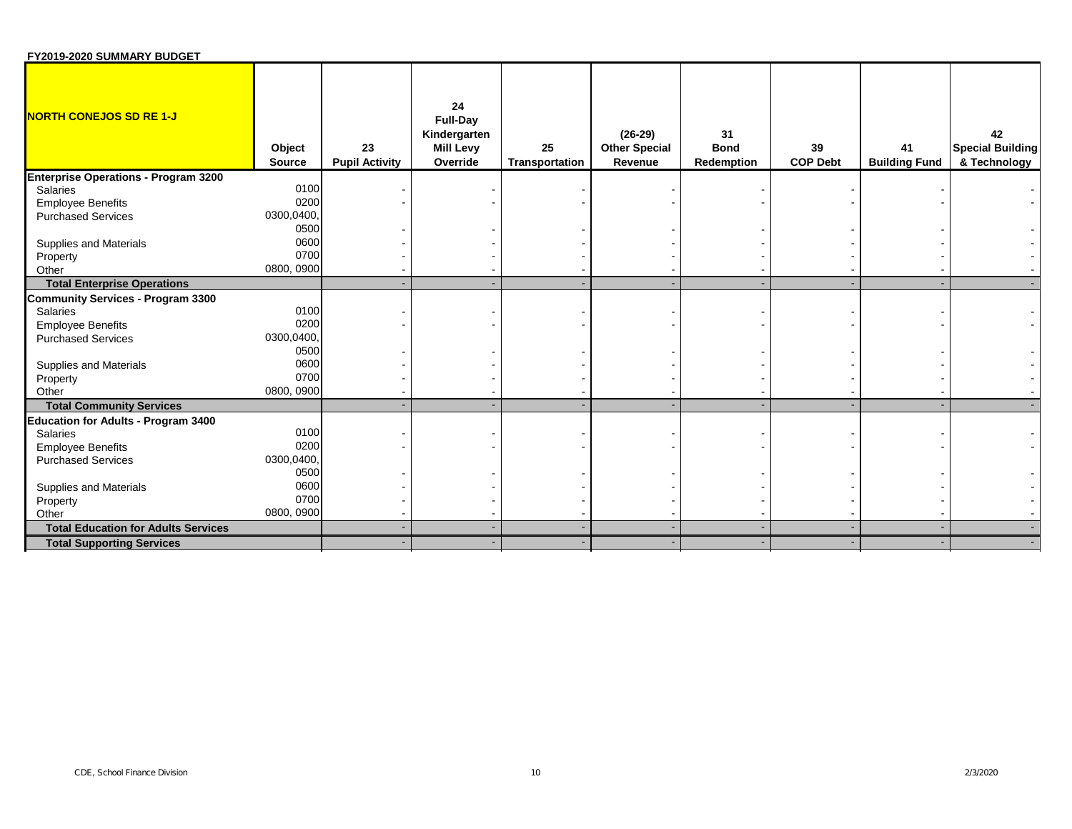| FY2019-2020 SUMMARY BUDGET                  |                         |                             |                                                                       |                      |                                              |                                 |                       |                            |                                               |
|---------------------------------------------|-------------------------|-----------------------------|-----------------------------------------------------------------------|----------------------|----------------------------------------------|---------------------------------|-----------------------|----------------------------|-----------------------------------------------|
| <b>NORTH CONEJOS SD RE 1-J</b>              | Object<br><b>Source</b> | 23<br><b>Pupil Activity</b> | 24<br><b>Full-Day</b><br>Kindergarten<br><b>Mill Levy</b><br>Override | 25<br>Transportation | $(26-29)$<br><b>Other Special</b><br>Revenue | 31<br><b>Bond</b><br>Redemption | 39<br><b>COP Debt</b> | 41<br><b>Building Fund</b> | 42<br><b>Special Building</b><br>& Technology |
| <b>Enterprise Operations - Program 3200</b> |                         |                             |                                                                       |                      |                                              |                                 |                       |                            |                                               |
| Salaries                                    | 0100                    |                             |                                                                       |                      |                                              |                                 |                       |                            |                                               |
| <b>Employee Benefits</b>                    | 0200                    |                             |                                                                       |                      |                                              |                                 |                       |                            |                                               |
| <b>Purchased Services</b>                   | 0300,0400,              |                             |                                                                       |                      |                                              |                                 |                       |                            |                                               |
|                                             | 0500                    |                             |                                                                       |                      |                                              |                                 |                       |                            |                                               |
| <b>Supplies and Materials</b>               | 0600                    |                             |                                                                       |                      |                                              |                                 |                       |                            |                                               |
| Property                                    | 0700                    |                             |                                                                       |                      |                                              |                                 |                       |                            |                                               |
| Other                                       | 0800, 0900              |                             |                                                                       |                      |                                              |                                 |                       |                            |                                               |
| <b>Total Enterprise Operations</b>          |                         |                             |                                                                       |                      |                                              |                                 |                       |                            |                                               |
| <b>Community Services - Program 3300</b>    |                         |                             |                                                                       |                      |                                              |                                 |                       |                            |                                               |
| Salaries                                    | 0100                    |                             |                                                                       |                      |                                              |                                 |                       |                            |                                               |
| <b>Employee Benefits</b>                    | 0200                    |                             |                                                                       |                      |                                              |                                 |                       |                            |                                               |
| <b>Purchased Services</b>                   | 0300,0400,              |                             |                                                                       |                      |                                              |                                 |                       |                            |                                               |
|                                             | 0500                    |                             |                                                                       |                      |                                              |                                 |                       |                            |                                               |
| Supplies and Materials                      | 0600                    |                             |                                                                       |                      |                                              |                                 |                       |                            |                                               |
| Property                                    | 0700                    |                             |                                                                       |                      |                                              |                                 |                       |                            |                                               |
| Other                                       | 0800, 0900              |                             |                                                                       |                      |                                              |                                 |                       |                            |                                               |
| <b>Total Community Services</b>             |                         |                             |                                                                       |                      |                                              |                                 |                       |                            |                                               |
| <b>Education for Adults - Program 3400</b>  |                         |                             |                                                                       |                      |                                              |                                 |                       |                            |                                               |
| Salaries                                    | 0100                    |                             |                                                                       |                      |                                              |                                 |                       |                            |                                               |
| <b>Employee Benefits</b>                    | 0200                    |                             |                                                                       |                      |                                              |                                 |                       |                            |                                               |
| <b>Purchased Services</b>                   | 0300,0400,              |                             |                                                                       |                      |                                              |                                 |                       |                            |                                               |
|                                             | 0500                    |                             |                                                                       |                      |                                              |                                 |                       |                            |                                               |
| <b>Supplies and Materials</b>               | 0600                    |                             |                                                                       |                      |                                              |                                 |                       |                            |                                               |
| Property                                    | 0700                    |                             |                                                                       |                      |                                              |                                 |                       |                            |                                               |
| Other                                       | 0800, 0900              |                             |                                                                       |                      |                                              |                                 |                       |                            |                                               |
| <b>Total Education for Adults Services</b>  |                         |                             |                                                                       |                      |                                              |                                 |                       |                            |                                               |
| <b>Total Supporting Services</b>            |                         |                             |                                                                       |                      |                                              |                                 |                       |                            |                                               |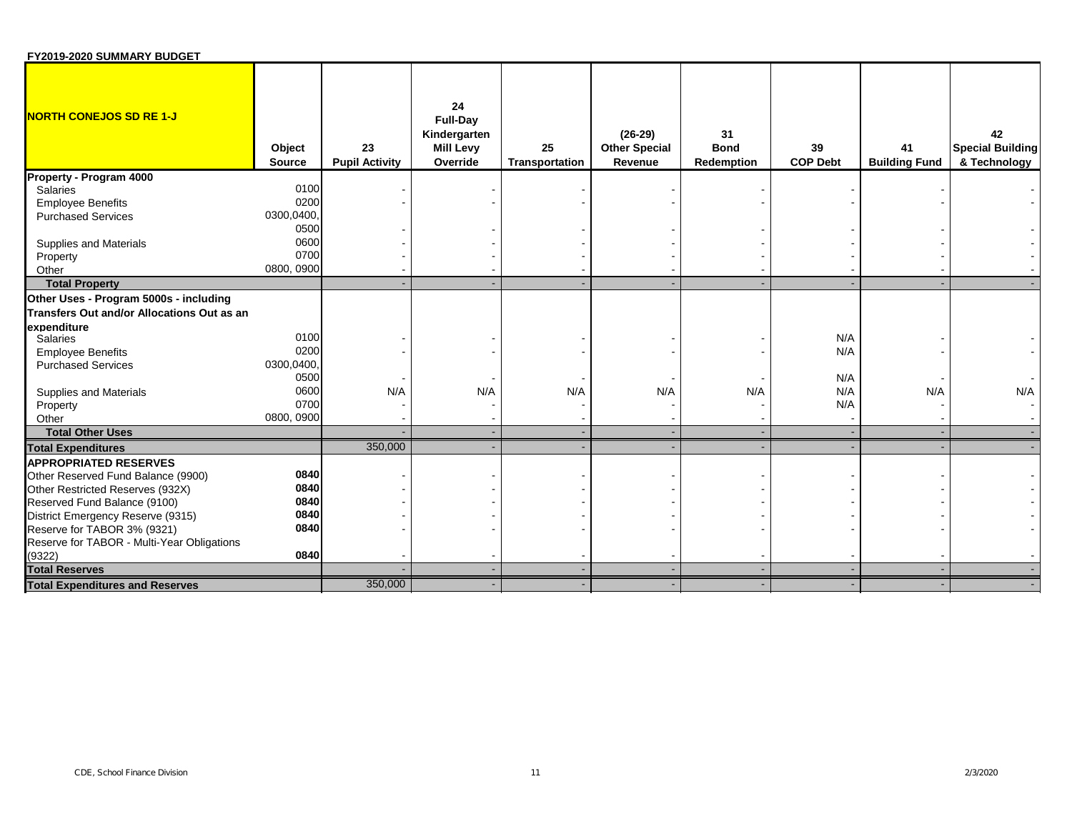| FY2019-2020 SUMMARY BUDGET                 |                         |                             |                                                                       |                      |                                              |                                 |                       |                            |                                               |
|--------------------------------------------|-------------------------|-----------------------------|-----------------------------------------------------------------------|----------------------|----------------------------------------------|---------------------------------|-----------------------|----------------------------|-----------------------------------------------|
| <b>NORTH CONEJOS SD RE 1-J</b>             | Object<br><b>Source</b> | 23<br><b>Pupil Activity</b> | 24<br><b>Full-Day</b><br>Kindergarten<br><b>Mill Levy</b><br>Override | 25<br>Transportation | $(26-29)$<br><b>Other Special</b><br>Revenue | 31<br><b>Bond</b><br>Redemption | 39<br><b>COP Debt</b> | 41<br><b>Building Fund</b> | 42<br><b>Special Building</b><br>& Technology |
| Property - Program 4000                    |                         |                             |                                                                       |                      |                                              |                                 |                       |                            |                                               |
| Salaries                                   | 0100                    |                             |                                                                       |                      |                                              |                                 |                       |                            |                                               |
| <b>Employee Benefits</b>                   | 0200                    |                             |                                                                       |                      |                                              |                                 |                       |                            |                                               |
| <b>Purchased Services</b>                  | 0300,0400,              |                             |                                                                       |                      |                                              |                                 |                       |                            |                                               |
|                                            | 0500                    |                             |                                                                       |                      |                                              |                                 |                       |                            |                                               |
| Supplies and Materials                     | 0600                    |                             |                                                                       |                      |                                              |                                 |                       |                            |                                               |
| Property                                   | 0700                    |                             |                                                                       |                      |                                              |                                 |                       |                            |                                               |
| Other                                      | 0800, 0900              |                             |                                                                       |                      |                                              |                                 |                       |                            |                                               |
| <b>Total Property</b>                      |                         |                             |                                                                       |                      |                                              |                                 |                       |                            |                                               |
| Other Uses - Program 5000s - including     |                         |                             |                                                                       |                      |                                              |                                 |                       |                            |                                               |
| Transfers Out and/or Allocations Out as an |                         |                             |                                                                       |                      |                                              |                                 |                       |                            |                                               |
| expenditure                                |                         |                             |                                                                       |                      |                                              |                                 |                       |                            |                                               |
| Salaries                                   | 0100                    |                             |                                                                       |                      |                                              |                                 | N/A                   |                            |                                               |
| <b>Employee Benefits</b>                   | 0200                    |                             |                                                                       |                      |                                              |                                 | N/A                   |                            |                                               |
| <b>Purchased Services</b>                  | 0300,0400,              |                             |                                                                       |                      |                                              |                                 |                       |                            |                                               |
|                                            | 0500                    |                             |                                                                       |                      |                                              |                                 | N/A                   |                            |                                               |
| Supplies and Materials                     | 0600                    | N/A                         | N/A                                                                   | N/A                  | N/A                                          | N/A                             | N/A                   | N/A                        | N/A                                           |
| Property                                   | 0700                    |                             |                                                                       |                      |                                              |                                 | N/A                   |                            |                                               |
| Other                                      | 0800, 0900              |                             |                                                                       |                      |                                              |                                 |                       |                            |                                               |
| <b>Total Other Uses</b>                    |                         |                             | $\sim$                                                                |                      |                                              |                                 |                       |                            |                                               |
| <b>Total Expenditures</b>                  |                         | 350,000                     |                                                                       |                      |                                              |                                 |                       |                            |                                               |
| <b>APPROPRIATED RESERVES</b>               |                         |                             |                                                                       |                      |                                              |                                 |                       |                            |                                               |
| Other Reserved Fund Balance (9900)         | 0840                    |                             |                                                                       |                      |                                              |                                 |                       |                            |                                               |
| Other Restricted Reserves (932X)           | 0840                    |                             |                                                                       |                      |                                              |                                 |                       |                            |                                               |
| Reserved Fund Balance (9100)               | 0840                    |                             |                                                                       |                      |                                              |                                 |                       |                            |                                               |
| District Emergency Reserve (9315)          | 0840                    |                             |                                                                       |                      |                                              |                                 |                       |                            |                                               |
| Reserve for TABOR 3% (9321)                | 0840                    |                             |                                                                       |                      |                                              |                                 |                       |                            |                                               |
| Reserve for TABOR - Multi-Year Obligations |                         |                             |                                                                       |                      |                                              |                                 |                       |                            |                                               |
| (9322)                                     | 0840                    |                             |                                                                       |                      |                                              |                                 |                       |                            |                                               |
| <b>Total Reserves</b>                      |                         |                             |                                                                       |                      |                                              |                                 |                       |                            |                                               |
| <b>Total Expenditures and Reserves</b>     |                         | 350,000                     |                                                                       |                      |                                              |                                 |                       |                            |                                               |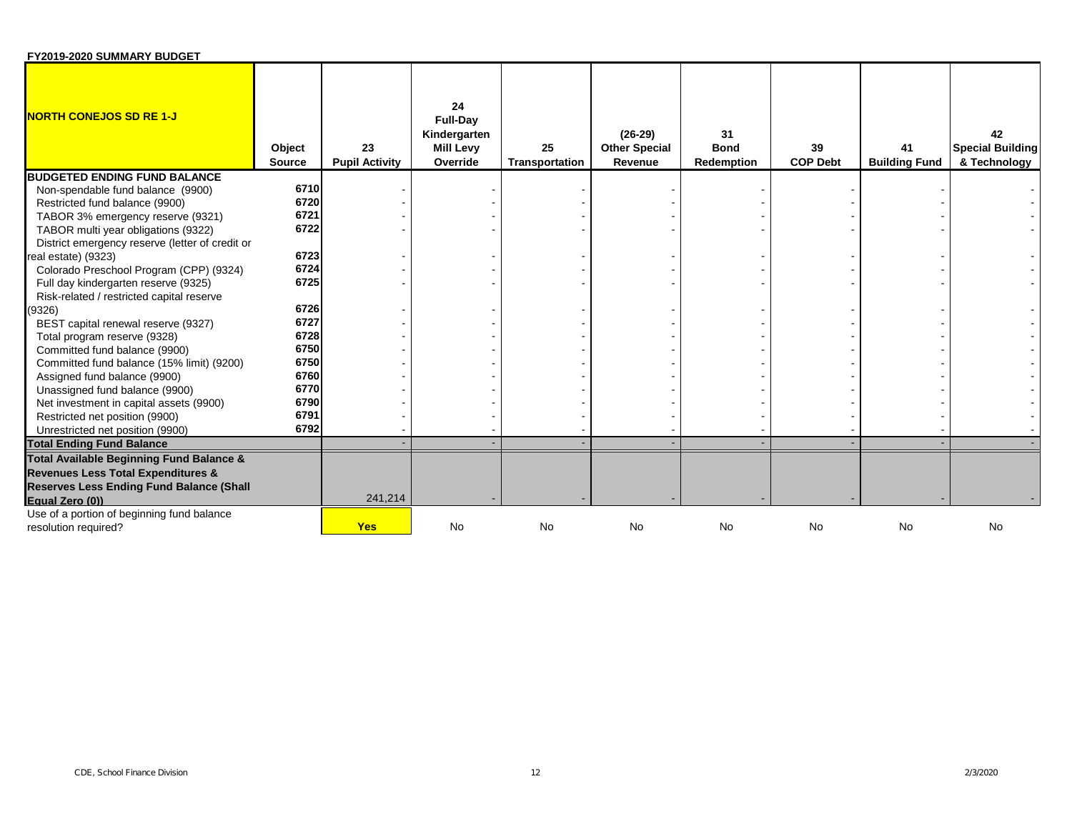| FY2019-2020 SUMMARY BUDGET                      |                         |                             |                                                                       |                      |                                              |                                        |                       |                            |                                               |
|-------------------------------------------------|-------------------------|-----------------------------|-----------------------------------------------------------------------|----------------------|----------------------------------------------|----------------------------------------|-----------------------|----------------------------|-----------------------------------------------|
| <b>NORTH CONEJOS SD RE 1-J</b>                  | Object<br><b>Source</b> | 23<br><b>Pupil Activity</b> | 24<br><b>Full-Day</b><br>Kindergarten<br><b>Mill Levy</b><br>Override | 25<br>Transportation | $(26-29)$<br><b>Other Special</b><br>Revenue | 31<br><b>Bond</b><br><b>Redemption</b> | 39<br><b>COP Debt</b> | 41<br><b>Building Fund</b> | 42<br><b>Special Building</b><br>& Technology |
| <b>BUDGETED ENDING FUND BALANCE</b>             |                         |                             |                                                                       |                      |                                              |                                        |                       |                            |                                               |
| Non-spendable fund balance (9900)               | 6710                    |                             |                                                                       |                      |                                              |                                        |                       |                            |                                               |
| Restricted fund balance (9900)                  | 6720                    |                             |                                                                       |                      |                                              |                                        |                       |                            |                                               |
| TABOR 3% emergency reserve (9321)               | 6721                    |                             |                                                                       |                      |                                              |                                        |                       |                            |                                               |
| TABOR multi year obligations (9322)             | 6722                    |                             |                                                                       |                      |                                              |                                        |                       |                            |                                               |
| District emergency reserve (letter of credit or |                         |                             |                                                                       |                      |                                              |                                        |                       |                            |                                               |
| real estate) (9323)                             | 6723                    |                             |                                                                       |                      |                                              |                                        |                       |                            |                                               |
| Colorado Preschool Program (CPP) (9324)         | 6724                    |                             |                                                                       |                      |                                              |                                        |                       |                            |                                               |
| Full day kindergarten reserve (9325)            | 6725                    |                             |                                                                       |                      |                                              |                                        |                       |                            |                                               |
| Risk-related / restricted capital reserve       |                         |                             |                                                                       |                      |                                              |                                        |                       |                            |                                               |
| (9326)                                          | 6726                    |                             |                                                                       |                      |                                              |                                        |                       |                            |                                               |
| BEST capital renewal reserve (9327)             | 6727                    |                             |                                                                       |                      |                                              |                                        |                       |                            |                                               |
| Total program reserve (9328)                    | 6728                    |                             |                                                                       |                      |                                              |                                        |                       |                            |                                               |
| Committed fund balance (9900)                   | 6750                    |                             |                                                                       |                      |                                              |                                        |                       |                            |                                               |
| Committed fund balance (15% limit) (9200)       | 6750                    |                             |                                                                       |                      |                                              |                                        |                       |                            |                                               |
| Assigned fund balance (9900)                    | 6760                    |                             |                                                                       |                      |                                              |                                        |                       |                            |                                               |
| Unassigned fund balance (9900)                  | 6770                    |                             |                                                                       |                      |                                              |                                        |                       |                            |                                               |
| Net investment in capital assets (9900)         | 6790                    |                             |                                                                       |                      |                                              |                                        |                       |                            |                                               |
| Restricted net position (9900)                  | 6791                    |                             |                                                                       |                      |                                              |                                        |                       |                            |                                               |
| Unrestricted net position (9900)                | 6792                    |                             |                                                                       |                      |                                              |                                        |                       |                            |                                               |
| <b>Total Ending Fund Balance</b>                |                         |                             |                                                                       |                      |                                              |                                        |                       |                            |                                               |
| Total Available Beginning Fund Balance &        |                         |                             |                                                                       |                      |                                              |                                        |                       |                            |                                               |
| <b>Revenues Less Total Expenditures &amp;</b>   |                         |                             |                                                                       |                      |                                              |                                        |                       |                            |                                               |
| <b>Reserves Less Ending Fund Balance (Shall</b> |                         |                             |                                                                       |                      |                                              |                                        |                       |                            |                                               |
| Equal Zero (0))                                 |                         | 241,214                     |                                                                       |                      |                                              |                                        |                       |                            |                                               |
| Use of a portion of beginning fund balance      |                         |                             |                                                                       |                      |                                              |                                        |                       |                            |                                               |
| resolution required?                            |                         | <b>Yes</b>                  | <b>No</b>                                                             | <b>No</b>            | <b>No</b>                                    | <b>No</b>                              | <b>No</b>             | <b>No</b>                  | <b>No</b>                                     |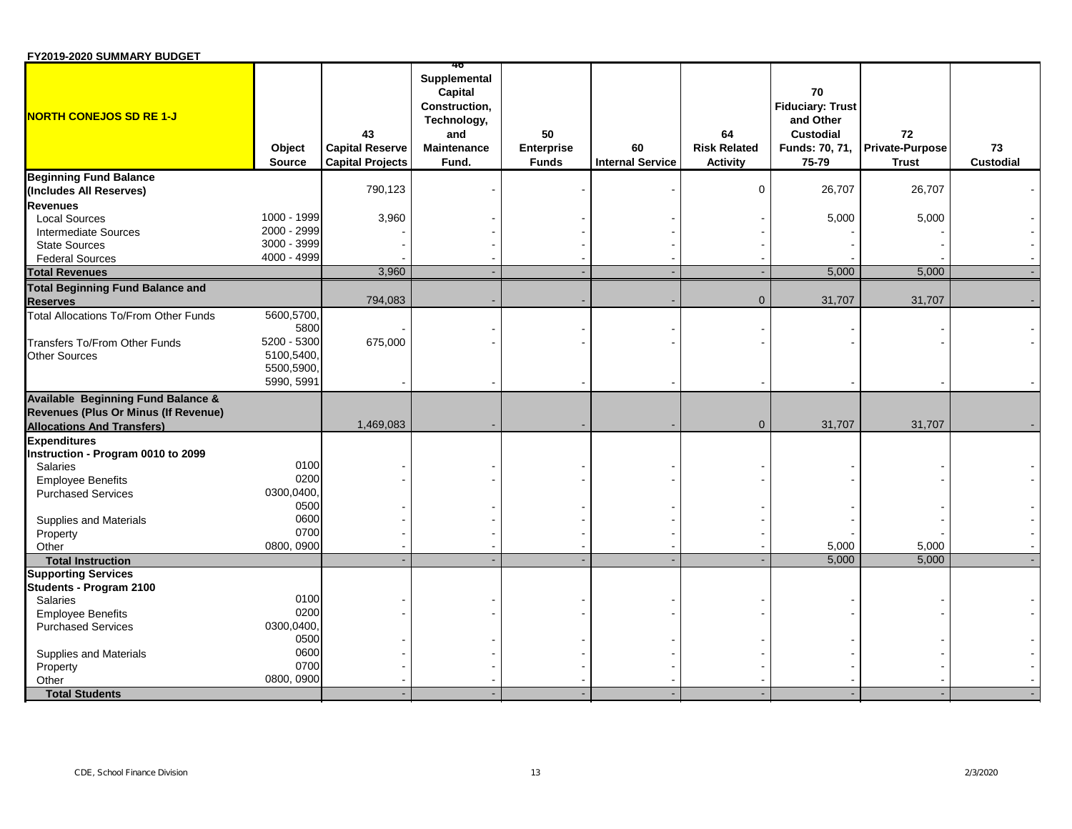| FY2019-2020 SUMMARY BUDGET |  |
|----------------------------|--|
|----------------------------|--|

| Supplemental<br>Capital<br>70<br><b>Fiduciary: Trust</b><br>Construction,<br>and Other<br>Technology,<br>50<br>72<br>43<br>64<br><b>Custodial</b><br>and<br><b>Capital Reserve</b><br><b>Risk Related</b><br><b>Private-Purpose</b><br>Object<br><b>Maintenance</b><br><b>Enterprise</b><br>60<br>Funds: 70, 71,<br>73<br><b>Internal Service</b><br>Custodial<br><b>Source</b><br><b>Capital Projects</b><br>Fund.<br><b>Funds</b><br>Activity<br>75-79<br><b>Trust</b><br><b>Beginning Fund Balance</b><br>790,123<br>$\mathbf 0$<br>26,707<br>26,707<br>(Includes All Reserves)<br><b>Revenues</b><br>1000 - 1999<br>3,960<br>5,000<br><b>Local Sources</b><br>5,000<br>2000 - 2999<br><b>Intermediate Sources</b><br>3000 - 3999<br><b>State Sources</b><br>4000 - 4999<br><b>Federal Sources</b><br>3,960<br><b>Total Revenues</b><br>5,000<br>5,000<br><b>Total Beginning Fund Balance and</b><br>794,083<br>31,707<br>31,707<br>$\mathbf{0}$<br><b>Reserves</b><br>5600,5700,<br><b>Total Allocations To/From Other Funds</b><br>5800<br>5200 - 5300<br>675,000<br>Transfers To/From Other Funds<br>5100,5400,<br><b>Other Sources</b><br>5500,5900,<br>5990, 5991<br><b>Available Beginning Fund Balance &amp;</b><br>Revenues (Plus Or Minus (If Revenue)<br>1,469,083<br>31,707<br>31,707<br>$\overline{0}$<br><b>Allocations And Transfers)</b><br><b>Expenditures</b><br>Instruction - Program 0010 to 2099<br>0100<br>Salaries<br>0200<br><b>Employee Benefits</b><br>0300,0400,<br><b>Purchased Services</b><br>0500<br>0600<br>Supplies and Materials<br>0700<br>Property<br>0800, 0900<br>5,000<br>5,000<br>Other<br>5,000<br>5,000<br><b>Total Instruction</b><br><b>Supporting Services</b><br>Students - Program 2100<br>0100<br>Salaries<br>0200<br><b>Employee Benefits</b><br>0300,0400,<br><b>Purchased Services</b><br>0500<br>0600<br>Supplies and Materials<br>0700<br>Property<br>Other<br>0800, 0900<br><b>Total Students</b> |                                |  | ю |  |  |  |
|-----------------------------------------------------------------------------------------------------------------------------------------------------------------------------------------------------------------------------------------------------------------------------------------------------------------------------------------------------------------------------------------------------------------------------------------------------------------------------------------------------------------------------------------------------------------------------------------------------------------------------------------------------------------------------------------------------------------------------------------------------------------------------------------------------------------------------------------------------------------------------------------------------------------------------------------------------------------------------------------------------------------------------------------------------------------------------------------------------------------------------------------------------------------------------------------------------------------------------------------------------------------------------------------------------------------------------------------------------------------------------------------------------------------------------------------------------------------------------------------------------------------------------------------------------------------------------------------------------------------------------------------------------------------------------------------------------------------------------------------------------------------------------------------------------------------------------------------------------------------------------------------------------------------------------------------------------------|--------------------------------|--|---|--|--|--|
|                                                                                                                                                                                                                                                                                                                                                                                                                                                                                                                                                                                                                                                                                                                                                                                                                                                                                                                                                                                                                                                                                                                                                                                                                                                                                                                                                                                                                                                                                                                                                                                                                                                                                                                                                                                                                                                                                                                                                           | <b>NORTH CONEJOS SD RE 1-J</b> |  |   |  |  |  |
|                                                                                                                                                                                                                                                                                                                                                                                                                                                                                                                                                                                                                                                                                                                                                                                                                                                                                                                                                                                                                                                                                                                                                                                                                                                                                                                                                                                                                                                                                                                                                                                                                                                                                                                                                                                                                                                                                                                                                           |                                |  |   |  |  |  |
|                                                                                                                                                                                                                                                                                                                                                                                                                                                                                                                                                                                                                                                                                                                                                                                                                                                                                                                                                                                                                                                                                                                                                                                                                                                                                                                                                                                                                                                                                                                                                                                                                                                                                                                                                                                                                                                                                                                                                           |                                |  |   |  |  |  |
|                                                                                                                                                                                                                                                                                                                                                                                                                                                                                                                                                                                                                                                                                                                                                                                                                                                                                                                                                                                                                                                                                                                                                                                                                                                                                                                                                                                                                                                                                                                                                                                                                                                                                                                                                                                                                                                                                                                                                           |                                |  |   |  |  |  |
|                                                                                                                                                                                                                                                                                                                                                                                                                                                                                                                                                                                                                                                                                                                                                                                                                                                                                                                                                                                                                                                                                                                                                                                                                                                                                                                                                                                                                                                                                                                                                                                                                                                                                                                                                                                                                                                                                                                                                           |                                |  |   |  |  |  |
|                                                                                                                                                                                                                                                                                                                                                                                                                                                                                                                                                                                                                                                                                                                                                                                                                                                                                                                                                                                                                                                                                                                                                                                                                                                                                                                                                                                                                                                                                                                                                                                                                                                                                                                                                                                                                                                                                                                                                           |                                |  |   |  |  |  |
|                                                                                                                                                                                                                                                                                                                                                                                                                                                                                                                                                                                                                                                                                                                                                                                                                                                                                                                                                                                                                                                                                                                                                                                                                                                                                                                                                                                                                                                                                                                                                                                                                                                                                                                                                                                                                                                                                                                                                           |                                |  |   |  |  |  |
|                                                                                                                                                                                                                                                                                                                                                                                                                                                                                                                                                                                                                                                                                                                                                                                                                                                                                                                                                                                                                                                                                                                                                                                                                                                                                                                                                                                                                                                                                                                                                                                                                                                                                                                                                                                                                                                                                                                                                           |                                |  |   |  |  |  |
|                                                                                                                                                                                                                                                                                                                                                                                                                                                                                                                                                                                                                                                                                                                                                                                                                                                                                                                                                                                                                                                                                                                                                                                                                                                                                                                                                                                                                                                                                                                                                                                                                                                                                                                                                                                                                                                                                                                                                           |                                |  |   |  |  |  |
|                                                                                                                                                                                                                                                                                                                                                                                                                                                                                                                                                                                                                                                                                                                                                                                                                                                                                                                                                                                                                                                                                                                                                                                                                                                                                                                                                                                                                                                                                                                                                                                                                                                                                                                                                                                                                                                                                                                                                           |                                |  |   |  |  |  |
|                                                                                                                                                                                                                                                                                                                                                                                                                                                                                                                                                                                                                                                                                                                                                                                                                                                                                                                                                                                                                                                                                                                                                                                                                                                                                                                                                                                                                                                                                                                                                                                                                                                                                                                                                                                                                                                                                                                                                           |                                |  |   |  |  |  |
|                                                                                                                                                                                                                                                                                                                                                                                                                                                                                                                                                                                                                                                                                                                                                                                                                                                                                                                                                                                                                                                                                                                                                                                                                                                                                                                                                                                                                                                                                                                                                                                                                                                                                                                                                                                                                                                                                                                                                           |                                |  |   |  |  |  |
|                                                                                                                                                                                                                                                                                                                                                                                                                                                                                                                                                                                                                                                                                                                                                                                                                                                                                                                                                                                                                                                                                                                                                                                                                                                                                                                                                                                                                                                                                                                                                                                                                                                                                                                                                                                                                                                                                                                                                           |                                |  |   |  |  |  |
|                                                                                                                                                                                                                                                                                                                                                                                                                                                                                                                                                                                                                                                                                                                                                                                                                                                                                                                                                                                                                                                                                                                                                                                                                                                                                                                                                                                                                                                                                                                                                                                                                                                                                                                                                                                                                                                                                                                                                           |                                |  |   |  |  |  |
|                                                                                                                                                                                                                                                                                                                                                                                                                                                                                                                                                                                                                                                                                                                                                                                                                                                                                                                                                                                                                                                                                                                                                                                                                                                                                                                                                                                                                                                                                                                                                                                                                                                                                                                                                                                                                                                                                                                                                           |                                |  |   |  |  |  |
|                                                                                                                                                                                                                                                                                                                                                                                                                                                                                                                                                                                                                                                                                                                                                                                                                                                                                                                                                                                                                                                                                                                                                                                                                                                                                                                                                                                                                                                                                                                                                                                                                                                                                                                                                                                                                                                                                                                                                           |                                |  |   |  |  |  |
|                                                                                                                                                                                                                                                                                                                                                                                                                                                                                                                                                                                                                                                                                                                                                                                                                                                                                                                                                                                                                                                                                                                                                                                                                                                                                                                                                                                                                                                                                                                                                                                                                                                                                                                                                                                                                                                                                                                                                           |                                |  |   |  |  |  |
|                                                                                                                                                                                                                                                                                                                                                                                                                                                                                                                                                                                                                                                                                                                                                                                                                                                                                                                                                                                                                                                                                                                                                                                                                                                                                                                                                                                                                                                                                                                                                                                                                                                                                                                                                                                                                                                                                                                                                           |                                |  |   |  |  |  |
|                                                                                                                                                                                                                                                                                                                                                                                                                                                                                                                                                                                                                                                                                                                                                                                                                                                                                                                                                                                                                                                                                                                                                                                                                                                                                                                                                                                                                                                                                                                                                                                                                                                                                                                                                                                                                                                                                                                                                           |                                |  |   |  |  |  |
|                                                                                                                                                                                                                                                                                                                                                                                                                                                                                                                                                                                                                                                                                                                                                                                                                                                                                                                                                                                                                                                                                                                                                                                                                                                                                                                                                                                                                                                                                                                                                                                                                                                                                                                                                                                                                                                                                                                                                           |                                |  |   |  |  |  |
|                                                                                                                                                                                                                                                                                                                                                                                                                                                                                                                                                                                                                                                                                                                                                                                                                                                                                                                                                                                                                                                                                                                                                                                                                                                                                                                                                                                                                                                                                                                                                                                                                                                                                                                                                                                                                                                                                                                                                           |                                |  |   |  |  |  |
|                                                                                                                                                                                                                                                                                                                                                                                                                                                                                                                                                                                                                                                                                                                                                                                                                                                                                                                                                                                                                                                                                                                                                                                                                                                                                                                                                                                                                                                                                                                                                                                                                                                                                                                                                                                                                                                                                                                                                           |                                |  |   |  |  |  |
|                                                                                                                                                                                                                                                                                                                                                                                                                                                                                                                                                                                                                                                                                                                                                                                                                                                                                                                                                                                                                                                                                                                                                                                                                                                                                                                                                                                                                                                                                                                                                                                                                                                                                                                                                                                                                                                                                                                                                           |                                |  |   |  |  |  |
|                                                                                                                                                                                                                                                                                                                                                                                                                                                                                                                                                                                                                                                                                                                                                                                                                                                                                                                                                                                                                                                                                                                                                                                                                                                                                                                                                                                                                                                                                                                                                                                                                                                                                                                                                                                                                                                                                                                                                           |                                |  |   |  |  |  |
|                                                                                                                                                                                                                                                                                                                                                                                                                                                                                                                                                                                                                                                                                                                                                                                                                                                                                                                                                                                                                                                                                                                                                                                                                                                                                                                                                                                                                                                                                                                                                                                                                                                                                                                                                                                                                                                                                                                                                           |                                |  |   |  |  |  |
|                                                                                                                                                                                                                                                                                                                                                                                                                                                                                                                                                                                                                                                                                                                                                                                                                                                                                                                                                                                                                                                                                                                                                                                                                                                                                                                                                                                                                                                                                                                                                                                                                                                                                                                                                                                                                                                                                                                                                           |                                |  |   |  |  |  |
|                                                                                                                                                                                                                                                                                                                                                                                                                                                                                                                                                                                                                                                                                                                                                                                                                                                                                                                                                                                                                                                                                                                                                                                                                                                                                                                                                                                                                                                                                                                                                                                                                                                                                                                                                                                                                                                                                                                                                           |                                |  |   |  |  |  |
|                                                                                                                                                                                                                                                                                                                                                                                                                                                                                                                                                                                                                                                                                                                                                                                                                                                                                                                                                                                                                                                                                                                                                                                                                                                                                                                                                                                                                                                                                                                                                                                                                                                                                                                                                                                                                                                                                                                                                           |                                |  |   |  |  |  |
|                                                                                                                                                                                                                                                                                                                                                                                                                                                                                                                                                                                                                                                                                                                                                                                                                                                                                                                                                                                                                                                                                                                                                                                                                                                                                                                                                                                                                                                                                                                                                                                                                                                                                                                                                                                                                                                                                                                                                           |                                |  |   |  |  |  |
|                                                                                                                                                                                                                                                                                                                                                                                                                                                                                                                                                                                                                                                                                                                                                                                                                                                                                                                                                                                                                                                                                                                                                                                                                                                                                                                                                                                                                                                                                                                                                                                                                                                                                                                                                                                                                                                                                                                                                           |                                |  |   |  |  |  |
|                                                                                                                                                                                                                                                                                                                                                                                                                                                                                                                                                                                                                                                                                                                                                                                                                                                                                                                                                                                                                                                                                                                                                                                                                                                                                                                                                                                                                                                                                                                                                                                                                                                                                                                                                                                                                                                                                                                                                           |                                |  |   |  |  |  |
|                                                                                                                                                                                                                                                                                                                                                                                                                                                                                                                                                                                                                                                                                                                                                                                                                                                                                                                                                                                                                                                                                                                                                                                                                                                                                                                                                                                                                                                                                                                                                                                                                                                                                                                                                                                                                                                                                                                                                           |                                |  |   |  |  |  |
|                                                                                                                                                                                                                                                                                                                                                                                                                                                                                                                                                                                                                                                                                                                                                                                                                                                                                                                                                                                                                                                                                                                                                                                                                                                                                                                                                                                                                                                                                                                                                                                                                                                                                                                                                                                                                                                                                                                                                           |                                |  |   |  |  |  |
|                                                                                                                                                                                                                                                                                                                                                                                                                                                                                                                                                                                                                                                                                                                                                                                                                                                                                                                                                                                                                                                                                                                                                                                                                                                                                                                                                                                                                                                                                                                                                                                                                                                                                                                                                                                                                                                                                                                                                           |                                |  |   |  |  |  |
|                                                                                                                                                                                                                                                                                                                                                                                                                                                                                                                                                                                                                                                                                                                                                                                                                                                                                                                                                                                                                                                                                                                                                                                                                                                                                                                                                                                                                                                                                                                                                                                                                                                                                                                                                                                                                                                                                                                                                           |                                |  |   |  |  |  |
|                                                                                                                                                                                                                                                                                                                                                                                                                                                                                                                                                                                                                                                                                                                                                                                                                                                                                                                                                                                                                                                                                                                                                                                                                                                                                                                                                                                                                                                                                                                                                                                                                                                                                                                                                                                                                                                                                                                                                           |                                |  |   |  |  |  |
|                                                                                                                                                                                                                                                                                                                                                                                                                                                                                                                                                                                                                                                                                                                                                                                                                                                                                                                                                                                                                                                                                                                                                                                                                                                                                                                                                                                                                                                                                                                                                                                                                                                                                                                                                                                                                                                                                                                                                           |                                |  |   |  |  |  |
|                                                                                                                                                                                                                                                                                                                                                                                                                                                                                                                                                                                                                                                                                                                                                                                                                                                                                                                                                                                                                                                                                                                                                                                                                                                                                                                                                                                                                                                                                                                                                                                                                                                                                                                                                                                                                                                                                                                                                           |                                |  |   |  |  |  |
|                                                                                                                                                                                                                                                                                                                                                                                                                                                                                                                                                                                                                                                                                                                                                                                                                                                                                                                                                                                                                                                                                                                                                                                                                                                                                                                                                                                                                                                                                                                                                                                                                                                                                                                                                                                                                                                                                                                                                           |                                |  |   |  |  |  |
|                                                                                                                                                                                                                                                                                                                                                                                                                                                                                                                                                                                                                                                                                                                                                                                                                                                                                                                                                                                                                                                                                                                                                                                                                                                                                                                                                                                                                                                                                                                                                                                                                                                                                                                                                                                                                                                                                                                                                           |                                |  |   |  |  |  |
|                                                                                                                                                                                                                                                                                                                                                                                                                                                                                                                                                                                                                                                                                                                                                                                                                                                                                                                                                                                                                                                                                                                                                                                                                                                                                                                                                                                                                                                                                                                                                                                                                                                                                                                                                                                                                                                                                                                                                           |                                |  |   |  |  |  |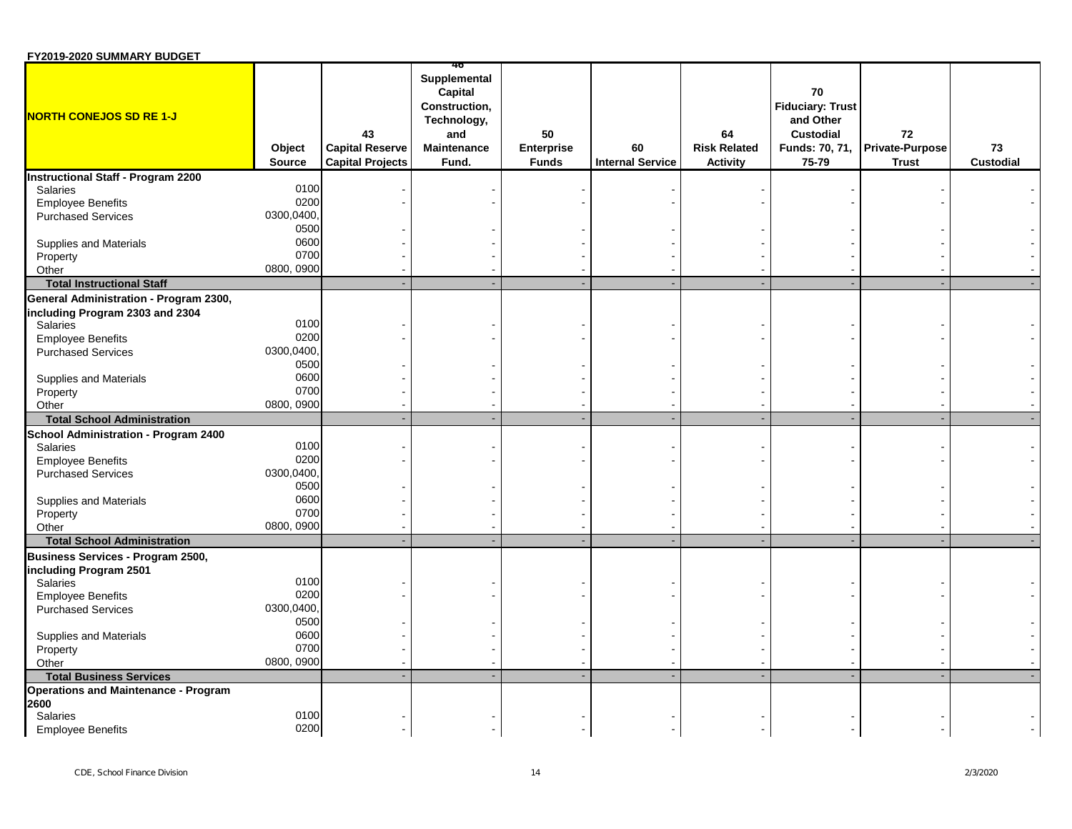| FY2019-2020 SUMMARY BUDGET |  |
|----------------------------|--|
|----------------------------|--|

| <b>NORTH CONEJOS SD RE 1-J</b>                                            | Object<br><b>Source</b> | 43<br><b>Capital Reserve</b><br><b>Capital Projects</b> | Supplemental<br>Capital<br>Construction,<br>Technology,<br>and<br><b>Maintenance</b><br>Fund. | 50<br><b>Enterprise</b><br><b>Funds</b> | 60<br><b>Internal Service</b> | 64<br><b>Risk Related</b><br><b>Activity</b> | 70<br><b>Fiduciary: Trust</b><br>and Other<br><b>Custodial</b><br>Funds: 70, 71,<br>75-79 | 72<br><b>Private-Purpose</b><br><b>Trust</b> | 73<br><b>Custodial</b> |
|---------------------------------------------------------------------------|-------------------------|---------------------------------------------------------|-----------------------------------------------------------------------------------------------|-----------------------------------------|-------------------------------|----------------------------------------------|-------------------------------------------------------------------------------------------|----------------------------------------------|------------------------|
| <b>Instructional Staff - Program 2200</b>                                 |                         |                                                         |                                                                                               |                                         |                               |                                              |                                                                                           |                                              |                        |
| <b>Salaries</b>                                                           | 0100                    |                                                         |                                                                                               |                                         |                               |                                              |                                                                                           |                                              |                        |
| <b>Employee Benefits</b>                                                  | 0200                    |                                                         |                                                                                               |                                         |                               |                                              |                                                                                           |                                              |                        |
| <b>Purchased Services</b>                                                 | 0300,0400,              |                                                         |                                                                                               |                                         |                               |                                              |                                                                                           |                                              |                        |
|                                                                           | 0500                    |                                                         |                                                                                               |                                         |                               |                                              |                                                                                           |                                              |                        |
| Supplies and Materials                                                    | 0600                    |                                                         |                                                                                               |                                         |                               |                                              |                                                                                           |                                              |                        |
| Property                                                                  | 0700                    |                                                         |                                                                                               |                                         |                               |                                              |                                                                                           |                                              |                        |
| Other                                                                     | 0800, 0900              |                                                         |                                                                                               |                                         |                               |                                              |                                                                                           |                                              |                        |
| <b>Total Instructional Staff</b>                                          |                         |                                                         |                                                                                               |                                         |                               |                                              |                                                                                           |                                              |                        |
| General Administration - Program 2300,<br>including Program 2303 and 2304 |                         |                                                         |                                                                                               |                                         |                               |                                              |                                                                                           |                                              |                        |
| <b>Salaries</b>                                                           | 0100                    |                                                         |                                                                                               |                                         |                               |                                              |                                                                                           |                                              |                        |
| <b>Employee Benefits</b>                                                  | 0200                    |                                                         |                                                                                               |                                         |                               |                                              |                                                                                           |                                              |                        |
| <b>Purchased Services</b>                                                 | 0300,0400,              |                                                         |                                                                                               |                                         |                               |                                              |                                                                                           |                                              |                        |
|                                                                           | 0500                    |                                                         |                                                                                               |                                         |                               |                                              |                                                                                           |                                              |                        |
| Supplies and Materials                                                    | 0600                    |                                                         |                                                                                               |                                         |                               |                                              |                                                                                           |                                              |                        |
| Property                                                                  | 0700                    |                                                         |                                                                                               |                                         |                               |                                              |                                                                                           |                                              |                        |
| Other                                                                     | 0800, 0900              |                                                         |                                                                                               |                                         |                               |                                              |                                                                                           |                                              |                        |
| <b>Total School Administration</b>                                        |                         |                                                         |                                                                                               |                                         |                               |                                              |                                                                                           |                                              |                        |
| School Administration - Program 2400                                      |                         |                                                         |                                                                                               |                                         |                               |                                              |                                                                                           |                                              |                        |
| <b>Salaries</b>                                                           | 0100                    |                                                         |                                                                                               |                                         |                               |                                              |                                                                                           |                                              |                        |
| <b>Employee Benefits</b>                                                  | 0200                    |                                                         |                                                                                               |                                         |                               |                                              |                                                                                           |                                              |                        |
| <b>Purchased Services</b>                                                 | 0300,0400,              |                                                         |                                                                                               |                                         |                               |                                              |                                                                                           |                                              |                        |
|                                                                           | 0500                    |                                                         |                                                                                               |                                         |                               |                                              |                                                                                           |                                              |                        |
| Supplies and Materials                                                    | 0600                    |                                                         |                                                                                               |                                         |                               |                                              |                                                                                           |                                              |                        |
| Property                                                                  | 0700                    |                                                         |                                                                                               |                                         |                               |                                              |                                                                                           |                                              |                        |
| Other                                                                     | 0800, 0900              |                                                         |                                                                                               |                                         |                               |                                              |                                                                                           |                                              |                        |
| <b>Total School Administration</b>                                        |                         |                                                         |                                                                                               |                                         |                               |                                              |                                                                                           |                                              |                        |
| Business Services - Program 2500,                                         |                         |                                                         |                                                                                               |                                         |                               |                                              |                                                                                           |                                              |                        |
| including Program 2501                                                    |                         |                                                         |                                                                                               |                                         |                               |                                              |                                                                                           |                                              |                        |
| Salaries                                                                  | 0100                    |                                                         |                                                                                               |                                         |                               |                                              |                                                                                           |                                              |                        |
| <b>Employee Benefits</b>                                                  | 0200                    |                                                         |                                                                                               |                                         |                               |                                              |                                                                                           |                                              |                        |
| <b>Purchased Services</b>                                                 | 0300,0400,              |                                                         |                                                                                               |                                         |                               |                                              |                                                                                           |                                              |                        |
|                                                                           | 0500                    |                                                         |                                                                                               |                                         |                               |                                              |                                                                                           |                                              |                        |
| Supplies and Materials                                                    | 0600                    |                                                         |                                                                                               |                                         |                               |                                              |                                                                                           |                                              |                        |
| Property                                                                  | 0700                    |                                                         |                                                                                               |                                         |                               |                                              |                                                                                           |                                              |                        |
| Other                                                                     | 0800, 0900              |                                                         |                                                                                               |                                         |                               |                                              |                                                                                           |                                              |                        |
| <b>Total Business Services</b>                                            |                         |                                                         |                                                                                               |                                         |                               |                                              |                                                                                           |                                              |                        |
| <b>Operations and Maintenance - Program</b>                               |                         |                                                         |                                                                                               |                                         |                               |                                              |                                                                                           |                                              |                        |
| 2600<br>Salaries                                                          | 0100                    |                                                         |                                                                                               |                                         |                               |                                              |                                                                                           |                                              |                        |
| <b>Employee Benefits</b>                                                  | 0200                    |                                                         |                                                                                               |                                         |                               |                                              |                                                                                           |                                              |                        |
|                                                                           |                         |                                                         |                                                                                               |                                         |                               |                                              |                                                                                           |                                              |                        |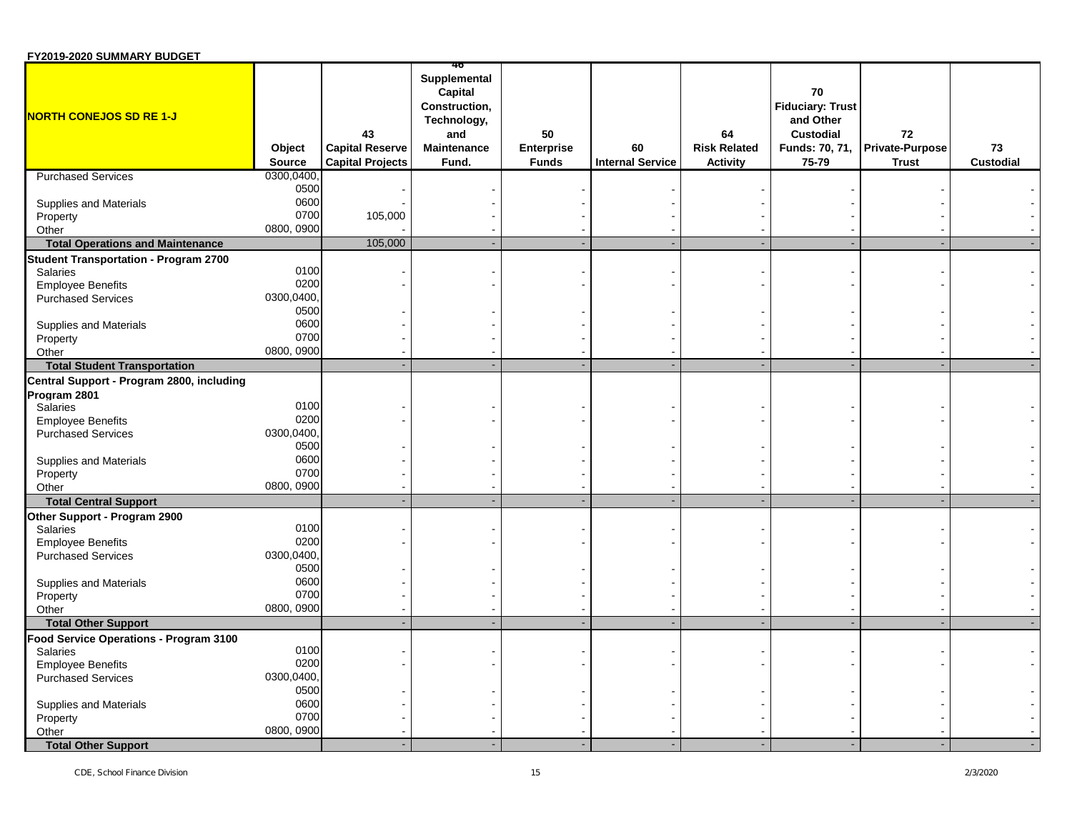| Supplemental<br>Capital<br>70<br><b>Fiduciary: Trust</b><br>Construction,<br><b>NORTH CONEJOS SD RE 1-J</b><br>Technology,<br>and Other<br>43<br><b>Custodial</b><br>50<br>64<br>72<br>and<br><b>Capital Reserve</b><br><b>Risk Related</b><br>Private-Purpose<br>Object<br><b>Maintenance</b><br><b>Enterprise</b><br>60<br>Funds: 70, 71,<br>73<br><b>Internal Service</b><br><b>Custodial</b><br>Source<br><b>Capital Projects</b><br>Fund.<br><b>Funds</b><br><b>Activity</b><br>75-79<br><b>Trust</b><br>0300,0400,<br><b>Purchased Services</b><br>0500<br>0600<br>Supplies and Materials<br>0700<br>105,000<br>Property<br>0800, 0900<br>Other<br>105,000<br><b>Total Operations and Maintenance</b><br><b>Student Transportation - Program 2700</b><br>0100<br>Salaries<br>0200<br><b>Employee Benefits</b><br>0300,0400<br><b>Purchased Services</b><br>0500<br>0600<br>Supplies and Materials<br>0700<br>Property<br>0800, 0900<br>Other<br><b>Total Student Transportation</b><br>Program 2801<br>0100<br><b>Salaries</b><br>0200<br><b>Employee Benefits</b><br>0300,0400,<br><b>Purchased Services</b><br>0500<br>0600<br>Supplies and Materials<br>0700<br>Property<br>0800, 0900<br>Other<br><b>Total Central Support</b><br>Other Support - Program 2900<br>0100<br>Salaries<br>0200<br><b>Employee Benefits</b><br>0300,0400,<br><b>Purchased Services</b><br>0500<br>0600<br>Supplies and Materials<br>0700<br>Property<br>0800, 0900<br>Other<br><b>Total Other Support</b><br>Food Service Operations - Program 3100<br>0100<br>Salaries<br>0200<br><b>Employee Benefits</b><br>0300,0400,<br><b>Purchased Services</b><br>0500<br>0600<br>Supplies and Materials<br>0700<br>Property<br>0800, 0900<br>Other<br><b>Total Other Support</b> | FY2019-2020 SUMMARY BUDGET                |  |  |  |  |  |
|----------------------------------------------------------------------------------------------------------------------------------------------------------------------------------------------------------------------------------------------------------------------------------------------------------------------------------------------------------------------------------------------------------------------------------------------------------------------------------------------------------------------------------------------------------------------------------------------------------------------------------------------------------------------------------------------------------------------------------------------------------------------------------------------------------------------------------------------------------------------------------------------------------------------------------------------------------------------------------------------------------------------------------------------------------------------------------------------------------------------------------------------------------------------------------------------------------------------------------------------------------------------------------------------------------------------------------------------------------------------------------------------------------------------------------------------------------------------------------------------------------------------------------------------------------------------------------------------------------------------------------------------------------------------------------------------------------------------------------------------------------------|-------------------------------------------|--|--|--|--|--|
|                                                                                                                                                                                                                                                                                                                                                                                                                                                                                                                                                                                                                                                                                                                                                                                                                                                                                                                                                                                                                                                                                                                                                                                                                                                                                                                                                                                                                                                                                                                                                                                                                                                                                                                                                                |                                           |  |  |  |  |  |
|                                                                                                                                                                                                                                                                                                                                                                                                                                                                                                                                                                                                                                                                                                                                                                                                                                                                                                                                                                                                                                                                                                                                                                                                                                                                                                                                                                                                                                                                                                                                                                                                                                                                                                                                                                |                                           |  |  |  |  |  |
|                                                                                                                                                                                                                                                                                                                                                                                                                                                                                                                                                                                                                                                                                                                                                                                                                                                                                                                                                                                                                                                                                                                                                                                                                                                                                                                                                                                                                                                                                                                                                                                                                                                                                                                                                                |                                           |  |  |  |  |  |
|                                                                                                                                                                                                                                                                                                                                                                                                                                                                                                                                                                                                                                                                                                                                                                                                                                                                                                                                                                                                                                                                                                                                                                                                                                                                                                                                                                                                                                                                                                                                                                                                                                                                                                                                                                |                                           |  |  |  |  |  |
|                                                                                                                                                                                                                                                                                                                                                                                                                                                                                                                                                                                                                                                                                                                                                                                                                                                                                                                                                                                                                                                                                                                                                                                                                                                                                                                                                                                                                                                                                                                                                                                                                                                                                                                                                                |                                           |  |  |  |  |  |
|                                                                                                                                                                                                                                                                                                                                                                                                                                                                                                                                                                                                                                                                                                                                                                                                                                                                                                                                                                                                                                                                                                                                                                                                                                                                                                                                                                                                                                                                                                                                                                                                                                                                                                                                                                |                                           |  |  |  |  |  |
|                                                                                                                                                                                                                                                                                                                                                                                                                                                                                                                                                                                                                                                                                                                                                                                                                                                                                                                                                                                                                                                                                                                                                                                                                                                                                                                                                                                                                                                                                                                                                                                                                                                                                                                                                                |                                           |  |  |  |  |  |
|                                                                                                                                                                                                                                                                                                                                                                                                                                                                                                                                                                                                                                                                                                                                                                                                                                                                                                                                                                                                                                                                                                                                                                                                                                                                                                                                                                                                                                                                                                                                                                                                                                                                                                                                                                |                                           |  |  |  |  |  |
|                                                                                                                                                                                                                                                                                                                                                                                                                                                                                                                                                                                                                                                                                                                                                                                                                                                                                                                                                                                                                                                                                                                                                                                                                                                                                                                                                                                                                                                                                                                                                                                                                                                                                                                                                                |                                           |  |  |  |  |  |
|                                                                                                                                                                                                                                                                                                                                                                                                                                                                                                                                                                                                                                                                                                                                                                                                                                                                                                                                                                                                                                                                                                                                                                                                                                                                                                                                                                                                                                                                                                                                                                                                                                                                                                                                                                |                                           |  |  |  |  |  |
|                                                                                                                                                                                                                                                                                                                                                                                                                                                                                                                                                                                                                                                                                                                                                                                                                                                                                                                                                                                                                                                                                                                                                                                                                                                                                                                                                                                                                                                                                                                                                                                                                                                                                                                                                                |                                           |  |  |  |  |  |
|                                                                                                                                                                                                                                                                                                                                                                                                                                                                                                                                                                                                                                                                                                                                                                                                                                                                                                                                                                                                                                                                                                                                                                                                                                                                                                                                                                                                                                                                                                                                                                                                                                                                                                                                                                |                                           |  |  |  |  |  |
|                                                                                                                                                                                                                                                                                                                                                                                                                                                                                                                                                                                                                                                                                                                                                                                                                                                                                                                                                                                                                                                                                                                                                                                                                                                                                                                                                                                                                                                                                                                                                                                                                                                                                                                                                                | Central Support - Program 2800, including |  |  |  |  |  |
|                                                                                                                                                                                                                                                                                                                                                                                                                                                                                                                                                                                                                                                                                                                                                                                                                                                                                                                                                                                                                                                                                                                                                                                                                                                                                                                                                                                                                                                                                                                                                                                                                                                                                                                                                                |                                           |  |  |  |  |  |
|                                                                                                                                                                                                                                                                                                                                                                                                                                                                                                                                                                                                                                                                                                                                                                                                                                                                                                                                                                                                                                                                                                                                                                                                                                                                                                                                                                                                                                                                                                                                                                                                                                                                                                                                                                |                                           |  |  |  |  |  |
|                                                                                                                                                                                                                                                                                                                                                                                                                                                                                                                                                                                                                                                                                                                                                                                                                                                                                                                                                                                                                                                                                                                                                                                                                                                                                                                                                                                                                                                                                                                                                                                                                                                                                                                                                                |                                           |  |  |  |  |  |
|                                                                                                                                                                                                                                                                                                                                                                                                                                                                                                                                                                                                                                                                                                                                                                                                                                                                                                                                                                                                                                                                                                                                                                                                                                                                                                                                                                                                                                                                                                                                                                                                                                                                                                                                                                |                                           |  |  |  |  |  |
|                                                                                                                                                                                                                                                                                                                                                                                                                                                                                                                                                                                                                                                                                                                                                                                                                                                                                                                                                                                                                                                                                                                                                                                                                                                                                                                                                                                                                                                                                                                                                                                                                                                                                                                                                                |                                           |  |  |  |  |  |
|                                                                                                                                                                                                                                                                                                                                                                                                                                                                                                                                                                                                                                                                                                                                                                                                                                                                                                                                                                                                                                                                                                                                                                                                                                                                                                                                                                                                                                                                                                                                                                                                                                                                                                                                                                |                                           |  |  |  |  |  |
|                                                                                                                                                                                                                                                                                                                                                                                                                                                                                                                                                                                                                                                                                                                                                                                                                                                                                                                                                                                                                                                                                                                                                                                                                                                                                                                                                                                                                                                                                                                                                                                                                                                                                                                                                                |                                           |  |  |  |  |  |
|                                                                                                                                                                                                                                                                                                                                                                                                                                                                                                                                                                                                                                                                                                                                                                                                                                                                                                                                                                                                                                                                                                                                                                                                                                                                                                                                                                                                                                                                                                                                                                                                                                                                                                                                                                |                                           |  |  |  |  |  |
|                                                                                                                                                                                                                                                                                                                                                                                                                                                                                                                                                                                                                                                                                                                                                                                                                                                                                                                                                                                                                                                                                                                                                                                                                                                                                                                                                                                                                                                                                                                                                                                                                                                                                                                                                                |                                           |  |  |  |  |  |
|                                                                                                                                                                                                                                                                                                                                                                                                                                                                                                                                                                                                                                                                                                                                                                                                                                                                                                                                                                                                                                                                                                                                                                                                                                                                                                                                                                                                                                                                                                                                                                                                                                                                                                                                                                |                                           |  |  |  |  |  |
|                                                                                                                                                                                                                                                                                                                                                                                                                                                                                                                                                                                                                                                                                                                                                                                                                                                                                                                                                                                                                                                                                                                                                                                                                                                                                                                                                                                                                                                                                                                                                                                                                                                                                                                                                                |                                           |  |  |  |  |  |
|                                                                                                                                                                                                                                                                                                                                                                                                                                                                                                                                                                                                                                                                                                                                                                                                                                                                                                                                                                                                                                                                                                                                                                                                                                                                                                                                                                                                                                                                                                                                                                                                                                                                                                                                                                |                                           |  |  |  |  |  |
|                                                                                                                                                                                                                                                                                                                                                                                                                                                                                                                                                                                                                                                                                                                                                                                                                                                                                                                                                                                                                                                                                                                                                                                                                                                                                                                                                                                                                                                                                                                                                                                                                                                                                                                                                                |                                           |  |  |  |  |  |
|                                                                                                                                                                                                                                                                                                                                                                                                                                                                                                                                                                                                                                                                                                                                                                                                                                                                                                                                                                                                                                                                                                                                                                                                                                                                                                                                                                                                                                                                                                                                                                                                                                                                                                                                                                |                                           |  |  |  |  |  |
|                                                                                                                                                                                                                                                                                                                                                                                                                                                                                                                                                                                                                                                                                                                                                                                                                                                                                                                                                                                                                                                                                                                                                                                                                                                                                                                                                                                                                                                                                                                                                                                                                                                                                                                                                                |                                           |  |  |  |  |  |
|                                                                                                                                                                                                                                                                                                                                                                                                                                                                                                                                                                                                                                                                                                                                                                                                                                                                                                                                                                                                                                                                                                                                                                                                                                                                                                                                                                                                                                                                                                                                                                                                                                                                                                                                                                |                                           |  |  |  |  |  |
|                                                                                                                                                                                                                                                                                                                                                                                                                                                                                                                                                                                                                                                                                                                                                                                                                                                                                                                                                                                                                                                                                                                                                                                                                                                                                                                                                                                                                                                                                                                                                                                                                                                                                                                                                                |                                           |  |  |  |  |  |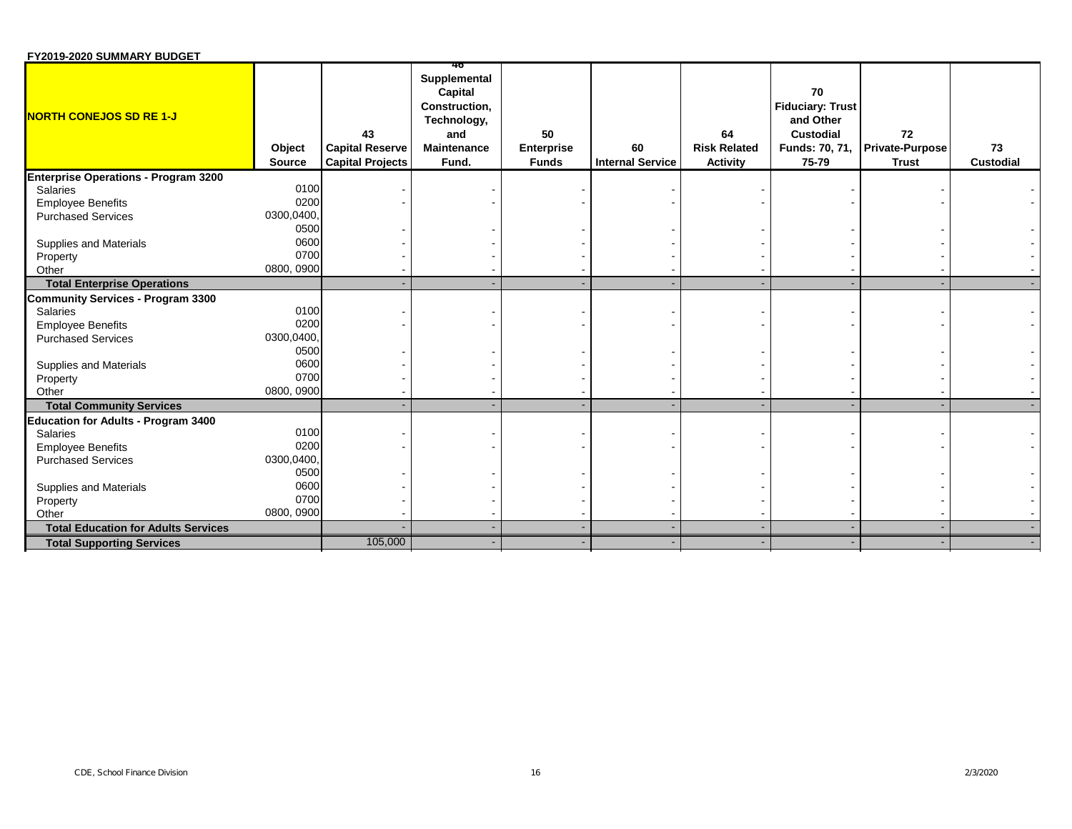| FY2019-2020 SUMMARY BUDGET |  |
|----------------------------|--|
|----------------------------|--|

| <b>NORTH CONEJOS SD RE 1-J</b>              | Object<br><b>Source</b> | 43<br><b>Capital Reserve</b><br><b>Capital Projects</b> | 40<br>Supplemental<br>Capital<br>Construction,<br>Technology,<br>and<br>Maintenance<br>Fund. | 50<br>Enterprise<br><b>Funds</b> | 60<br><b>Internal Service</b> | 64<br><b>Risk Related</b><br><b>Activity</b> | 70<br><b>Fiduciary: Trust</b><br>and Other<br>Custodial<br>Funds: 70, 71,<br>75-79 | 72<br><b>Private-Purpose</b><br><b>Trust</b> | 73<br><b>Custodial</b> |
|---------------------------------------------|-------------------------|---------------------------------------------------------|----------------------------------------------------------------------------------------------|----------------------------------|-------------------------------|----------------------------------------------|------------------------------------------------------------------------------------|----------------------------------------------|------------------------|
| <b>Enterprise Operations - Program 3200</b> |                         |                                                         |                                                                                              |                                  |                               |                                              |                                                                                    |                                              |                        |
| Salaries                                    | 0100                    |                                                         |                                                                                              |                                  |                               |                                              |                                                                                    |                                              |                        |
| <b>Employee Benefits</b>                    | 0200                    |                                                         |                                                                                              |                                  |                               |                                              |                                                                                    |                                              |                        |
| <b>Purchased Services</b>                   | 0300,0400,              |                                                         |                                                                                              |                                  |                               |                                              |                                                                                    |                                              |                        |
|                                             | 0500                    |                                                         |                                                                                              |                                  |                               |                                              |                                                                                    |                                              |                        |
| Supplies and Materials                      | 0600                    |                                                         |                                                                                              |                                  |                               |                                              |                                                                                    |                                              |                        |
| Property                                    | 0700                    |                                                         |                                                                                              |                                  |                               |                                              |                                                                                    |                                              |                        |
| Other                                       | 0800, 0900              |                                                         |                                                                                              |                                  |                               |                                              |                                                                                    |                                              |                        |
| <b>Total Enterprise Operations</b>          |                         |                                                         |                                                                                              |                                  |                               |                                              |                                                                                    |                                              |                        |
| <b>Community Services - Program 3300</b>    |                         |                                                         |                                                                                              |                                  |                               |                                              |                                                                                    |                                              |                        |
| <b>Salaries</b>                             | 0100                    |                                                         |                                                                                              |                                  |                               |                                              |                                                                                    |                                              |                        |
| <b>Employee Benefits</b>                    | 0200                    |                                                         |                                                                                              |                                  |                               |                                              |                                                                                    |                                              |                        |
| <b>Purchased Services</b>                   | 0300,0400,              |                                                         |                                                                                              |                                  |                               |                                              |                                                                                    |                                              |                        |
|                                             | 0500                    |                                                         |                                                                                              |                                  |                               |                                              |                                                                                    |                                              |                        |
| Supplies and Materials                      | 0600                    |                                                         |                                                                                              |                                  |                               |                                              |                                                                                    |                                              |                        |
| Property                                    | 0700                    |                                                         |                                                                                              |                                  |                               |                                              |                                                                                    |                                              |                        |
| Other                                       | 0800, 0900              |                                                         |                                                                                              |                                  |                               |                                              |                                                                                    |                                              |                        |
| <b>Total Community Services</b>             |                         |                                                         |                                                                                              |                                  |                               |                                              |                                                                                    |                                              |                        |
| <b>Education for Adults - Program 3400</b>  |                         |                                                         |                                                                                              |                                  |                               |                                              |                                                                                    |                                              |                        |
| <b>Salaries</b>                             | 0100                    |                                                         |                                                                                              |                                  |                               |                                              |                                                                                    |                                              |                        |
| <b>Employee Benefits</b>                    | 0200                    |                                                         |                                                                                              |                                  |                               |                                              |                                                                                    |                                              |                        |
| <b>Purchased Services</b>                   | 0300,0400,              |                                                         |                                                                                              |                                  |                               |                                              |                                                                                    |                                              |                        |
|                                             | 0500                    |                                                         |                                                                                              |                                  |                               |                                              |                                                                                    |                                              |                        |
| Supplies and Materials                      | 0600                    |                                                         |                                                                                              |                                  |                               |                                              |                                                                                    |                                              |                        |
| Property                                    | 0700                    |                                                         |                                                                                              |                                  |                               |                                              |                                                                                    |                                              |                        |
| Other                                       | 0800, 0900              |                                                         |                                                                                              |                                  |                               |                                              |                                                                                    |                                              |                        |
| <b>Total Education for Adults Services</b>  |                         |                                                         |                                                                                              |                                  |                               |                                              |                                                                                    |                                              |                        |
| <b>Total Supporting Services</b>            |                         | 105,000                                                 |                                                                                              |                                  |                               |                                              |                                                                                    |                                              |                        |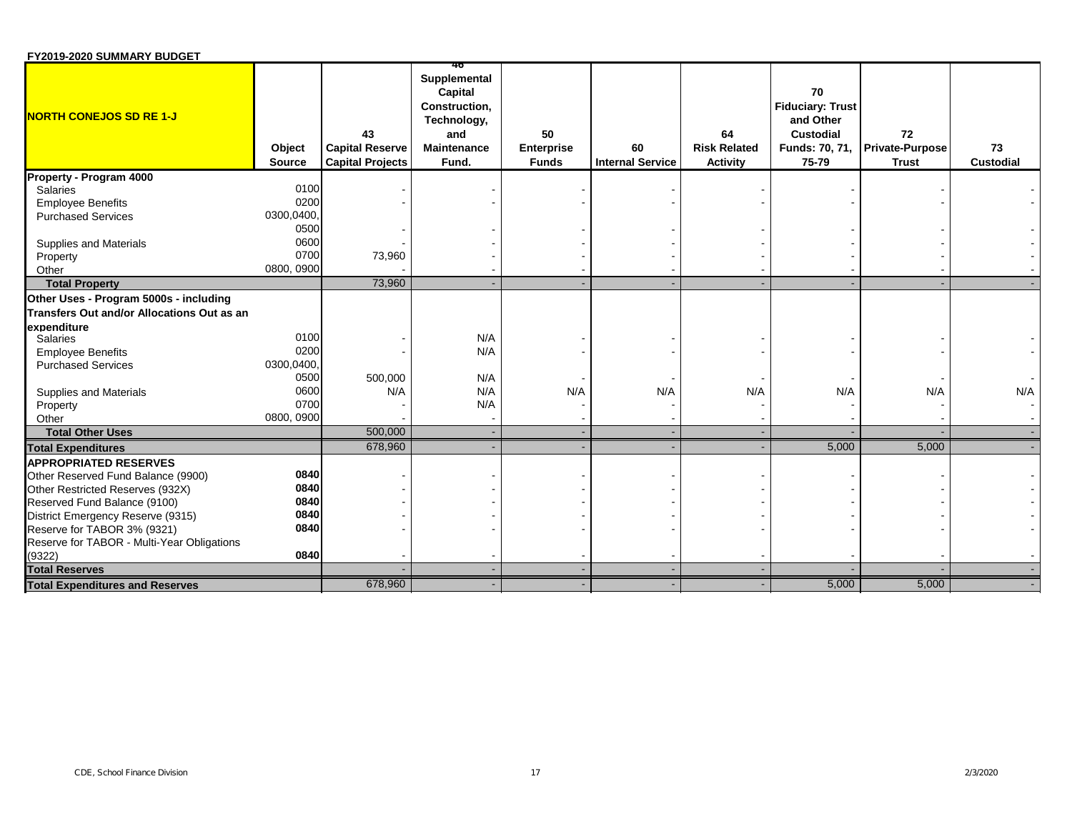| FY2019-2020 SUMMARY BUDGET |  |
|----------------------------|--|
|----------------------------|--|

|                                            |                         |                                                         | 40                                                                                                   |                                         |                               |                                              |                                                                                           |                                              |                        |
|--------------------------------------------|-------------------------|---------------------------------------------------------|------------------------------------------------------------------------------------------------------|-----------------------------------------|-------------------------------|----------------------------------------------|-------------------------------------------------------------------------------------------|----------------------------------------------|------------------------|
| <b>NORTH CONEJOS SD RE 1-J</b>             | Object<br><b>Source</b> | 43<br><b>Capital Reserve</b><br><b>Capital Projects</b> | Supplemental<br>Capital<br><b>Construction.</b><br>Technology,<br>and<br><b>Maintenance</b><br>Fund. | 50<br><b>Enterprise</b><br><b>Funds</b> | 60<br><b>Internal Service</b> | 64<br><b>Risk Related</b><br><b>Activity</b> | 70<br><b>Fiduciary: Trust</b><br>and Other<br><b>Custodial</b><br>Funds: 70, 71,<br>75-79 | 72<br><b>Private-Purpose</b><br><b>Trust</b> | 73<br><b>Custodial</b> |
| Property - Program 4000                    |                         |                                                         |                                                                                                      |                                         |                               |                                              |                                                                                           |                                              |                        |
| <b>Salaries</b>                            | 0100                    |                                                         |                                                                                                      |                                         |                               |                                              |                                                                                           |                                              |                        |
| <b>Employee Benefits</b>                   | 0200                    |                                                         |                                                                                                      |                                         |                               |                                              |                                                                                           |                                              |                        |
| <b>Purchased Services</b>                  | 0300,0400,              |                                                         |                                                                                                      |                                         |                               |                                              |                                                                                           |                                              |                        |
|                                            | 0500                    |                                                         |                                                                                                      |                                         |                               |                                              |                                                                                           |                                              |                        |
| Supplies and Materials                     | 0600                    |                                                         |                                                                                                      |                                         |                               |                                              |                                                                                           |                                              |                        |
| Property                                   | 0700                    | 73,960                                                  |                                                                                                      |                                         |                               |                                              |                                                                                           |                                              |                        |
| Other                                      | 0800, 0900              |                                                         |                                                                                                      |                                         |                               |                                              |                                                                                           |                                              |                        |
| <b>Total Property</b>                      |                         | 73,960                                                  |                                                                                                      |                                         |                               |                                              |                                                                                           |                                              |                        |
| Other Uses - Program 5000s - including     |                         |                                                         |                                                                                                      |                                         |                               |                                              |                                                                                           |                                              |                        |
| Transfers Out and/or Allocations Out as an |                         |                                                         |                                                                                                      |                                         |                               |                                              |                                                                                           |                                              |                        |
| expenditure                                |                         |                                                         |                                                                                                      |                                         |                               |                                              |                                                                                           |                                              |                        |
| Salaries                                   | 0100                    |                                                         | N/A                                                                                                  |                                         |                               |                                              |                                                                                           |                                              |                        |
| <b>Employee Benefits</b>                   | 0200                    |                                                         | N/A                                                                                                  |                                         |                               |                                              |                                                                                           |                                              |                        |
| <b>Purchased Services</b>                  | 0300,0400,              |                                                         |                                                                                                      |                                         |                               |                                              |                                                                                           |                                              |                        |
|                                            | 0500                    | 500,000                                                 | N/A                                                                                                  |                                         |                               |                                              |                                                                                           |                                              |                        |
| Supplies and Materials                     | 0600                    | N/A                                                     | N/A                                                                                                  | N/A                                     | N/A                           | N/A                                          | N/A                                                                                       | N/A                                          | N/A                    |
| Property                                   | 0700                    |                                                         | N/A                                                                                                  |                                         |                               |                                              |                                                                                           |                                              |                        |
| Other                                      | 0800, 0900              |                                                         |                                                                                                      |                                         |                               |                                              |                                                                                           |                                              |                        |
| <b>Total Other Uses</b>                    |                         | 500,000                                                 |                                                                                                      |                                         |                               |                                              |                                                                                           |                                              |                        |
| <b>Total Expenditures</b>                  |                         | 678,960                                                 |                                                                                                      |                                         |                               |                                              | 5,000                                                                                     | 5,000                                        |                        |
| <b>APPROPRIATED RESERVES</b>               |                         |                                                         |                                                                                                      |                                         |                               |                                              |                                                                                           |                                              |                        |
| Other Reserved Fund Balance (9900)         | 0840                    |                                                         |                                                                                                      |                                         |                               |                                              |                                                                                           |                                              |                        |
| Other Restricted Reserves (932X)           | 0840                    |                                                         |                                                                                                      |                                         |                               |                                              |                                                                                           |                                              |                        |
| Reserved Fund Balance (9100)               | 0840                    |                                                         |                                                                                                      |                                         |                               |                                              |                                                                                           |                                              |                        |
| District Emergency Reserve (9315)          | 0840                    |                                                         |                                                                                                      |                                         |                               |                                              |                                                                                           |                                              |                        |
| Reserve for TABOR 3% (9321)                | 0840                    |                                                         |                                                                                                      |                                         |                               |                                              |                                                                                           |                                              |                        |
| Reserve for TABOR - Multi-Year Obligations |                         |                                                         |                                                                                                      |                                         |                               |                                              |                                                                                           |                                              |                        |
| (9322)                                     | 0840                    |                                                         |                                                                                                      |                                         |                               |                                              |                                                                                           |                                              |                        |
| <b>Total Reserves</b>                      |                         |                                                         |                                                                                                      |                                         |                               |                                              |                                                                                           |                                              |                        |
| <b>Total Expenditures and Reserves</b>     |                         | 678,960                                                 |                                                                                                      |                                         |                               |                                              | 5,000                                                                                     | 5,000                                        |                        |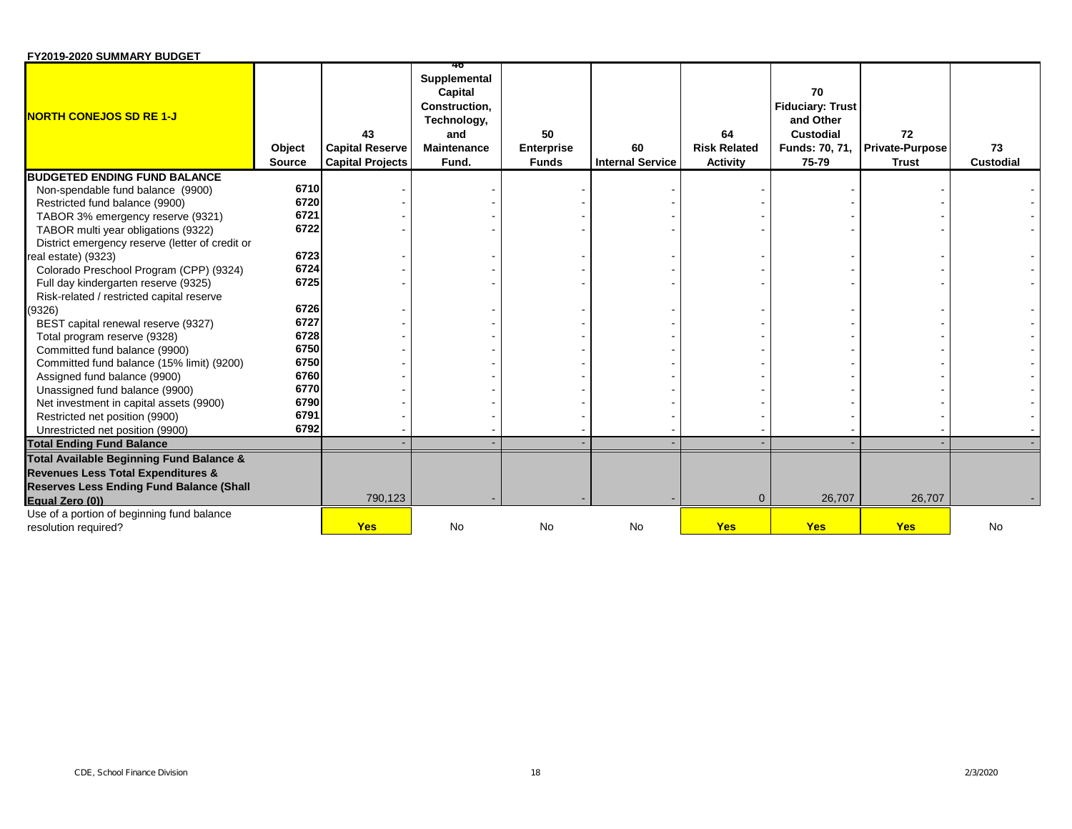| FY2019-2020 SUMMARY BUDGET |  |
|----------------------------|--|
|----------------------------|--|

| <b>NORTH CONEJOS SD RE 1-J</b>                                                    | Object<br><b>Source</b> | 43<br><b>Capital Reserve</b><br><b>Capital Projects</b> | 40<br>Supplemental<br>Capital<br><b>Construction.</b><br>Technology,<br>and<br><b>Maintenance</b><br>Fund. | 50<br><b>Enterprise</b><br><b>Funds</b> | 60<br><b>Internal Service</b> | 64<br><b>Risk Related</b><br><b>Activity</b> | 70<br><b>Fiduciary: Trust</b><br>and Other<br>Custodial<br>Funds: 70, 71,<br>75-79 | 72<br><b>Private-Purpose</b><br><b>Trust</b> | 73<br><b>Custodial</b> |
|-----------------------------------------------------------------------------------|-------------------------|---------------------------------------------------------|------------------------------------------------------------------------------------------------------------|-----------------------------------------|-------------------------------|----------------------------------------------|------------------------------------------------------------------------------------|----------------------------------------------|------------------------|
| <b>BUDGETED ENDING FUND BALANCE</b>                                               |                         |                                                         |                                                                                                            |                                         |                               |                                              |                                                                                    |                                              |                        |
| Non-spendable fund balance (9900)                                                 | 6710                    |                                                         |                                                                                                            |                                         |                               |                                              |                                                                                    |                                              |                        |
| Restricted fund balance (9900)                                                    | 6720                    |                                                         |                                                                                                            |                                         |                               |                                              |                                                                                    |                                              |                        |
| TABOR 3% emergency reserve (9321)                                                 | 6721                    |                                                         |                                                                                                            |                                         |                               |                                              |                                                                                    |                                              |                        |
| TABOR multi year obligations (9322)                                               | 6722                    |                                                         |                                                                                                            |                                         |                               |                                              |                                                                                    |                                              |                        |
| District emergency reserve (letter of credit or                                   | 6723                    |                                                         |                                                                                                            |                                         |                               |                                              |                                                                                    |                                              |                        |
| real estate) (9323)                                                               | 6724                    |                                                         |                                                                                                            |                                         |                               |                                              |                                                                                    |                                              |                        |
| Colorado Preschool Program (CPP) (9324)                                           | 6725                    |                                                         |                                                                                                            |                                         |                               |                                              |                                                                                    |                                              |                        |
| Full day kindergarten reserve (9325)<br>Risk-related / restricted capital reserve |                         |                                                         |                                                                                                            |                                         |                               |                                              |                                                                                    |                                              |                        |
| (9326)                                                                            | 6726                    |                                                         |                                                                                                            |                                         |                               |                                              |                                                                                    |                                              |                        |
| BEST capital renewal reserve (9327)                                               | 6727                    |                                                         |                                                                                                            |                                         |                               |                                              |                                                                                    |                                              |                        |
| Total program reserve (9328)                                                      | 6728                    |                                                         |                                                                                                            |                                         |                               |                                              |                                                                                    |                                              |                        |
| Committed fund balance (9900)                                                     | 6750                    |                                                         |                                                                                                            |                                         |                               |                                              |                                                                                    |                                              |                        |
| Committed fund balance (15% limit) (9200)                                         | 6750                    |                                                         |                                                                                                            |                                         |                               |                                              |                                                                                    |                                              |                        |
| Assigned fund balance (9900)                                                      | 6760                    |                                                         |                                                                                                            |                                         |                               |                                              |                                                                                    |                                              |                        |
| Unassigned fund balance (9900)                                                    | 6770                    |                                                         |                                                                                                            |                                         |                               |                                              |                                                                                    |                                              |                        |
| Net investment in capital assets (9900)                                           | 6790                    |                                                         |                                                                                                            |                                         |                               |                                              |                                                                                    |                                              |                        |
| Restricted net position (9900)                                                    | 6791                    |                                                         |                                                                                                            |                                         |                               |                                              |                                                                                    |                                              |                        |
| Unrestricted net position (9900)                                                  | 6792                    |                                                         |                                                                                                            |                                         |                               |                                              |                                                                                    |                                              |                        |
| <b>Total Ending Fund Balance</b>                                                  |                         |                                                         |                                                                                                            |                                         |                               |                                              |                                                                                    |                                              |                        |
| Total Available Beginning Fund Balance &                                          |                         |                                                         |                                                                                                            |                                         |                               |                                              |                                                                                    |                                              |                        |
| <b>Revenues Less Total Expenditures &amp;</b>                                     |                         |                                                         |                                                                                                            |                                         |                               |                                              |                                                                                    |                                              |                        |
| <b>Reserves Less Ending Fund Balance (Shall</b>                                   |                         |                                                         |                                                                                                            |                                         |                               |                                              |                                                                                    |                                              |                        |
| Equal Zero (0))                                                                   |                         | 790,123                                                 |                                                                                                            |                                         |                               | $\mathbf{0}$                                 | 26,707                                                                             | 26,707                                       |                        |
| Use of a portion of beginning fund balance                                        |                         |                                                         |                                                                                                            |                                         |                               |                                              |                                                                                    |                                              |                        |
| resolution required?                                                              |                         | <b>Yes</b>                                              | No                                                                                                         | No                                      | No                            | <b>Yes</b>                                   | <b>Yes</b>                                                                         | <b>Yes</b>                                   | No                     |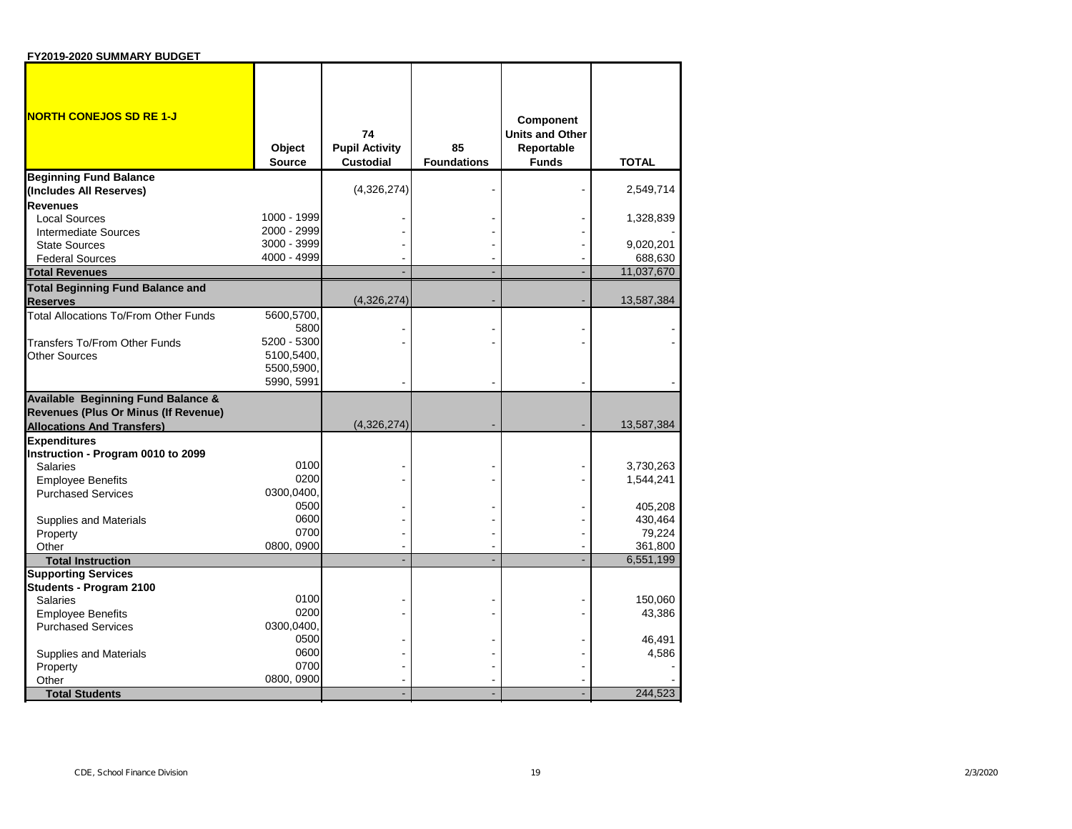| FY2019-2020 SUMMARY BUDGET |  |
|----------------------------|--|
|----------------------------|--|

| <b>NORTH CONEJOS SD RE 1-J</b>                             | Object<br><b>Source</b> | 74<br><b>Pupil Activity</b><br><b>Custodial</b> | 85<br><b>Foundations</b> | <b>Component</b><br><b>Units and Other</b><br>Reportable<br><b>Funds</b> | <b>TOTAL</b> |
|------------------------------------------------------------|-------------------------|-------------------------------------------------|--------------------------|--------------------------------------------------------------------------|--------------|
| <b>Beginning Fund Balance</b>                              |                         |                                                 |                          |                                                                          |              |
| (Includes All Reserves)                                    |                         | (4,326,274)                                     |                          |                                                                          | 2,549,714    |
| <b>Revenues</b>                                            |                         |                                                 |                          |                                                                          |              |
| <b>Local Sources</b>                                       | 1000 - 1999             |                                                 |                          |                                                                          | 1,328,839    |
| Intermediate Sources                                       | 2000 - 2999             |                                                 |                          |                                                                          |              |
| <b>State Sources</b>                                       | 3000 - 3999             |                                                 |                          |                                                                          | 9,020,201    |
| <b>Federal Sources</b>                                     | 4000 - 4999             |                                                 |                          |                                                                          | 688,630      |
| <b>Total Revenues</b>                                      |                         |                                                 |                          |                                                                          | 11,037,670   |
| <b>Total Beginning Fund Balance and</b><br><b>Reserves</b> |                         | (4,326,274)                                     |                          |                                                                          | 13,587,384   |
| <b>Total Allocations To/From Other Funds</b>               | 5600,5700,              |                                                 |                          |                                                                          |              |
|                                                            | 5800                    |                                                 |                          |                                                                          |              |
| <b>Transfers To/From Other Funds</b>                       | 5200 - 5300             |                                                 |                          |                                                                          |              |
| Other Sources                                              | 5100,5400,              |                                                 |                          |                                                                          |              |
|                                                            | 5500,5900,              |                                                 |                          |                                                                          |              |
|                                                            | 5990, 5991              |                                                 |                          |                                                                          |              |
| <b>Available Beginning Fund Balance &amp;</b>              |                         |                                                 |                          |                                                                          |              |
| Revenues (Plus Or Minus (If Revenue)                       |                         |                                                 |                          |                                                                          |              |
| <b>Allocations And Transfers)</b>                          |                         | (4,326,274)                                     |                          |                                                                          | 13,587,384   |
| <b>Expenditures</b>                                        |                         |                                                 |                          |                                                                          |              |
| Instruction - Program 0010 to 2099                         |                         |                                                 |                          |                                                                          |              |
| <b>Salaries</b>                                            | 0100                    |                                                 |                          |                                                                          | 3,730,263    |
| <b>Employee Benefits</b>                                   | 0200                    |                                                 |                          |                                                                          | 1,544,241    |
| <b>Purchased Services</b>                                  | 0300,0400,              |                                                 |                          |                                                                          |              |
|                                                            | 0500                    |                                                 |                          |                                                                          | 405,208      |
| Supplies and Materials                                     | 0600                    |                                                 |                          |                                                                          | 430,464      |
| Property                                                   | 0700                    |                                                 |                          |                                                                          | 79,224       |
| Other                                                      | 0800, 0900              |                                                 |                          |                                                                          | 361,800      |
| <b>Total Instruction</b>                                   |                         |                                                 |                          |                                                                          | 6,551,199    |
| <b>Supporting Services</b>                                 |                         |                                                 |                          |                                                                          |              |
| Students - Program 2100                                    |                         |                                                 |                          |                                                                          |              |
| <b>Salaries</b>                                            | 0100                    |                                                 |                          |                                                                          | 150,060      |
| <b>Employee Benefits</b>                                   | 0200                    |                                                 |                          |                                                                          | 43,386       |
| <b>Purchased Services</b>                                  | 0300.0400.              |                                                 |                          |                                                                          |              |
|                                                            | 0500                    |                                                 |                          |                                                                          | 46,491       |
| Supplies and Materials                                     | 0600                    |                                                 |                          |                                                                          | 4,586        |
| Property                                                   | 0700                    |                                                 |                          |                                                                          |              |
| Other                                                      | 0800, 0900              |                                                 |                          |                                                                          |              |
| <b>Total Students</b>                                      |                         |                                                 |                          |                                                                          | 244,523      |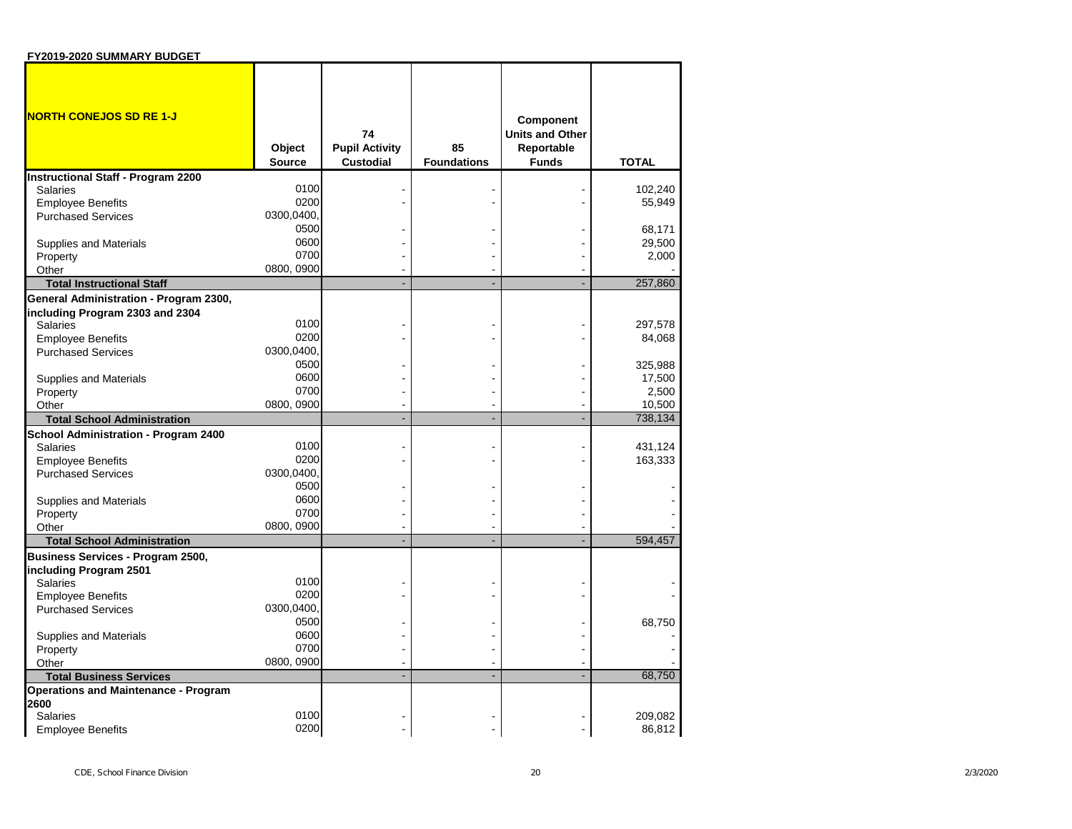| <b>FIZUIS-ZUZU SUIVIIVAN I BUDG</b>                     |                         |                                                 |                          |                                                                          |              |
|---------------------------------------------------------|-------------------------|-------------------------------------------------|--------------------------|--------------------------------------------------------------------------|--------------|
| <u>NORTH CONEJOS SD RE 1-J</u>                          | Object<br><b>Source</b> | 74<br><b>Pupil Activity</b><br><b>Custodial</b> | 85<br><b>Foundations</b> | <b>Component</b><br><b>Units and Other</b><br>Reportable<br><b>Funds</b> | <b>TOTAL</b> |
| <b>Instructional Staff - Program 2200</b>               |                         |                                                 |                          |                                                                          |              |
| Salaries                                                | 0100                    |                                                 |                          |                                                                          | 102,240      |
| <b>Employee Benefits</b>                                | 0200                    |                                                 |                          |                                                                          | 55,949       |
| <b>Purchased Services</b>                               | 0300,0400               |                                                 |                          |                                                                          |              |
|                                                         | 0500                    |                                                 |                          |                                                                          | 68,171       |
| <b>Supplies and Materials</b>                           | 0600                    |                                                 |                          |                                                                          | 29,500       |
| Property                                                | 0700                    |                                                 |                          |                                                                          | 2,000        |
| Other                                                   | 0800, 0900              |                                                 |                          |                                                                          |              |
| <b>Total Instructional Staff</b>                        |                         |                                                 |                          |                                                                          | 257,860      |
| General Administration - Program 2300,                  |                         |                                                 |                          |                                                                          |              |
| including Program 2303 and 2304                         |                         |                                                 |                          |                                                                          |              |
| <b>Salaries</b>                                         | 0100                    |                                                 |                          |                                                                          | 297,578      |
| <b>Employee Benefits</b>                                | 0200                    |                                                 |                          |                                                                          | 84,068       |
| <b>Purchased Services</b>                               | 0300,0400               |                                                 |                          |                                                                          |              |
|                                                         | 0500                    |                                                 |                          |                                                                          | 325,988      |
| <b>Supplies and Materials</b>                           | 0600                    |                                                 |                          |                                                                          | 17,500       |
| Property                                                | 0700                    |                                                 |                          |                                                                          | 2,500        |
| Other                                                   | 0800, 0900              |                                                 |                          |                                                                          | 10,500       |
| <b>Total School Administration</b>                      |                         |                                                 |                          |                                                                          | 738,134      |
|                                                         |                         |                                                 |                          |                                                                          |              |
| School Administration - Program 2400<br><b>Salaries</b> | 0100                    |                                                 |                          |                                                                          | 431,124      |
| <b>Employee Benefits</b>                                | 0200                    |                                                 |                          |                                                                          | 163,333      |
| <b>Purchased Services</b>                               | 0300,0400               |                                                 |                          |                                                                          |              |
|                                                         | 0500                    |                                                 |                          |                                                                          |              |
|                                                         | 0600                    |                                                 |                          |                                                                          |              |
| <b>Supplies and Materials</b><br>Property               | 0700                    |                                                 |                          |                                                                          |              |
|                                                         | 0800, 0900              |                                                 |                          |                                                                          |              |
| Other<br><b>Total School Administration</b>             |                         | L.                                              |                          | L                                                                        | 594,457      |
|                                                         |                         |                                                 |                          |                                                                          |              |
| <b>Business Services - Program 2500,</b>                |                         |                                                 |                          |                                                                          |              |
| including Program 2501                                  | 0100                    |                                                 |                          |                                                                          |              |
| Salaries                                                | 0200                    |                                                 |                          |                                                                          |              |
| <b>Employee Benefits</b>                                | 0300,0400               |                                                 |                          |                                                                          |              |
| <b>Purchased Services</b>                               | 0500                    |                                                 |                          |                                                                          |              |
|                                                         | 0600                    |                                                 |                          |                                                                          | 68,750       |
| Supplies and Materials                                  | 0700                    |                                                 |                          |                                                                          |              |
| Property                                                | 0800, 0900              |                                                 |                          |                                                                          |              |
| Other                                                   |                         | L.                                              | L.                       | L                                                                        | 68,750       |
| <b>Total Business Services</b>                          |                         |                                                 |                          |                                                                          |              |
| <b>Operations and Maintenance - Program</b>             |                         |                                                 |                          |                                                                          |              |
| 2600<br>Salaries                                        | 0100                    |                                                 |                          |                                                                          | 209,082      |
| <b>Employee Benefits</b>                                | 0200                    |                                                 |                          |                                                                          | 86,812       |
|                                                         |                         |                                                 |                          |                                                                          |              |

**FY2019-2020 SUMMARY BUDGET**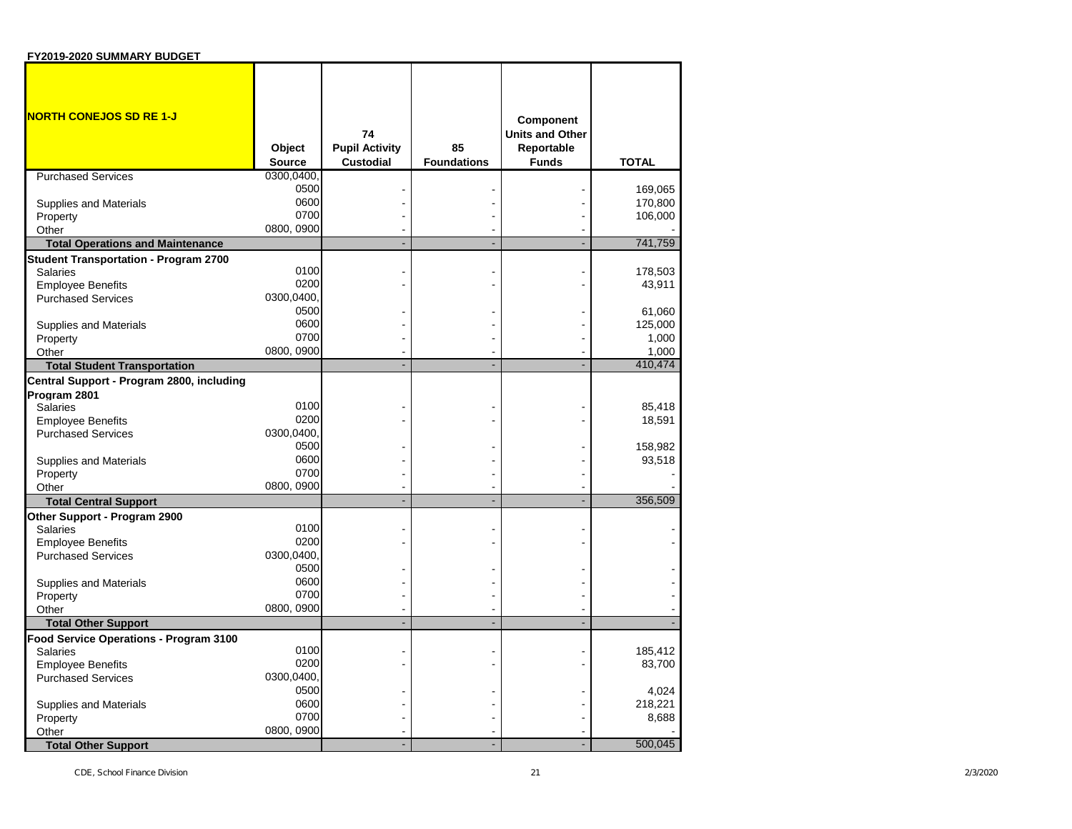| FY2019-2020 SUMMARY BUDGET                            |                         |                                                 |                          |                                                                          |                   |
|-------------------------------------------------------|-------------------------|-------------------------------------------------|--------------------------|--------------------------------------------------------------------------|-------------------|
| <b>NORTH CONEJOS SD RE 1-J</b>                        | Object<br><b>Source</b> | 74<br><b>Pupil Activity</b><br><b>Custodial</b> | 85<br><b>Foundations</b> | <b>Component</b><br><b>Units and Other</b><br>Reportable<br><b>Funds</b> | <b>TOTAL</b>      |
| <b>Purchased Services</b>                             | 0300,0400,              |                                                 |                          |                                                                          |                   |
|                                                       | 0500                    |                                                 |                          |                                                                          | 169,065           |
| <b>Supplies and Materials</b>                         | 0600                    |                                                 |                          |                                                                          | 170,800           |
| Property                                              | 0700                    |                                                 |                          |                                                                          | 106,000           |
| Other                                                 | 0800, 0900              |                                                 |                          |                                                                          |                   |
| <b>Total Operations and Maintenance</b>               |                         |                                                 |                          |                                                                          | 741,759           |
| <b>Student Transportation - Program 2700</b>          | 0100                    |                                                 |                          |                                                                          |                   |
| <b>Salaries</b>                                       | 0200                    |                                                 |                          |                                                                          | 178,503<br>43,911 |
| <b>Employee Benefits</b><br><b>Purchased Services</b> | 0300,0400.              |                                                 |                          |                                                                          |                   |
|                                                       | 0500                    |                                                 |                          |                                                                          | 61,060            |
| <b>Supplies and Materials</b>                         | 0600                    |                                                 |                          |                                                                          | 125,000           |
| Property                                              | 0700                    |                                                 |                          |                                                                          | 1,000             |
| Other                                                 | 0800, 0900              |                                                 |                          |                                                                          | 1,000             |
| <b>Total Student Transportation</b>                   |                         |                                                 |                          |                                                                          | 410,474           |
| Central Support - Program 2800, including             |                         |                                                 |                          |                                                                          |                   |
| Program 2801                                          |                         |                                                 |                          |                                                                          |                   |
| <b>Salaries</b>                                       | 0100                    |                                                 |                          |                                                                          | 85,418            |
| <b>Employee Benefits</b>                              | 0200                    |                                                 |                          |                                                                          | 18,591            |
| <b>Purchased Services</b>                             | 0300,0400.              |                                                 |                          |                                                                          |                   |
|                                                       | 0500                    |                                                 |                          |                                                                          | 158,982           |
| <b>Supplies and Materials</b>                         | 0600                    |                                                 |                          |                                                                          | 93,518            |
| Property                                              | 0700                    |                                                 |                          |                                                                          |                   |
| Other                                                 | 0800, 0900              |                                                 |                          |                                                                          |                   |
| <b>Total Central Support</b>                          |                         |                                                 |                          |                                                                          | 356,509           |
| Other Support - Program 2900                          | 0100                    |                                                 |                          |                                                                          |                   |
| <b>Salaries</b>                                       | 0200                    |                                                 |                          |                                                                          |                   |
| <b>Employee Benefits</b><br><b>Purchased Services</b> | 0300,0400,              |                                                 |                          |                                                                          |                   |
|                                                       | 0500                    |                                                 |                          |                                                                          |                   |
| <b>Supplies and Materials</b>                         | 0600                    |                                                 |                          |                                                                          |                   |
| Property                                              | 0700                    |                                                 |                          |                                                                          |                   |
| Other                                                 | 0800, 0900              |                                                 |                          |                                                                          |                   |
| <b>Total Other Support</b>                            |                         |                                                 |                          |                                                                          |                   |
| Food Service Operations - Program 3100                |                         |                                                 |                          |                                                                          |                   |
| <b>Salaries</b>                                       | 0100                    |                                                 |                          |                                                                          | 185,412           |
| <b>Employee Benefits</b>                              | 0200                    |                                                 |                          |                                                                          | 83,700            |
| <b>Purchased Services</b>                             | 0300,0400,              |                                                 |                          |                                                                          |                   |
|                                                       | 0500                    |                                                 |                          |                                                                          | 4,024             |
| <b>Supplies and Materials</b>                         | 0600                    |                                                 |                          |                                                                          | 218,221           |
| Property                                              | 0700<br>0800, 0900      |                                                 |                          |                                                                          | 8,688             |
| Other                                                 |                         |                                                 |                          |                                                                          | 500,045           |
| <b>Total Other Support</b>                            |                         |                                                 |                          |                                                                          |                   |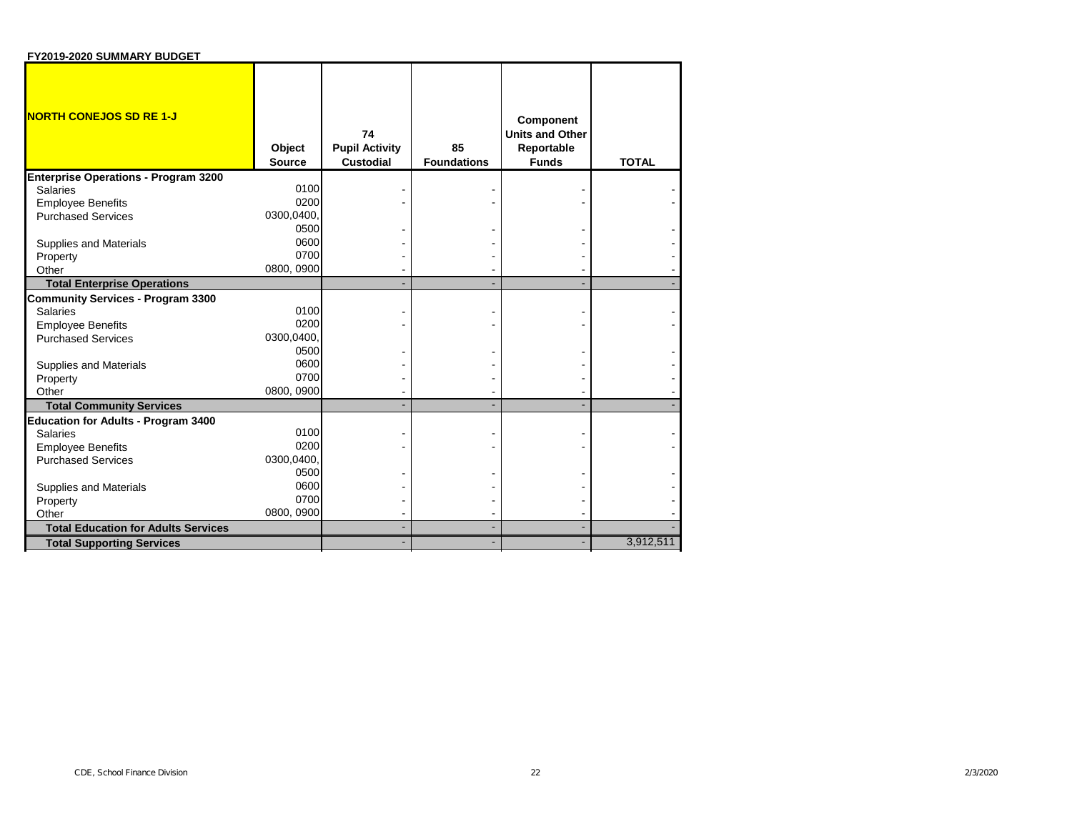| FY2019-2020 SUMMARY BUDGET                  |                  |                                                 |                          |                                                                          |              |
|---------------------------------------------|------------------|-------------------------------------------------|--------------------------|--------------------------------------------------------------------------|--------------|
| <b>NORTH CONEJOS SD RE 1-J</b>              | Object<br>Source | 74<br><b>Pupil Activity</b><br><b>Custodial</b> | 85<br><b>Foundations</b> | <b>Component</b><br><b>Units and Other</b><br>Reportable<br><b>Funds</b> | <b>TOTAL</b> |
| <b>Enterprise Operations - Program 3200</b> |                  |                                                 |                          |                                                                          |              |
| Salaries                                    | 0100             |                                                 |                          |                                                                          |              |
| <b>Employee Benefits</b>                    | 0200             |                                                 |                          |                                                                          |              |
| <b>Purchased Services</b>                   | 0300,0400        |                                                 |                          |                                                                          |              |
|                                             | 0500             |                                                 |                          |                                                                          |              |
| <b>Supplies and Materials</b>               | 0600             |                                                 |                          |                                                                          |              |
| Property                                    | 0700             |                                                 |                          |                                                                          |              |
| Other                                       | 0800, 0900       |                                                 |                          |                                                                          |              |
| <b>Total Enterprise Operations</b>          |                  |                                                 |                          |                                                                          |              |
| <b>Community Services - Program 3300</b>    |                  |                                                 |                          |                                                                          |              |
| <b>Salaries</b>                             | 0100             |                                                 |                          |                                                                          |              |
| <b>Employee Benefits</b>                    | 0200             |                                                 |                          |                                                                          |              |
| <b>Purchased Services</b>                   | 0300,0400        |                                                 |                          |                                                                          |              |
|                                             | 0500             |                                                 |                          |                                                                          |              |
| <b>Supplies and Materials</b>               | 0600             |                                                 |                          |                                                                          |              |
| Property                                    | 0700             |                                                 |                          |                                                                          |              |
| Other                                       | 0800, 0900       |                                                 |                          |                                                                          |              |
| <b>Total Community Services</b>             |                  |                                                 |                          |                                                                          |              |
| <b>Education for Adults - Program 3400</b>  |                  |                                                 |                          |                                                                          |              |
| <b>Salaries</b>                             | 0100             |                                                 |                          |                                                                          |              |
| <b>Employee Benefits</b>                    | 0200             |                                                 |                          |                                                                          |              |
| <b>Purchased Services</b>                   | 0300,0400        |                                                 |                          |                                                                          |              |
|                                             | 0500             |                                                 |                          |                                                                          |              |
| <b>Supplies and Materials</b>               | 0600             |                                                 |                          |                                                                          |              |
| Property                                    | 0700             |                                                 |                          |                                                                          |              |
| Other                                       | 0800, 0900       |                                                 |                          |                                                                          |              |
| <b>Total Education for Adults Services</b>  |                  |                                                 |                          |                                                                          |              |
| <b>Total Supporting Services</b>            |                  |                                                 |                          |                                                                          | 3,912,511    |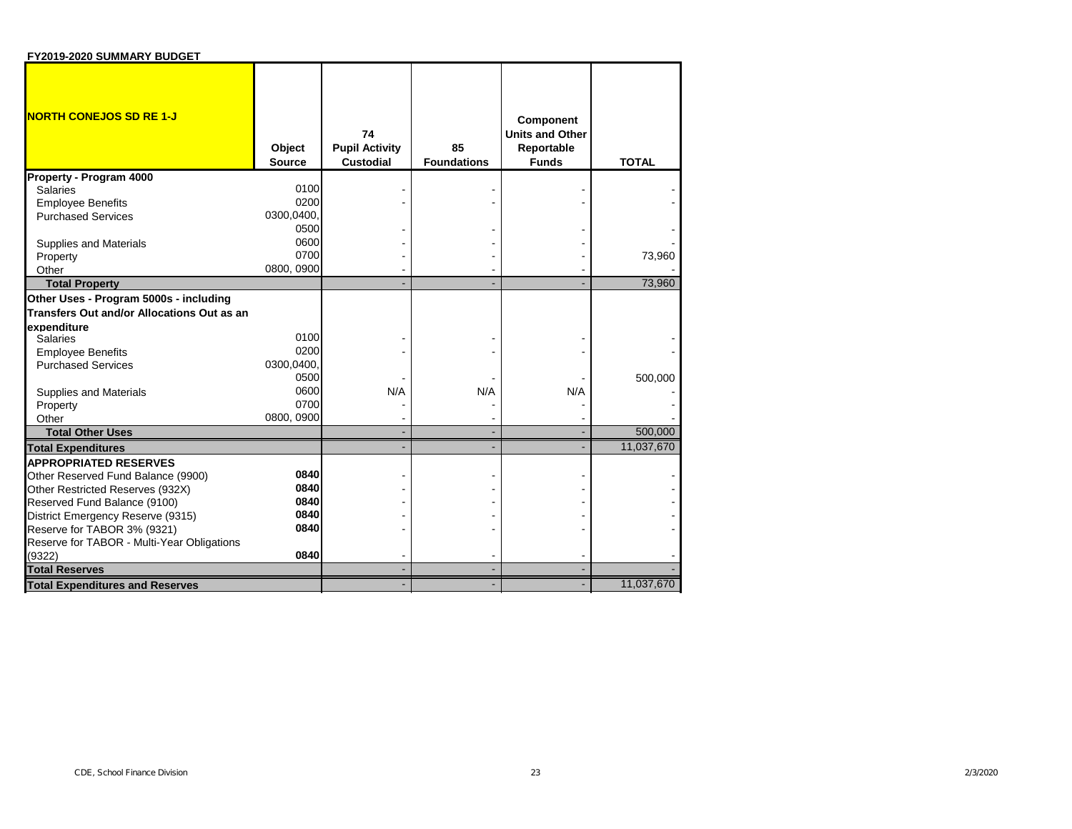| FY2019-2020 SUMMARY BUDGET                 |                         |                                                 |                          |                                                                   |              |
|--------------------------------------------|-------------------------|-------------------------------------------------|--------------------------|-------------------------------------------------------------------|--------------|
| <b>NORTH CONEJOS SD RE 1-J</b>             | Object<br><b>Source</b> | 74<br><b>Pupil Activity</b><br><b>Custodial</b> | 85<br><b>Foundations</b> | Component<br><b>Units and Other</b><br>Reportable<br><b>Funds</b> | <b>TOTAL</b> |
| Property - Program 4000                    |                         |                                                 |                          |                                                                   |              |
| <b>Salaries</b>                            | 0100                    |                                                 |                          |                                                                   |              |
| <b>Employee Benefits</b>                   | 0200                    |                                                 |                          |                                                                   |              |
| <b>Purchased Services</b>                  | 0300,0400,              |                                                 |                          |                                                                   |              |
|                                            | 0500                    |                                                 |                          |                                                                   |              |
| Supplies and Materials                     | 0600                    |                                                 |                          |                                                                   |              |
| Property                                   | 0700                    |                                                 |                          |                                                                   | 73,960       |
| Other                                      | 0800, 0900              |                                                 |                          |                                                                   |              |
| <b>Total Property</b>                      |                         |                                                 |                          |                                                                   | 73,960       |
| Other Uses - Program 5000s - including     |                         |                                                 |                          |                                                                   |              |
| Transfers Out and/or Allocations Out as an |                         |                                                 |                          |                                                                   |              |
| expenditure                                |                         |                                                 |                          |                                                                   |              |
| <b>Salaries</b>                            | 0100                    |                                                 |                          |                                                                   |              |
| <b>Employee Benefits</b>                   | 0200                    |                                                 |                          |                                                                   |              |
| <b>Purchased Services</b>                  | 0300,0400               |                                                 |                          |                                                                   |              |
|                                            | 0500                    |                                                 |                          |                                                                   | 500,000      |
| Supplies and Materials                     | 0600                    | N/A                                             | N/A                      | N/A                                                               |              |
| Property                                   | 0700                    |                                                 |                          |                                                                   |              |
| Other                                      | 0800, 0900              |                                                 |                          |                                                                   |              |
| <b>Total Other Uses</b>                    |                         |                                                 |                          |                                                                   | 500,000      |
| <b>Total Expenditures</b>                  |                         |                                                 |                          |                                                                   | 11,037,670   |
| <b>APPROPRIATED RESERVES</b>               |                         |                                                 |                          |                                                                   |              |
| Other Reserved Fund Balance (9900)         | 0840                    |                                                 |                          |                                                                   |              |
| Other Restricted Reserves (932X)           | 0840                    |                                                 |                          |                                                                   |              |
| Reserved Fund Balance (9100)               | 0840                    |                                                 |                          |                                                                   |              |
| District Emergency Reserve (9315)          | 0840                    |                                                 |                          |                                                                   |              |
| Reserve for TABOR 3% (9321)                | 0840                    |                                                 |                          |                                                                   |              |
| Reserve for TABOR - Multi-Year Obligations | 0840                    |                                                 |                          |                                                                   |              |
| (9322)                                     |                         |                                                 |                          |                                                                   |              |
| <b>Total Reserves</b>                      |                         |                                                 |                          |                                                                   |              |
| <b>Total Expenditures and Reserves</b>     |                         |                                                 |                          |                                                                   | 11,037,670   |